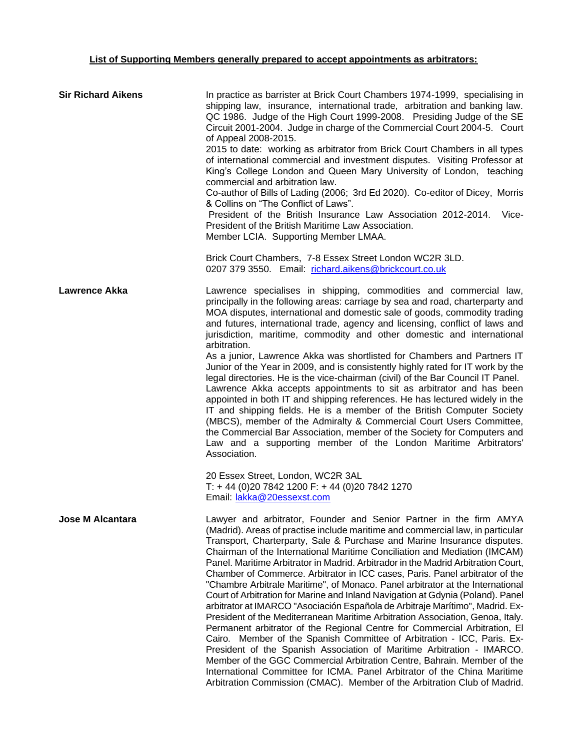## **List of Supporting Members generally prepared to accept appointments as arbitrators:**

| <b>Sir Richard Aikens</b> | In practice as barrister at Brick Court Chambers 1974-1999, specialising in<br>shipping law, insurance, international trade, arbitration and banking law.<br>QC 1986. Judge of the High Court 1999-2008. Presiding Judge of the SE<br>Circuit 2001-2004. Judge in charge of the Commercial Court 2004-5. Court<br>of Appeal 2008-2015.<br>2015 to date: working as arbitrator from Brick Court Chambers in all types<br>of international commercial and investment disputes. Visiting Professor at<br>King's College London and Queen Mary University of London, teaching<br>commercial and arbitration law.<br>Co-author of Bills of Lading (2006; 3rd Ed 2020). Co-editor of Dicey, Morris<br>& Collins on "The Conflict of Laws".<br>President of the British Insurance Law Association 2012-2014.<br>Vice-<br>President of the British Maritime Law Association.<br>Member LCIA. Supporting Member LMAA.<br>Brick Court Chambers, 7-8 Essex Street London WC2R 3LD.<br>0207 379 3550. Email: richard.aikens@brickcourt.co.uk                                                                                                                                                                                                                                                                                              |
|---------------------------|-------------------------------------------------------------------------------------------------------------------------------------------------------------------------------------------------------------------------------------------------------------------------------------------------------------------------------------------------------------------------------------------------------------------------------------------------------------------------------------------------------------------------------------------------------------------------------------------------------------------------------------------------------------------------------------------------------------------------------------------------------------------------------------------------------------------------------------------------------------------------------------------------------------------------------------------------------------------------------------------------------------------------------------------------------------------------------------------------------------------------------------------------------------------------------------------------------------------------------------------------------------------------------------------------------------------------------|
| <b>Lawrence Akka</b>      | Lawrence specialises in shipping, commodities and commercial law,<br>principally in the following areas: carriage by sea and road, charterparty and<br>MOA disputes, international and domestic sale of goods, commodity trading<br>and futures, international trade, agency and licensing, conflict of laws and<br>jurisdiction, maritime, commodity and other domestic and international<br>arbitration.<br>As a junior, Lawrence Akka was shortlisted for Chambers and Partners IT<br>Junior of the Year in 2009, and is consistently highly rated for IT work by the<br>legal directories. He is the vice-chairman (civil) of the Bar Council IT Panel.<br>Lawrence Akka accepts appointments to sit as arbitrator and has been<br>appointed in both IT and shipping references. He has lectured widely in the<br>IT and shipping fields. He is a member of the British Computer Society<br>(MBCS), member of the Admiralty & Commercial Court Users Committee,<br>the Commercial Bar Association, member of the Society for Computers and<br>Law and a supporting member of the London Maritime Arbitrators'<br>Association.<br>20 Essex Street, London, WC2R 3AL<br>$T: +44(0)2078421200 F: +44(0)2078421270$                                                                                                           |
| <b>Jose M Alcantara</b>   | Email: lakka@20essexst.com<br>Lawyer and arbitrator, Founder and Senior Partner in the firm AMYA<br>(Madrid). Areas of practise include maritime and commercial law, in particular<br>Transport, Charterparty, Sale & Purchase and Marine Insurance disputes.<br>Chairman of the International Maritime Conciliation and Mediation (IMCAM)<br>Panel. Maritime Arbitrator in Madrid. Arbitrador in the Madrid Arbitration Court,<br>Chamber of Commerce. Arbitrator in ICC cases, Paris. Panel arbitrator of the<br>"Chambre Arbitrale Maritime", of Monaco. Panel arbitrator at the International<br>Court of Arbitration for Marine and Inland Navigation at Gdynia (Poland). Panel<br>arbitrator at IMARCO "Asociación Española de Arbitraje Marítimo", Madrid. Ex-<br>President of the Mediterranean Maritime Arbitration Association, Genoa, Italy.<br>Permanent arbitrator of the Regional Centre for Commercial Arbitration, El<br>Cairo. Member of the Spanish Committee of Arbitration - ICC, Paris. Ex-<br>President of the Spanish Association of Maritime Arbitration - IMARCO.<br>Member of the GGC Commercial Arbitration Centre, Bahrain. Member of the<br>International Committee for ICMA. Panel Arbitrator of the China Maritime<br>Arbitration Commission (CMAC). Member of the Arbitration Club of Madrid. |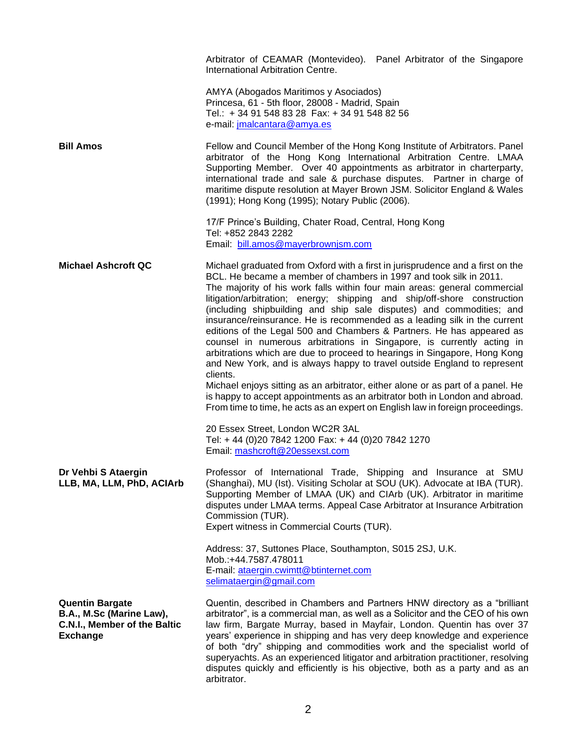|                                                                                                       | Arbitrator of CEAMAR (Montevideo). Panel Arbitrator of the Singapore<br>International Arbitration Centre.                                                                                                                                                                                                                                                                                                                                                                                                                                                                                                                                                                                                                                                                                                                                                                                                                                                                                                                                                                                                                              |
|-------------------------------------------------------------------------------------------------------|----------------------------------------------------------------------------------------------------------------------------------------------------------------------------------------------------------------------------------------------------------------------------------------------------------------------------------------------------------------------------------------------------------------------------------------------------------------------------------------------------------------------------------------------------------------------------------------------------------------------------------------------------------------------------------------------------------------------------------------------------------------------------------------------------------------------------------------------------------------------------------------------------------------------------------------------------------------------------------------------------------------------------------------------------------------------------------------------------------------------------------------|
|                                                                                                       | AMYA (Abogados Maritimos y Asociados)<br>Princesa, 61 - 5th floor, 28008 - Madrid, Spain<br>Tel.: + 34 91 548 83 28 Fax: + 34 91 548 82 56<br>e-mail: jmalcantara@amya.es                                                                                                                                                                                                                                                                                                                                                                                                                                                                                                                                                                                                                                                                                                                                                                                                                                                                                                                                                              |
| <b>Bill Amos</b>                                                                                      | Fellow and Council Member of the Hong Kong Institute of Arbitrators. Panel<br>arbitrator of the Hong Kong International Arbitration Centre. LMAA<br>Supporting Member. Over 40 appointments as arbitrator in charterparty,<br>international trade and sale & purchase disputes. Partner in charge of<br>maritime dispute resolution at Mayer Brown JSM. Solicitor England & Wales<br>(1991); Hong Kong (1995); Notary Public (2006).                                                                                                                                                                                                                                                                                                                                                                                                                                                                                                                                                                                                                                                                                                   |
|                                                                                                       | 17/F Prince's Building, Chater Road, Central, Hong Kong<br>Tel: +852 2843 2282<br>Email: bill.amos@mayerbrownjsm.com                                                                                                                                                                                                                                                                                                                                                                                                                                                                                                                                                                                                                                                                                                                                                                                                                                                                                                                                                                                                                   |
| <b>Michael Ashcroft QC</b>                                                                            | Michael graduated from Oxford with a first in jurisprudence and a first on the<br>BCL. He became a member of chambers in 1997 and took silk in 2011.<br>The majority of his work falls within four main areas: general commercial<br>litigation/arbitration; energy; shipping and ship/off-shore construction<br>(including shipbuilding and ship sale disputes) and commodities; and<br>insurance/reinsurance. He is recommended as a leading silk in the current<br>editions of the Legal 500 and Chambers & Partners. He has appeared as<br>counsel in numerous arbitrations in Singapore, is currently acting in<br>arbitrations which are due to proceed to hearings in Singapore, Hong Kong<br>and New York, and is always happy to travel outside England to represent<br>clients.<br>Michael enjoys sitting as an arbitrator, either alone or as part of a panel. He<br>is happy to accept appointments as an arbitrator both in London and abroad.<br>From time to time, he acts as an expert on English law in foreign proceedings.<br>20 Essex Street, London WC2R 3AL<br>Tel: +44 (0)20 7842 1200 Fax: +44 (0)20 7842 1270 |
| Dr Vehbi S Ataergin<br>LLB, MA, LLM, PhD, ACIArb                                                      | Email: mashcroft@20essexst.com<br>Professor of International Trade, Shipping and Insurance at SMU<br>(Shanghai), MU (Ist). Visiting Scholar at SOU (UK). Advocate at IBA (TUR).<br>Supporting Member of LMAA (UK) and CIArb (UK). Arbitrator in maritime<br>disputes under LMAA terms. Appeal Case Arbitrator at Insurance Arbitration<br>Commission (TUR).<br>Expert witness in Commercial Courts (TUR).                                                                                                                                                                                                                                                                                                                                                                                                                                                                                                                                                                                                                                                                                                                              |
|                                                                                                       | Address: 37, Suttones Place, Southampton, S015 2SJ, U.K.<br>Mob.:+44.7587.478011<br>E-mail: ataergin.cwimtt@btinternet.com<br>selimataergin@gmail.com                                                                                                                                                                                                                                                                                                                                                                                                                                                                                                                                                                                                                                                                                                                                                                                                                                                                                                                                                                                  |
| <b>Quentin Bargate</b><br>B.A., M.Sc (Marine Law),<br>C.N.I., Member of the Baltic<br><b>Exchange</b> | Quentin, described in Chambers and Partners HNW directory as a "brilliant"<br>arbitrator", is a commercial man, as well as a Solicitor and the CEO of his own<br>law firm, Bargate Murray, based in Mayfair, London. Quentin has over 37<br>years' experience in shipping and has very deep knowledge and experience<br>of both "dry" shipping and commodities work and the specialist world of<br>superyachts. As an experienced litigator and arbitration practitioner, resolving<br>disputes quickly and efficiently is his objective, both as a party and as an                                                                                                                                                                                                                                                                                                                                                                                                                                                                                                                                                                    |

arbitrator.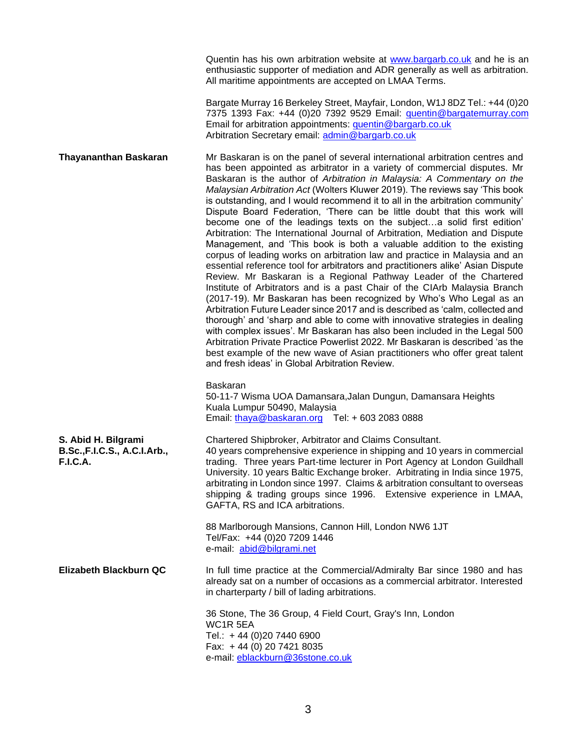|                                                                        | Quentin has his own arbitration website at www.bargarb.co.uk and he is an<br>enthusiastic supporter of mediation and ADR generally as well as arbitration.<br>All maritime appointments are accepted on LMAA Terms.                                                                                                                                                                                                                                                                                                                                                                                                                                                                                                                                                                                                                                                                                                                                                                                                                                                                                                                                                                                                                                                                                                                                                                                                                                                                                                                                                       |
|------------------------------------------------------------------------|---------------------------------------------------------------------------------------------------------------------------------------------------------------------------------------------------------------------------------------------------------------------------------------------------------------------------------------------------------------------------------------------------------------------------------------------------------------------------------------------------------------------------------------------------------------------------------------------------------------------------------------------------------------------------------------------------------------------------------------------------------------------------------------------------------------------------------------------------------------------------------------------------------------------------------------------------------------------------------------------------------------------------------------------------------------------------------------------------------------------------------------------------------------------------------------------------------------------------------------------------------------------------------------------------------------------------------------------------------------------------------------------------------------------------------------------------------------------------------------------------------------------------------------------------------------------------|
|                                                                        | Bargate Murray 16 Berkeley Street, Mayfair, London, W1J 8DZ Tel.: +44 (0)20<br>7375 1393 Fax: +44 (0)20 7392 9529 Email: quentin@bargatemurray.com<br>Email for arbitration appointments: quentin@bargarb.co.uk<br>Arbitration Secretary email: admin@bargarb.co.uk                                                                                                                                                                                                                                                                                                                                                                                                                                                                                                                                                                                                                                                                                                                                                                                                                                                                                                                                                                                                                                                                                                                                                                                                                                                                                                       |
| <b>Thayananthan Baskaran</b>                                           | Mr Baskaran is on the panel of several international arbitration centres and<br>has been appointed as arbitrator in a variety of commercial disputes. Mr<br>Baskaran is the author of Arbitration in Malaysia: A Commentary on the<br>Malaysian Arbitration Act (Wolters Kluwer 2019). The reviews say 'This book<br>is outstanding, and I would recommend it to all in the arbitration community'<br>Dispute Board Federation, 'There can be little doubt that this work will<br>become one of the leadings texts on the subjecta solid first edition'<br>Arbitration: The International Journal of Arbitration, Mediation and Dispute<br>Management, and 'This book is both a valuable addition to the existing<br>corpus of leading works on arbitration law and practice in Malaysia and an<br>essential reference tool for arbitrators and practitioners alike' Asian Dispute<br>Review. Mr Baskaran is a Regional Pathway Leader of the Chartered<br>Institute of Arbitrators and is a past Chair of the CIArb Malaysia Branch<br>(2017-19). Mr Baskaran has been recognized by Who's Who Legal as an<br>Arbitration Future Leader since 2017 and is described as 'calm, collected and<br>thorough' and 'sharp and able to come with innovative strategies in dealing<br>with complex issues'. Mr Baskaran has also been included in the Legal 500<br>Arbitration Private Practice Powerlist 2022. Mr Baskaran is described 'as the<br>best example of the new wave of Asian practitioners who offer great talent<br>and fresh ideas' in Global Arbitration Review. |
|                                                                        | Baskaran<br>50-11-7 Wisma UOA Damansara, Jalan Dungun, Damansara Heights<br>Kuala Lumpur 50490, Malaysia<br>Email: thaya@baskaran.org Tel: +603 2083 0888                                                                                                                                                                                                                                                                                                                                                                                                                                                                                                                                                                                                                                                                                                                                                                                                                                                                                                                                                                                                                                                                                                                                                                                                                                                                                                                                                                                                                 |
| S. Abid H. Bilgrami<br>B.Sc., F.I.C.S., A.C.I.Arb.,<br><b>F.I.C.A.</b> | Chartered Shipbroker, Arbitrator and Claims Consultant.<br>40 years comprehensive experience in shipping and 10 years in commercial<br>trading. Three years Part-time lecturer in Port Agency at London Guildhall<br>University. 10 years Baltic Exchange broker. Arbitrating in India since 1975,<br>arbitrating in London since 1997. Claims & arbitration consultant to overseas<br>shipping & trading groups since 1996. Extensive experience in LMAA,<br>GAFTA, RS and ICA arbitrations.                                                                                                                                                                                                                                                                                                                                                                                                                                                                                                                                                                                                                                                                                                                                                                                                                                                                                                                                                                                                                                                                             |
|                                                                        | 88 Marlborough Mansions, Cannon Hill, London NW6 1JT<br>Tel/Fax: +44 (0)20 7209 1446<br>e-mail: abid@bilgrami.net                                                                                                                                                                                                                                                                                                                                                                                                                                                                                                                                                                                                                                                                                                                                                                                                                                                                                                                                                                                                                                                                                                                                                                                                                                                                                                                                                                                                                                                         |
| Elizabeth Blackburn QC                                                 | In full time practice at the Commercial/Admiralty Bar since 1980 and has<br>already sat on a number of occasions as a commercial arbitrator. Interested<br>in charterparty / bill of lading arbitrations.                                                                                                                                                                                                                                                                                                                                                                                                                                                                                                                                                                                                                                                                                                                                                                                                                                                                                                                                                                                                                                                                                                                                                                                                                                                                                                                                                                 |
|                                                                        | 36 Stone, The 36 Group, 4 Field Court, Gray's Inn, London<br>WC1R 5EA<br>Tel.: +44 (0)20 7440 6900<br>Fax: +44 (0) 20 7421 8035<br>e-mail: eblackburn@36stone.co.uk                                                                                                                                                                                                                                                                                                                                                                                                                                                                                                                                                                                                                                                                                                                                                                                                                                                                                                                                                                                                                                                                                                                                                                                                                                                                                                                                                                                                       |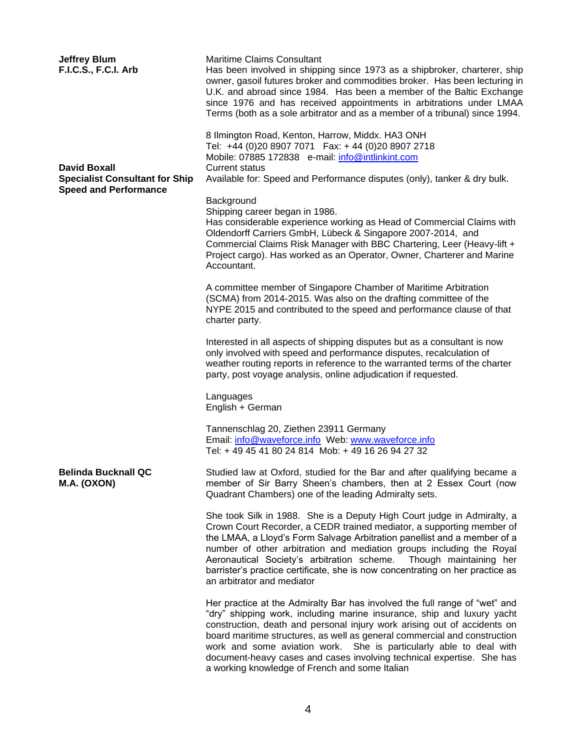| <b>Jeffrey Blum</b><br>F.I.C.S., F.C.I. Arb                                                  | <b>Maritime Claims Consultant</b><br>Has been involved in shipping since 1973 as a shipbroker, charterer, ship<br>owner, gasoil futures broker and commodities broker. Has been lecturing in<br>U.K. and abroad since 1984. Has been a member of the Baltic Exchange<br>since 1976 and has received appointments in arbitrations under LMAA<br>Terms (both as a sole arbitrator and as a member of a tribunal) since 1994.                                                                                     |
|----------------------------------------------------------------------------------------------|----------------------------------------------------------------------------------------------------------------------------------------------------------------------------------------------------------------------------------------------------------------------------------------------------------------------------------------------------------------------------------------------------------------------------------------------------------------------------------------------------------------|
| <b>David Boxall</b><br><b>Specialist Consultant for Ship</b><br><b>Speed and Performance</b> | 8 Ilmington Road, Kenton, Harrow, Middx. HA3 ONH<br>Tel: +44 (0)20 8907 7071  Fax: +44 (0)20 8907 2718<br>Mobile: 07885 172838 e-mail: info@intlinkint.com<br><b>Current status</b><br>Available for: Speed and Performance disputes (only), tanker & dry bulk.                                                                                                                                                                                                                                                |
|                                                                                              | Background<br>Shipping career began in 1986.<br>Has considerable experience working as Head of Commercial Claims with<br>Oldendorff Carriers GmbH, Lübeck & Singapore 2007-2014, and<br>Commercial Claims Risk Manager with BBC Chartering, Leer (Heavy-lift +<br>Project cargo). Has worked as an Operator, Owner, Charterer and Marine<br>Accountant.                                                                                                                                                        |
|                                                                                              | A committee member of Singapore Chamber of Maritime Arbitration<br>(SCMA) from 2014-2015. Was also on the drafting committee of the<br>NYPE 2015 and contributed to the speed and performance clause of that<br>charter party.                                                                                                                                                                                                                                                                                 |
|                                                                                              | Interested in all aspects of shipping disputes but as a consultant is now<br>only involved with speed and performance disputes, recalculation of<br>weather routing reports in reference to the warranted terms of the charter<br>party, post voyage analysis, online adjudication if requested.                                                                                                                                                                                                               |
|                                                                                              | Languages<br>English + German                                                                                                                                                                                                                                                                                                                                                                                                                                                                                  |
|                                                                                              | Tannenschlag 20, Ziethen 23911 Germany<br>Email: info@waveforce.info Web: www.waveforce.info<br>Tel: +49 45 41 80 24 814 Mob: +49 16 26 94 27 32                                                                                                                                                                                                                                                                                                                                                               |
| <b>Belinda Bucknall QC</b><br>M.A. (OXON)                                                    | Studied law at Oxford, studied for the Bar and after qualifying became a<br>member of Sir Barry Sheen's chambers, then at 2 Essex Court (now<br>Quadrant Chambers) one of the leading Admiralty sets.                                                                                                                                                                                                                                                                                                          |
|                                                                                              | She took Silk in 1988. She is a Deputy High Court judge in Admiralty, a<br>Crown Court Recorder, a CEDR trained mediator, a supporting member of<br>the LMAA, a Lloyd's Form Salvage Arbitration panellist and a member of a<br>number of other arbitration and mediation groups including the Royal<br>Aeronautical Society's arbitration scheme.<br>Though maintaining her<br>barrister's practice certificate, she is now concentrating on her practice as<br>an arbitrator and mediator                    |
|                                                                                              | Her practice at the Admiralty Bar has involved the full range of "wet" and<br>"dry" shipping work, including marine insurance, ship and luxury yacht<br>construction, death and personal injury work arising out of accidents on<br>board maritime structures, as well as general commercial and construction<br>work and some aviation work. She is particularly able to deal with<br>document-heavy cases and cases involving technical expertise. She has<br>a working knowledge of French and some Italian |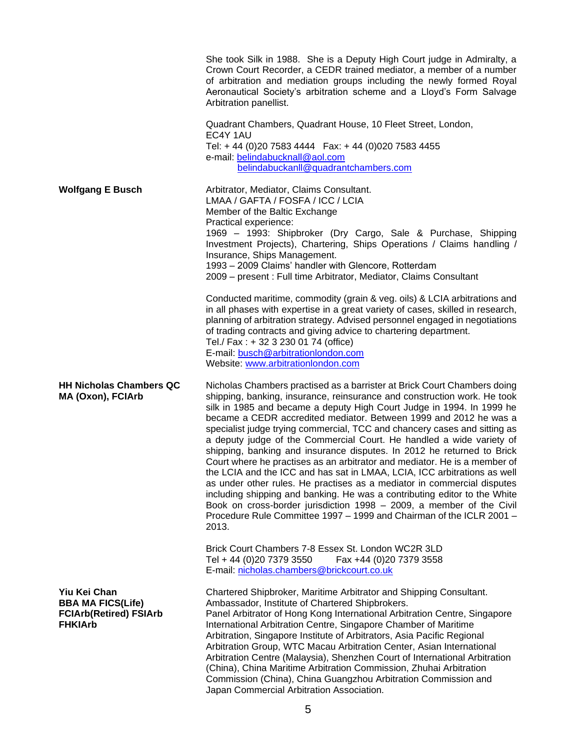|                                                     | She took Silk in 1988. She is a Deputy High Court judge in Admiralty, a<br>Crown Court Recorder, a CEDR trained mediator, a member of a number<br>of arbitration and mediation groups including the newly formed Royal<br>Aeronautical Society's arbitration scheme and a Lloyd's Form Salvage<br>Arbitration panellist.<br>Quadrant Chambers, Quadrant House, 10 Fleet Street, London,<br>EC4Y 1AU<br>Tel: +44 (0)20 7583 4444   Fax: +44 (0)020 7583 4455<br>e-mail: belindabucknall@aol.com                                                   |
|-----------------------------------------------------|--------------------------------------------------------------------------------------------------------------------------------------------------------------------------------------------------------------------------------------------------------------------------------------------------------------------------------------------------------------------------------------------------------------------------------------------------------------------------------------------------------------------------------------------------|
| <b>Wolfgang E Busch</b>                             | belindabuckanll@quadrantchambers.com<br>Arbitrator, Mediator, Claims Consultant.<br>LMAA / GAFTA / FOSFA / ICC / LCIA<br>Member of the Baltic Exchange                                                                                                                                                                                                                                                                                                                                                                                           |
|                                                     | Practical experience:<br>1969 – 1993: Shipbroker (Dry Cargo, Sale & Purchase, Shipping<br>Investment Projects), Chartering, Ships Operations / Claims handling /<br>Insurance, Ships Management.<br>1993 - 2009 Claims' handler with Glencore, Rotterdam<br>2009 - present : Full time Arbitrator, Mediator, Claims Consultant                                                                                                                                                                                                                   |
|                                                     | Conducted maritime, commodity (grain & veg. oils) & LCIA arbitrations and<br>in all phases with expertise in a great variety of cases, skilled in research,<br>planning of arbitration strategy. Advised personnel engaged in negotiations<br>of trading contracts and giving advice to chartering department.<br>Tel./ Fax: + 32 3 230 01 74 (office)<br>E-mail: busch@arbitrationlondon.com<br>Website: www.arbitrationlondon.com                                                                                                              |
| <b>HH Nicholas Chambers QC</b><br>MA (Oxon), FCIArb | Nicholas Chambers practised as a barrister at Brick Court Chambers doing<br>shipping, banking, insurance, reinsurance and construction work. He took<br>silk in 1985 and became a deputy High Court Judge in 1994. In 1999 he<br>became a CEDR accredited mediator. Between 1999 and 2012 he was a<br>specialist judge trying commercial, TCC and chancery cases and sitting as<br>a deputy judge of the Commercial Court. He handled a wide variety of                                                                                          |
|                                                     | shipping, banking and insurance disputes. In 2012 he returned to Brick<br>Court where he practises as an arbitrator and mediator. He is a member of<br>the LCIA and the ICC and has sat in LMAA, LCIA, ICC arbitrations as well<br>as under other rules. He practises as a mediator in commercial disputes<br>including shipping and banking. He was a contributing editor to the White<br>Book on cross-border jurisdiction 1998 – 2009, a member of the Civil<br>Procedure Rule Committee 1997 - 1999 and Chairman of the ICLR 2001 -<br>2013. |
|                                                     | Brick Court Chambers 7-8 Essex St. London WC2R 3LD<br>Tel + 44 (0)20 7379 3550<br>Fax +44 (0)20 7379 3558<br>E-mail: nicholas.chambers@brickcourt.co.uk                                                                                                                                                                                                                                                                                                                                                                                          |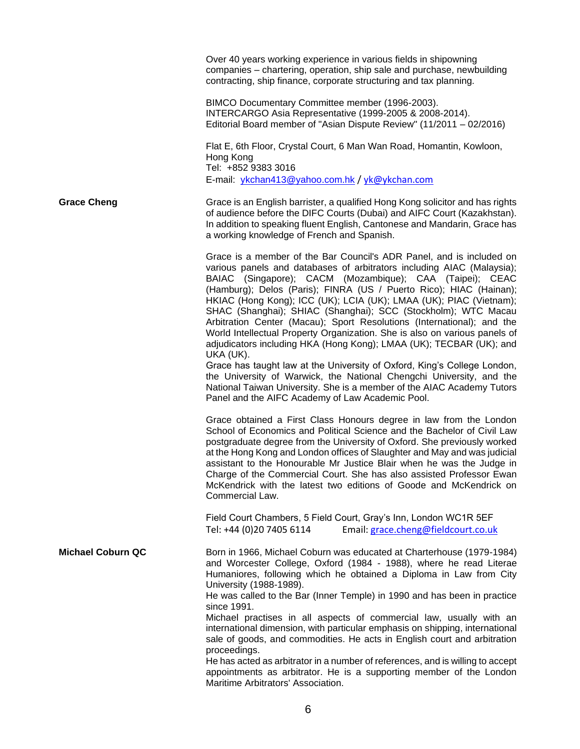|                          | Over 40 years working experience in various fields in shipowning<br>companies - chartering, operation, ship sale and purchase, newbuilding<br>contracting, ship finance, corporate structuring and tax planning.                                                                                                                                                                                                                                                                                                                                                                                                                                                    |
|--------------------------|---------------------------------------------------------------------------------------------------------------------------------------------------------------------------------------------------------------------------------------------------------------------------------------------------------------------------------------------------------------------------------------------------------------------------------------------------------------------------------------------------------------------------------------------------------------------------------------------------------------------------------------------------------------------|
|                          | BIMCO Documentary Committee member (1996-2003).<br>INTERCARGO Asia Representative (1999-2005 & 2008-2014).<br>Editorial Board member of "Asian Dispute Review" (11/2011 - 02/2016)                                                                                                                                                                                                                                                                                                                                                                                                                                                                                  |
|                          | Flat E, 6th Floor, Crystal Court, 6 Man Wan Road, Homantin, Kowloon,<br>Hong Kong<br>Tel: +852 9383 3016                                                                                                                                                                                                                                                                                                                                                                                                                                                                                                                                                            |
|                          | E-mail: ykchan413@yahoo.com.hk / yk@ykchan.com                                                                                                                                                                                                                                                                                                                                                                                                                                                                                                                                                                                                                      |
| <b>Grace Cheng</b>       | Grace is an English barrister, a qualified Hong Kong solicitor and has rights<br>of audience before the DIFC Courts (Dubai) and AIFC Court (Kazakhstan).<br>In addition to speaking fluent English, Cantonese and Mandarin, Grace has<br>a working knowledge of French and Spanish.                                                                                                                                                                                                                                                                                                                                                                                 |
|                          | Grace is a member of the Bar Council's ADR Panel, and is included on<br>various panels and databases of arbitrators including AIAC (Malaysia);<br>BAIAC (Singapore); CACM (Mozambique); CAA (Taipei); CEAC<br>(Hamburg); Delos (Paris); FINRA (US / Puerto Rico); HIAC (Hainan);<br>HKIAC (Hong Kong); ICC (UK); LCIA (UK); LMAA (UK); PIAC (Vietnam);<br>SHAC (Shanghai); SHIAC (Shanghai); SCC (Stockholm); WTC Macau<br>Arbitration Center (Macau); Sport Resolutions (International); and the<br>World Intellectual Property Organization. She is also on various panels of<br>adjudicators including HKA (Hong Kong); LMAA (UK); TECBAR (UK); and<br>UKA (UK). |
|                          | Grace has taught law at the University of Oxford, King's College London,<br>the University of Warwick, the National Chengchi University, and the<br>National Taiwan University. She is a member of the AIAC Academy Tutors<br>Panel and the AIFC Academy of Law Academic Pool.                                                                                                                                                                                                                                                                                                                                                                                      |
|                          | Grace obtained a First Class Honours degree in law from the London<br>School of Economics and Political Science and the Bachelor of Civil Law<br>postgraduate degree from the University of Oxford. She previously worked<br>at the Hong Kong and London offices of Slaughter and May and was judicial<br>assistant to the Honourable Mr Justice Blair when he was the Judge in<br>Charge of the Commercial Court. She has also assisted Professor Ewan<br>McKendrick with the latest two editions of Goode and McKendrick on<br>Commercial Law.                                                                                                                    |
|                          | Field Court Chambers, 5 Field Court, Gray's Inn, London WC1R 5EF<br>Email: grace.cheng@fieldcourt.co.uk<br>Tel: +44 (0)20 7405 6114                                                                                                                                                                                                                                                                                                                                                                                                                                                                                                                                 |
| <b>Michael Coburn QC</b> | Born in 1966, Michael Coburn was educated at Charterhouse (1979-1984)<br>and Worcester College, Oxford (1984 - 1988), where he read Literae<br>Humaniores, following which he obtained a Diploma in Law from City<br>University (1988-1989).<br>He was called to the Bar (Inner Temple) in 1990 and has been in practice                                                                                                                                                                                                                                                                                                                                            |
|                          | since 1991.<br>Michael practises in all aspects of commercial law, usually with an<br>international dimension, with particular emphasis on shipping, international<br>sale of goods, and commodities. He acts in English court and arbitration<br>proceedings.                                                                                                                                                                                                                                                                                                                                                                                                      |
|                          | He has acted as arbitrator in a number of references, and is willing to accept<br>appointments as arbitrator. He is a supporting member of the London<br>Maritime Arbitrators' Association.                                                                                                                                                                                                                                                                                                                                                                                                                                                                         |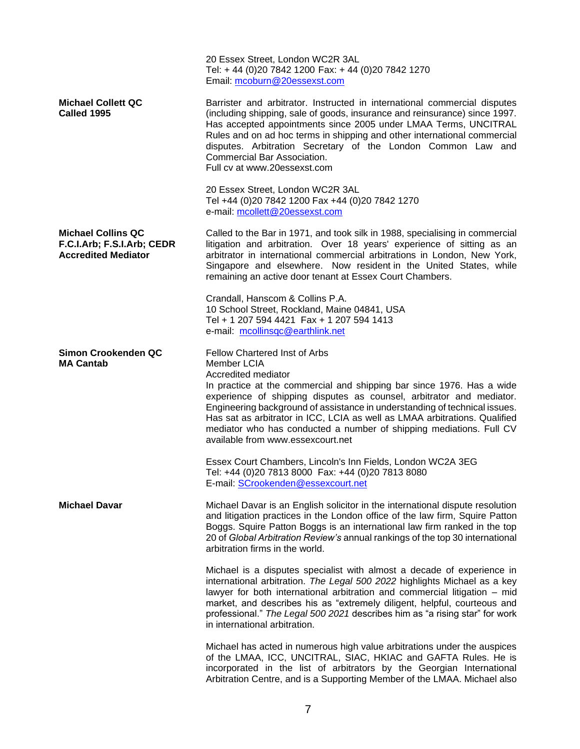|                                                                                       | Tel: +44 (0)20 7842 1200 Fax: +44 (0)20 7842 1270<br>Email: mcoburn@20essexst.com                                                                                                                                                                                                                                                                                                                                                                                                            |
|---------------------------------------------------------------------------------------|----------------------------------------------------------------------------------------------------------------------------------------------------------------------------------------------------------------------------------------------------------------------------------------------------------------------------------------------------------------------------------------------------------------------------------------------------------------------------------------------|
| <b>Michael Collett QC</b><br>Called 1995                                              | Barrister and arbitrator. Instructed in international commercial disputes<br>(including shipping, sale of goods, insurance and reinsurance) since 1997.<br>Has accepted appointments since 2005 under LMAA Terms, UNCITRAL<br>Rules and on ad hoc terms in shipping and other international commercial<br>disputes. Arbitration Secretary of the London Common Law and<br>Commercial Bar Association.<br>Full cv at www.20essexst.com                                                        |
|                                                                                       | 20 Essex Street, London WC2R 3AL<br>Tel +44 (0)20 7842 1200 Fax +44 (0)20 7842 1270<br>e-mail: mcollett@20essexst.com                                                                                                                                                                                                                                                                                                                                                                        |
| <b>Michael Collins QC</b><br>F.C.I.Arb; F.S.I.Arb; CEDR<br><b>Accredited Mediator</b> | Called to the Bar in 1971, and took silk in 1988, specialising in commercial<br>litigation and arbitration. Over 18 years' experience of sitting as an<br>arbitrator in international commercial arbitrations in London, New York,<br>Singapore and elsewhere. Now resident in the United States, while<br>remaining an active door tenant at Essex Court Chambers.                                                                                                                          |
|                                                                                       | Crandall, Hanscom & Collins P.A.<br>10 School Street, Rockland, Maine 04841, USA<br>Tel + 1 207 594 4421 Fax + 1 207 594 1413<br>e-mail: mcollinsqc@earthlink.net                                                                                                                                                                                                                                                                                                                            |
| Simon Crookenden QC<br><b>MA Cantab</b>                                               | Fellow Chartered Inst of Arbs<br>Member LCIA<br>Accredited mediator<br>In practice at the commercial and shipping bar since 1976. Has a wide<br>experience of shipping disputes as counsel, arbitrator and mediator.<br>Engineering background of assistance in understanding of technical issues.<br>Has sat as arbitrator in ICC, LCIA as well as LMAA arbitrations. Qualified<br>mediator who has conducted a number of shipping mediations. Full CV<br>available from www.essexcourt.net |
|                                                                                       | Essex Court Chambers, Lincoln's Inn Fields, London WC2A 3EG<br>Tel: +44 (0)20 7813 8000 Fax: +44 (0)20 7813 8080<br>E-mail: SCrookenden@essexcourt.net                                                                                                                                                                                                                                                                                                                                       |
| <b>Michael Davar</b>                                                                  | Michael Davar is an English solicitor in the international dispute resolution<br>and litigation practices in the London office of the law firm, Squire Patton<br>Boggs. Squire Patton Boggs is an international law firm ranked in the top<br>20 of Global Arbitration Review's annual rankings of the top 30 international<br>arbitration firms in the world.                                                                                                                               |
|                                                                                       | Michael is a disputes specialist with almost a decade of experience in<br>international arbitration. The Legal 500 2022 highlights Michael as a key<br>lawyer for both international arbitration and commercial litigation - mid<br>market, and describes his as "extremely diligent, helpful, courteous and<br>professional." The Legal 500 2021 describes him as "a rising star" for work<br>in international arbitration.                                                                 |
|                                                                                       | Michael has acted in numerous high value arbitrations under the auspices<br>of the LMAA, ICC, UNCITRAL, SIAC, HKIAC and GAFTA Rules. He is<br>incorporated in the list of arbitrators by the Georgian International<br>Arbitration Centre, and is a Supporting Member of the LMAA. Michael also                                                                                                                                                                                              |

20 Essex Street, London WC2R 3AL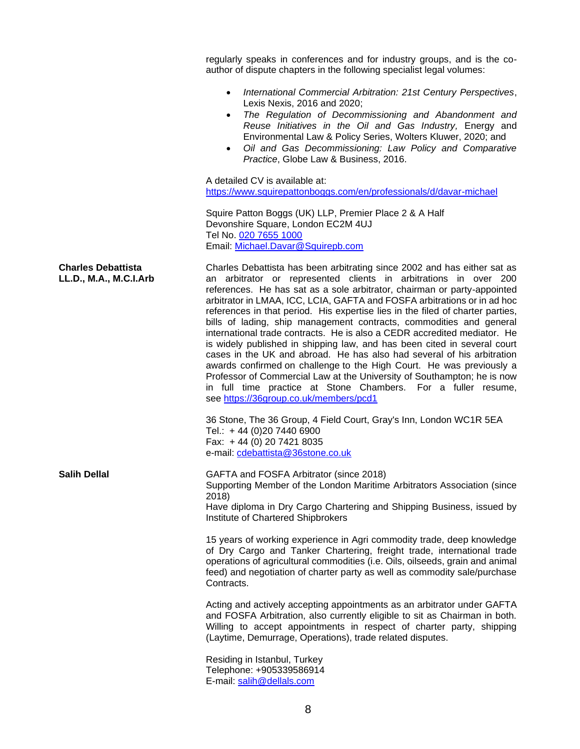|                                                     | regularly speaks in conferences and for industry groups, and is the co-<br>author of dispute chapters in the following specialist legal volumes:                                                                                                                                                                                                                                                                                                                                                                                                                                                                                                                                                                                                                                                                                                                                                                                                              |
|-----------------------------------------------------|---------------------------------------------------------------------------------------------------------------------------------------------------------------------------------------------------------------------------------------------------------------------------------------------------------------------------------------------------------------------------------------------------------------------------------------------------------------------------------------------------------------------------------------------------------------------------------------------------------------------------------------------------------------------------------------------------------------------------------------------------------------------------------------------------------------------------------------------------------------------------------------------------------------------------------------------------------------|
|                                                     | International Commercial Arbitration: 21st Century Perspectives,<br>$\bullet$<br>Lexis Nexis, 2016 and 2020;<br>The Regulation of Decommissioning and Abandonment and<br>$\bullet$<br>Reuse Initiatives in the Oil and Gas Industry, Energy and<br>Environmental Law & Policy Series, Wolters Kluwer, 2020; and<br>Oil and Gas Decommissioning: Law Policy and Comparative<br>$\bullet$<br>Practice, Globe Law & Business, 2016.                                                                                                                                                                                                                                                                                                                                                                                                                                                                                                                              |
|                                                     | A detailed CV is available at:<br>https://www.squirepattonboggs.com/en/professionals/d/davar-michael                                                                                                                                                                                                                                                                                                                                                                                                                                                                                                                                                                                                                                                                                                                                                                                                                                                          |
|                                                     | Squire Patton Boggs (UK) LLP, Premier Place 2 & A Half<br>Devonshire Square, London EC2M 4UJ<br>Tel No. 020 7655 1000<br>Email: Michael.Davar@Squirepb.com                                                                                                                                                                                                                                                                                                                                                                                                                                                                                                                                                                                                                                                                                                                                                                                                    |
| <b>Charles Debattista</b><br>LL.D., M.A., M.C.I.Arb | Charles Debattista has been arbitrating since 2002 and has either sat as<br>an arbitrator or represented clients in arbitrations in over 200<br>references. He has sat as a sole arbitrator, chairman or party-appointed<br>arbitrator in LMAA, ICC, LCIA, GAFTA and FOSFA arbitrations or in ad hoc<br>references in that period. His expertise lies in the filed of charter parties,<br>bills of lading, ship management contracts, commodities and general<br>international trade contracts. He is also a CEDR accredited mediator. He<br>is widely published in shipping law, and has been cited in several court<br>cases in the UK and abroad. He has also had several of his arbitration<br>awards confirmed on challenge to the High Court. He was previously a<br>Professor of Commercial Law at the University of Southampton; he is now<br>in full time practice at Stone Chambers. For a fuller resume,<br>see https://36group.co.uk/members/pcd1 |
|                                                     | 36 Stone, The 36 Group, 4 Field Court, Gray's Inn, London WC1R 5EA<br>Tel.: +44 (0)20 7440 6900<br>Fax: +44 (0) 20 7421 8035<br>e-mail: cdebattista@36stone.co.uk                                                                                                                                                                                                                                                                                                                                                                                                                                                                                                                                                                                                                                                                                                                                                                                             |
| <b>Salih Dellal</b>                                 | GAFTA and FOSFA Arbitrator (since 2018)<br>Supporting Member of the London Maritime Arbitrators Association (since<br>2018)<br>Have diploma in Dry Cargo Chartering and Shipping Business, issued by<br>Institute of Chartered Shipbrokers                                                                                                                                                                                                                                                                                                                                                                                                                                                                                                                                                                                                                                                                                                                    |
|                                                     | 15 years of working experience in Agri commodity trade, deep knowledge<br>of Dry Cargo and Tanker Chartering, freight trade, international trade<br>operations of agricultural commodities (i.e. Oils, oilseeds, grain and animal<br>feed) and negotiation of charter party as well as commodity sale/purchase<br>Contracts.                                                                                                                                                                                                                                                                                                                                                                                                                                                                                                                                                                                                                                  |
|                                                     | Acting and actively accepting appointments as an arbitrator under GAFTA<br>and FOSFA Arbitration, also currently eligible to sit as Chairman in both.<br>Willing to accept appointments in respect of charter party, shipping<br>(Laytime, Demurrage, Operations), trade related disputes.                                                                                                                                                                                                                                                                                                                                                                                                                                                                                                                                                                                                                                                                    |
|                                                     | Residing in Istanbul, Turkey<br>Telephone: +905339586914<br>E-mail: salih@dellals.com                                                                                                                                                                                                                                                                                                                                                                                                                                                                                                                                                                                                                                                                                                                                                                                                                                                                         |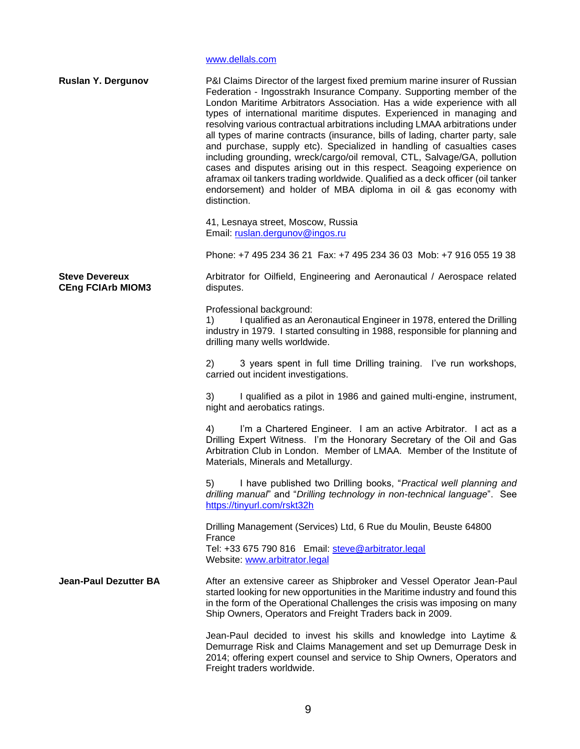[www.dellals.com](http://www.dellals.com/)

| <b>Ruslan Y. Dergunov</b>                         | P&I Claims Director of the largest fixed premium marine insurer of Russian<br>Federation - Ingosstrakh Insurance Company. Supporting member of the<br>London Maritime Arbitrators Association. Has a wide experience with all<br>types of international maritime disputes. Experienced in managing and<br>resolving various contractual arbitrations including LMAA arbitrations under<br>all types of marine contracts (insurance, bills of lading, charter party, sale<br>and purchase, supply etc). Specialized in handling of casualties cases<br>including grounding, wreck/cargo/oil removal, CTL, Salvage/GA, pollution<br>cases and disputes arising out in this respect. Seagoing experience on<br>aframax oil tankers trading worldwide. Qualified as a deck officer (oil tanker<br>endorsement) and holder of MBA diploma in oil & gas economy with<br>distinction. |
|---------------------------------------------------|--------------------------------------------------------------------------------------------------------------------------------------------------------------------------------------------------------------------------------------------------------------------------------------------------------------------------------------------------------------------------------------------------------------------------------------------------------------------------------------------------------------------------------------------------------------------------------------------------------------------------------------------------------------------------------------------------------------------------------------------------------------------------------------------------------------------------------------------------------------------------------|
|                                                   | 41, Lesnaya street, Moscow, Russia<br>Email: ruslan.dergunov@ingos.ru                                                                                                                                                                                                                                                                                                                                                                                                                                                                                                                                                                                                                                                                                                                                                                                                          |
|                                                   | Phone: +7 495 234 36 21 Fax: +7 495 234 36 03 Mob: +7 916 055 19 38                                                                                                                                                                                                                                                                                                                                                                                                                                                                                                                                                                                                                                                                                                                                                                                                            |
| <b>Steve Devereux</b><br><b>CEng FCIArb MIOM3</b> | Arbitrator for Oilfield, Engineering and Aeronautical / Aerospace related<br>disputes.                                                                                                                                                                                                                                                                                                                                                                                                                                                                                                                                                                                                                                                                                                                                                                                         |
|                                                   | Professional background:<br>I qualified as an Aeronautical Engineer in 1978, entered the Drilling<br>1)<br>industry in 1979. I started consulting in 1988, responsible for planning and<br>drilling many wells worldwide.                                                                                                                                                                                                                                                                                                                                                                                                                                                                                                                                                                                                                                                      |
|                                                   | 3 years spent in full time Drilling training. I've run workshops,<br>2)<br>carried out incident investigations.                                                                                                                                                                                                                                                                                                                                                                                                                                                                                                                                                                                                                                                                                                                                                                |
|                                                   | I qualified as a pilot in 1986 and gained multi-engine, instrument,<br>3)<br>night and aerobatics ratings.                                                                                                                                                                                                                                                                                                                                                                                                                                                                                                                                                                                                                                                                                                                                                                     |
|                                                   | I'm a Chartered Engineer. I am an active Arbitrator. I act as a<br>4)<br>Drilling Expert Witness. I'm the Honorary Secretary of the Oil and Gas<br>Arbitration Club in London. Member of LMAA. Member of the Institute of<br>Materials, Minerals and Metallurgy.                                                                                                                                                                                                                                                                                                                                                                                                                                                                                                                                                                                                               |
|                                                   | I have published two Drilling books, "Practical well planning and<br>5)<br>drilling manual" and "Drilling technology in non-technical language". See<br>https://tinyurl.com/rskt32h                                                                                                                                                                                                                                                                                                                                                                                                                                                                                                                                                                                                                                                                                            |
|                                                   | Drilling Management (Services) Ltd, 6 Rue du Moulin, Beuste 64800                                                                                                                                                                                                                                                                                                                                                                                                                                                                                                                                                                                                                                                                                                                                                                                                              |
|                                                   | France<br>Tel: +33 675 790 816 Email: steve@arbitrator.legal<br>Website: www.arbitrator.legal                                                                                                                                                                                                                                                                                                                                                                                                                                                                                                                                                                                                                                                                                                                                                                                  |
| <b>Jean-Paul Dezutter BA</b>                      | After an extensive career as Shipbroker and Vessel Operator Jean-Paul<br>started looking for new opportunities in the Maritime industry and found this<br>in the form of the Operational Challenges the crisis was imposing on many<br>Ship Owners, Operators and Freight Traders back in 2009.                                                                                                                                                                                                                                                                                                                                                                                                                                                                                                                                                                                |
|                                                   | Jean-Paul decided to invest his skills and knowledge into Laytime &<br>Demurrage Risk and Claims Management and set up Demurrage Desk in<br>2014; offering expert counsel and service to Ship Owners, Operators and<br>Freight traders worldwide.                                                                                                                                                                                                                                                                                                                                                                                                                                                                                                                                                                                                                              |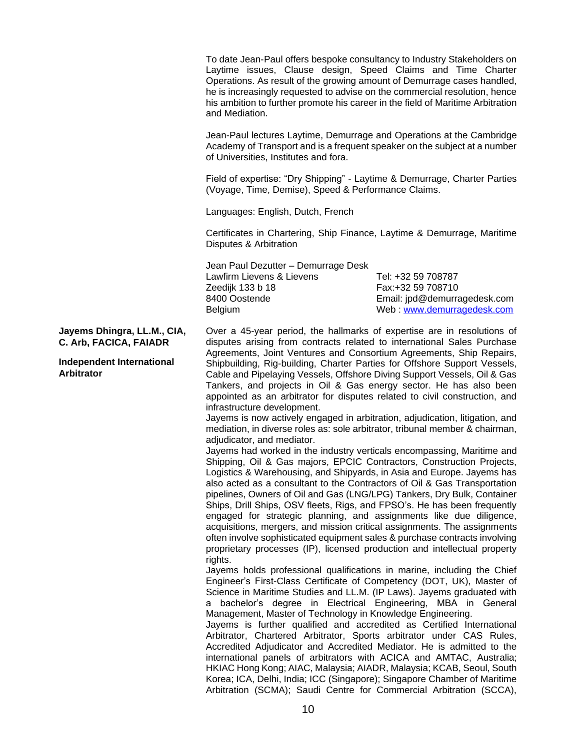To date Jean-Paul offers bespoke consultancy to Industry Stakeholders on Laytime issues, Clause design, Speed Claims and Time Charter Operations. As result of the growing amount of Demurrage cases handled, he is increasingly requested to advise on the commercial resolution, hence his ambition to further promote his career in the field of Maritime Arbitration and Mediation.

Jean-Paul lectures Laytime, Demurrage and Operations at the Cambridge Academy of Transport and is a frequent speaker on the subject at a number of Universities, Institutes and fora.

Field of expertise: "Dry Shipping" - Laytime & Demurrage, Charter Parties (Voyage, Time, Demise), Speed & Performance Claims.

Languages: English, Dutch, French

Certificates in Chartering, Ship Finance, Laytime & Demurrage, Maritime Disputes & Arbitration

Jean Paul Dezutter – Demurrage Desk Lawfirm Lievens & Lievens Tel: +32 59 708787 Zeedijk 133 b 18 Fax:+32 59 708710 8400 Oostende Email: jpd@demurragedesk.com Belgium Web : [www.demurragedesk.com](http://www.demurragedesk.com/)

**Jayems Dhingra, LL.M., CIA, C. Arb, FACICA, FAIADR**

**Independent International Arbitrator**

Over a 45-year period, the hallmarks of expertise are in resolutions of disputes arising from contracts related to international Sales Purchase Agreements, Joint Ventures and Consortium Agreements, Ship Repairs, Shipbuilding, Rig-building, Charter Parties for Offshore Support Vessels, Cable and Pipelaying Vessels, Offshore Diving Support Vessels, Oil & Gas Tankers, and projects in Oil & Gas energy sector. He has also been appointed as an arbitrator for disputes related to civil construction, and infrastructure development.

Jayems is now actively engaged in arbitration, adjudication, litigation, and mediation, in diverse roles as: sole arbitrator, tribunal member & chairman, adjudicator, and mediator.

Jayems had worked in the industry verticals encompassing, Maritime and Shipping, Oil & Gas majors, EPCIC Contractors, Construction Projects, Logistics & Warehousing, and Shipyards, in Asia and Europe. Jayems has also acted as a consultant to the Contractors of Oil & Gas Transportation pipelines, Owners of Oil and Gas (LNG/LPG) Tankers, Dry Bulk, Container Ships, Drill Ships, OSV fleets, Rigs, and FPSO's. He has been frequently engaged for strategic planning, and assignments like due diligence, acquisitions, mergers, and mission critical assignments. The assignments often involve sophisticated equipment sales & purchase contracts involving proprietary processes (IP), licensed production and intellectual property rights.

Jayems holds professional qualifications in marine, including the Chief Engineer's First-Class Certificate of Competency (DOT, UK), Master of Science in Maritime Studies and LL.M. (IP Laws). Jayems graduated with a bachelor's degree in Electrical Engineering, MBA in General Management, Master of Technology in Knowledge Engineering.

Jayems is further qualified and accredited as Certified International Arbitrator, Chartered Arbitrator, Sports arbitrator under CAS Rules, Accredited Adjudicator and Accredited Mediator. He is admitted to the international panels of arbitrators with ACICA and AMTAC, Australia; HKIAC Hong Kong; AIAC, Malaysia; AIADR, Malaysia; KCAB, Seoul, South Korea; ICA, Delhi, India; ICC (Singapore); Singapore Chamber of Maritime Arbitration (SCMA); Saudi Centre for Commercial Arbitration (SCCA),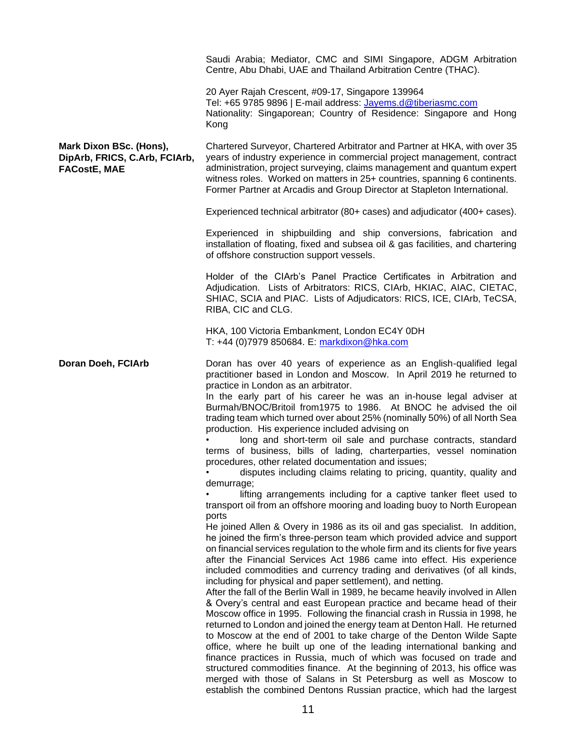|                                                                                 | Saudi Arabia; Mediator, CMC and SIMI Singapore, ADGM Arbitration<br>Centre, Abu Dhabi, UAE and Thailand Arbitration Centre (THAC).                                                                                                                                                                                                                                                                                                                                                                                                                                                                                                                                                                                                                                                                                                                                                                                                                                                                                                                                                                                                                                                                                                                                                                                                                                                                                                                                                                                                                                                                                                                                                                                                                                                                                                                                                                                                                                                                                                                                                                                                                               |
|---------------------------------------------------------------------------------|------------------------------------------------------------------------------------------------------------------------------------------------------------------------------------------------------------------------------------------------------------------------------------------------------------------------------------------------------------------------------------------------------------------------------------------------------------------------------------------------------------------------------------------------------------------------------------------------------------------------------------------------------------------------------------------------------------------------------------------------------------------------------------------------------------------------------------------------------------------------------------------------------------------------------------------------------------------------------------------------------------------------------------------------------------------------------------------------------------------------------------------------------------------------------------------------------------------------------------------------------------------------------------------------------------------------------------------------------------------------------------------------------------------------------------------------------------------------------------------------------------------------------------------------------------------------------------------------------------------------------------------------------------------------------------------------------------------------------------------------------------------------------------------------------------------------------------------------------------------------------------------------------------------------------------------------------------------------------------------------------------------------------------------------------------------------------------------------------------------------------------------------------------------|
|                                                                                 | 20 Ayer Rajah Crescent, #09-17, Singapore 139964<br>Tel: +65 9785 9896   E-mail address: Jayems.d@tiberiasmc.com<br>Nationality: Singaporean; Country of Residence: Singapore and Hong<br>Kong                                                                                                                                                                                                                                                                                                                                                                                                                                                                                                                                                                                                                                                                                                                                                                                                                                                                                                                                                                                                                                                                                                                                                                                                                                                                                                                                                                                                                                                                                                                                                                                                                                                                                                                                                                                                                                                                                                                                                                   |
| Mark Dixon BSc. (Hons),<br>DipArb, FRICS, C.Arb, FCIArb,<br><b>FACostE, MAE</b> | Chartered Surveyor, Chartered Arbitrator and Partner at HKA, with over 35<br>years of industry experience in commercial project management, contract<br>administration, project surveying, claims management and quantum expert<br>witness roles. Worked on matters in 25+ countries, spanning 6 continents.<br>Former Partner at Arcadis and Group Director at Stapleton International.                                                                                                                                                                                                                                                                                                                                                                                                                                                                                                                                                                                                                                                                                                                                                                                                                                                                                                                                                                                                                                                                                                                                                                                                                                                                                                                                                                                                                                                                                                                                                                                                                                                                                                                                                                         |
|                                                                                 | Experienced technical arbitrator (80+ cases) and adjudicator (400+ cases).                                                                                                                                                                                                                                                                                                                                                                                                                                                                                                                                                                                                                                                                                                                                                                                                                                                                                                                                                                                                                                                                                                                                                                                                                                                                                                                                                                                                                                                                                                                                                                                                                                                                                                                                                                                                                                                                                                                                                                                                                                                                                       |
|                                                                                 | Experienced in shipbuilding and ship conversions, fabrication and<br>installation of floating, fixed and subsea oil & gas facilities, and chartering<br>of offshore construction support vessels.                                                                                                                                                                                                                                                                                                                                                                                                                                                                                                                                                                                                                                                                                                                                                                                                                                                                                                                                                                                                                                                                                                                                                                                                                                                                                                                                                                                                                                                                                                                                                                                                                                                                                                                                                                                                                                                                                                                                                                |
|                                                                                 | Holder of the CIArb's Panel Practice Certificates in Arbitration and<br>Adjudication. Lists of Arbitrators: RICS, CIArb, HKIAC, AIAC, CIETAC,<br>SHIAC, SCIA and PIAC. Lists of Adjudicators: RICS, ICE, CIArb, TeCSA,<br>RIBA, CIC and CLG.                                                                                                                                                                                                                                                                                                                                                                                                                                                                                                                                                                                                                                                                                                                                                                                                                                                                                                                                                                                                                                                                                                                                                                                                                                                                                                                                                                                                                                                                                                                                                                                                                                                                                                                                                                                                                                                                                                                     |
|                                                                                 | HKA, 100 Victoria Embankment, London EC4Y 0DH<br>T: +44 (0)7979 850684. E: markdixon@hka.com                                                                                                                                                                                                                                                                                                                                                                                                                                                                                                                                                                                                                                                                                                                                                                                                                                                                                                                                                                                                                                                                                                                                                                                                                                                                                                                                                                                                                                                                                                                                                                                                                                                                                                                                                                                                                                                                                                                                                                                                                                                                     |
| Doran Doeh, FCIArb                                                              | Doran has over 40 years of experience as an English-qualified legal<br>practitioner based in London and Moscow. In April 2019 he returned to<br>practice in London as an arbitrator.<br>In the early part of his career he was an in-house legal adviser at<br>Burmah/BNOC/Britoil from1975 to 1986. At BNOC he advised the oil<br>trading team which turned over about 25% (nominally 50%) of all North Sea<br>production. His experience included advising on<br>long and short-term oil sale and purchase contracts, standard<br>terms of business, bills of lading, charterparties, vessel nomination<br>procedures, other related documentation and issues;<br>disputes including claims relating to pricing, quantity, quality and<br>demurrage;<br>lifting arrangements including for a captive tanker fleet used to<br>transport oil from an offshore mooring and loading buoy to North European<br>ports<br>He joined Allen & Overy in 1986 as its oil and gas specialist. In addition,<br>he joined the firm's three-person team which provided advice and support<br>on financial services regulation to the whole firm and its clients for five years<br>after the Financial Services Act 1986 came into effect. His experience<br>included commodities and currency trading and derivatives (of all kinds,<br>including for physical and paper settlement), and netting.<br>After the fall of the Berlin Wall in 1989, he became heavily involved in Allen<br>& Overy's central and east European practice and became head of their<br>Moscow office in 1995. Following the financial crash in Russia in 1998, he<br>returned to London and joined the energy team at Denton Hall. He returned<br>to Moscow at the end of 2001 to take charge of the Denton Wilde Sapte<br>office, where he built up one of the leading international banking and<br>finance practices in Russia, much of which was focused on trade and<br>structured commodities finance. At the beginning of 2013, his office was<br>merged with those of Salans in St Petersburg as well as Moscow to<br>establish the combined Dentons Russian practice, which had the largest |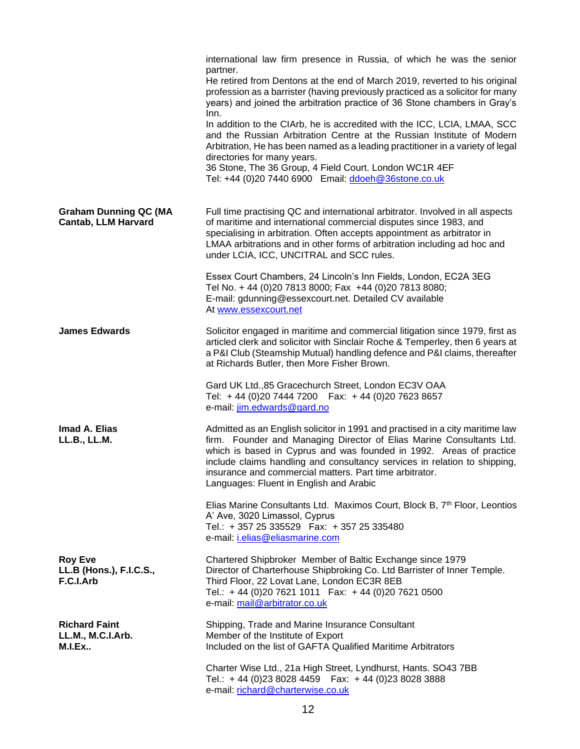|                                                            | international law firm presence in Russia, of which he was the senior<br>partner.<br>He retired from Dentons at the end of March 2019, reverted to his original<br>profession as a barrister (having previously practiced as a solicitor for many<br>years) and joined the arbitration practice of 36 Stone chambers in Gray's<br>Inn.<br>In addition to the CIArb, he is accredited with the ICC, LCIA, LMAA, SCC<br>and the Russian Arbitration Centre at the Russian Institute of Modern<br>Arbitration, He has been named as a leading practitioner in a variety of legal<br>directories for many years.<br>36 Stone, The 36 Group, 4 Field Court. London WC1R 4EF<br>Tel: +44 (0)20 7440 6900 Email: ddoeh@36stone.co.uk |
|------------------------------------------------------------|-------------------------------------------------------------------------------------------------------------------------------------------------------------------------------------------------------------------------------------------------------------------------------------------------------------------------------------------------------------------------------------------------------------------------------------------------------------------------------------------------------------------------------------------------------------------------------------------------------------------------------------------------------------------------------------------------------------------------------|
| <b>Graham Dunning QC (MA</b><br><b>Cantab, LLM Harvard</b> | Full time practising QC and international arbitrator. Involved in all aspects<br>of maritime and international commercial disputes since 1983, and<br>specialising in arbitration. Often accepts appointment as arbitrator in<br>LMAA arbitrations and in other forms of arbitration including ad hoc and<br>under LCIA, ICC, UNCITRAL and SCC rules.                                                                                                                                                                                                                                                                                                                                                                         |
|                                                            | Essex Court Chambers, 24 Lincoln's Inn Fields, London, EC2A 3EG<br>Tel No. + 44 (0)20 7813 8000; Fax +44 (0)20 7813 8080;<br>E-mail: gdunning@essexcourt.net. Detailed CV available<br>At www.essexcourt.net                                                                                                                                                                                                                                                                                                                                                                                                                                                                                                                  |
| <b>James Edwards</b>                                       | Solicitor engaged in maritime and commercial litigation since 1979, first as<br>articled clerk and solicitor with Sinclair Roche & Temperley, then 6 years at<br>a P&I Club (Steamship Mutual) handling defence and P&I claims, thereafter<br>at Richards Butler, then More Fisher Brown.                                                                                                                                                                                                                                                                                                                                                                                                                                     |
|                                                            | Gard UK Ltd., 85 Gracechurch Street, London EC3V OAA<br>Tel: +44 (0)20 7444 7200  Fax: +44 (0)20 7623 8657<br>e-mail: jim.edwards@gard.no                                                                                                                                                                                                                                                                                                                                                                                                                                                                                                                                                                                     |
| Imad A. Elias<br>LL.B., LL.M.                              | Admitted as an English solicitor in 1991 and practised in a city maritime law<br>firm. Founder and Managing Director of Elias Marine Consultants Ltd.<br>which is based in Cyprus and was founded in 1992. Areas of practice<br>include claims handling and consultancy services in relation to shipping,<br>insurance and commercial matters. Part time arbitrator.<br>Languages: Fluent in English and Arabic                                                                                                                                                                                                                                                                                                               |
|                                                            | Elias Marine Consultants Ltd. Maximos Court, Block B, 7 <sup>th</sup> Floor, Leontios<br>A' Ave, 3020 Limassol, Cyprus<br>Tel.: +357 25 335529  Fax: +357 25 335480<br>e-mail: <i>i.elias@eliasmarine.com</i>                                                                                                                                                                                                                                                                                                                                                                                                                                                                                                                 |
| <b>Roy Eve</b><br>LL.B (Hons.), F.I.C.S.,<br>F.C.I.Arb     | Chartered Shipbroker Member of Baltic Exchange since 1979<br>Director of Charterhouse Shipbroking Co. Ltd Barrister of Inner Temple.<br>Third Floor, 22 Lovat Lane, London EC3R 8EB<br>Tel.: +44 (0)20 7621 1011  Fax: +44 (0)20 7621 0500<br>e-mail: mail@arbitrator.co.uk                                                                                                                                                                                                                                                                                                                                                                                                                                                   |
| <b>Richard Faint</b><br>LL.M., M.C.I.Arb.<br><b>M.I.Ex</b> | Shipping, Trade and Marine Insurance Consultant<br>Member of the Institute of Export<br>Included on the list of GAFTA Qualified Maritime Arbitrators                                                                                                                                                                                                                                                                                                                                                                                                                                                                                                                                                                          |
|                                                            | Charter Wise Ltd., 21a High Street, Lyndhurst, Hants. SO43 7BB<br>Tel.: +44 (0)23 8028 4459   Fax: +44 (0)23 8028 3888<br>e-mail: richard@charterwise.co.uk                                                                                                                                                                                                                                                                                                                                                                                                                                                                                                                                                                   |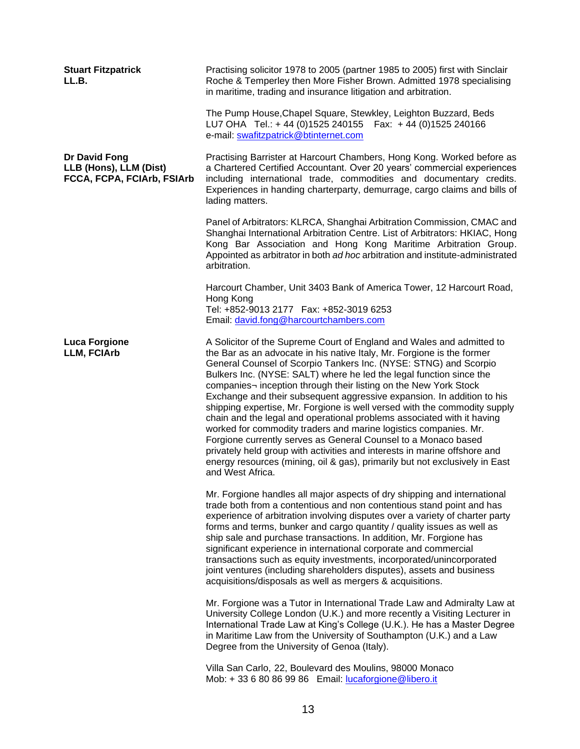| <b>Stuart Fitzpatrick</b><br>LL.B.                                    | Practising solicitor 1978 to 2005 (partner 1985 to 2005) first with Sinclair<br>Roche & Temperley then More Fisher Brown. Admitted 1978 specialising<br>in maritime, trading and insurance litigation and arbitration.                                                                                                                                                                                                                                                                                                                                                                                                                                                                                                                                                                                                                                                                                                |
|-----------------------------------------------------------------------|-----------------------------------------------------------------------------------------------------------------------------------------------------------------------------------------------------------------------------------------------------------------------------------------------------------------------------------------------------------------------------------------------------------------------------------------------------------------------------------------------------------------------------------------------------------------------------------------------------------------------------------------------------------------------------------------------------------------------------------------------------------------------------------------------------------------------------------------------------------------------------------------------------------------------|
|                                                                       | The Pump House, Chapel Square, Stewkley, Leighton Buzzard, Beds<br>LU7 OHA Tel.: + 44 (0)1525 240155  Fax: +44 (0)1525 240166<br>e-mail: swafitzpatrick@btinternet.com                                                                                                                                                                                                                                                                                                                                                                                                                                                                                                                                                                                                                                                                                                                                                |
| Dr David Fong<br>LLB (Hons), LLM (Dist)<br>FCCA, FCPA, FCIArb, FSIArb | Practising Barrister at Harcourt Chambers, Hong Kong. Worked before as<br>a Chartered Certified Accountant. Over 20 years' commercial experiences<br>including international trade, commodities and documentary credits.<br>Experiences in handing charterparty, demurrage, cargo claims and bills of<br>lading matters.                                                                                                                                                                                                                                                                                                                                                                                                                                                                                                                                                                                              |
|                                                                       | Panel of Arbitrators: KLRCA, Shanghai Arbitration Commission, CMAC and<br>Shanghai International Arbitration Centre. List of Arbitrators: HKIAC, Hong<br>Kong Bar Association and Hong Kong Maritime Arbitration Group.<br>Appointed as arbitrator in both ad hoc arbitration and institute-administrated<br>arbitration.                                                                                                                                                                                                                                                                                                                                                                                                                                                                                                                                                                                             |
|                                                                       | Harcourt Chamber, Unit 3403 Bank of America Tower, 12 Harcourt Road,<br>Hong Kong<br>Tel: +852-9013 2177    Fax: +852-3019 6253<br>Email: david.fong@harcourtchambers.com                                                                                                                                                                                                                                                                                                                                                                                                                                                                                                                                                                                                                                                                                                                                             |
| <b>Luca Forgione</b><br><b>LLM, FCIArb</b>                            | A Solicitor of the Supreme Court of England and Wales and admitted to<br>the Bar as an advocate in his native Italy, Mr. Forgione is the former<br>General Counsel of Scorpio Tankers Inc. (NYSE: STNG) and Scorpio<br>Bulkers Inc. (NYSE: SALT) where he led the legal function since the<br>companies- inception through their listing on the New York Stock<br>Exchange and their subsequent aggressive expansion. In addition to his<br>shipping expertise, Mr. Forgione is well versed with the commodity supply<br>chain and the legal and operational problems associated with it having<br>worked for commodity traders and marine logistics companies. Mr.<br>Forgione currently serves as General Counsel to a Monaco based<br>privately held group with activities and interests in marine offshore and<br>energy resources (mining, oil & gas), primarily but not exclusively in East<br>and West Africa. |
|                                                                       | Mr. Forgione handles all major aspects of dry shipping and international<br>trade both from a contentious and non contentious stand point and has<br>experience of arbitration involving disputes over a variety of charter party<br>forms and terms, bunker and cargo quantity / quality issues as well as<br>ship sale and purchase transactions. In addition, Mr. Forgione has<br>significant experience in international corporate and commercial<br>transactions such as equity investments, incorporated/unincorporated<br>joint ventures (including shareholders disputes), assets and business<br>acquisitions/disposals as well as mergers & acquisitions.                                                                                                                                                                                                                                                   |
|                                                                       | Mr. Forgione was a Tutor in International Trade Law and Admiralty Law at<br>University College London (U.K.) and more recently a Visiting Lecturer in<br>International Trade Law at King's College (U.K.). He has a Master Degree<br>in Maritime Law from the University of Southampton (U.K.) and a Law<br>Degree from the University of Genoa (Italy).                                                                                                                                                                                                                                                                                                                                                                                                                                                                                                                                                              |
|                                                                       | Villa San Carlo, 22, Boulevard des Moulins, 98000 Monaco<br>Mob: +33 6 80 86 99 86 Email: lucaforgione@libero.it                                                                                                                                                                                                                                                                                                                                                                                                                                                                                                                                                                                                                                                                                                                                                                                                      |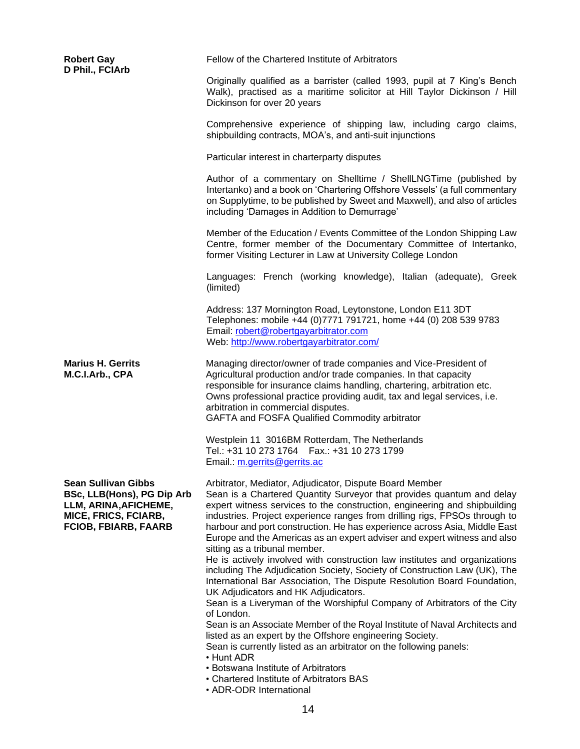| <b>Robert Gay</b><br>D Phil., FCIArb                                                                                                     | Fellow of the Chartered Institute of Arbitrators                                                                                                                                                                                                                                                                                                                                                                                                                                                                                                                                                                                                                                                                                                                                                                                                                                                                                                                                                                                                                                                                                                                               |
|------------------------------------------------------------------------------------------------------------------------------------------|--------------------------------------------------------------------------------------------------------------------------------------------------------------------------------------------------------------------------------------------------------------------------------------------------------------------------------------------------------------------------------------------------------------------------------------------------------------------------------------------------------------------------------------------------------------------------------------------------------------------------------------------------------------------------------------------------------------------------------------------------------------------------------------------------------------------------------------------------------------------------------------------------------------------------------------------------------------------------------------------------------------------------------------------------------------------------------------------------------------------------------------------------------------------------------|
|                                                                                                                                          | Originally qualified as a barrister (called 1993, pupil at 7 King's Bench<br>Walk), practised as a maritime solicitor at Hill Taylor Dickinson / Hill<br>Dickinson for over 20 years                                                                                                                                                                                                                                                                                                                                                                                                                                                                                                                                                                                                                                                                                                                                                                                                                                                                                                                                                                                           |
|                                                                                                                                          | Comprehensive experience of shipping law, including cargo claims,<br>shipbuilding contracts, MOA's, and anti-suit injunctions                                                                                                                                                                                                                                                                                                                                                                                                                                                                                                                                                                                                                                                                                                                                                                                                                                                                                                                                                                                                                                                  |
|                                                                                                                                          | Particular interest in charterparty disputes                                                                                                                                                                                                                                                                                                                                                                                                                                                                                                                                                                                                                                                                                                                                                                                                                                                                                                                                                                                                                                                                                                                                   |
|                                                                                                                                          | Author of a commentary on Shelltime / ShellLNGTime (published by<br>Intertanko) and a book on 'Chartering Offshore Vessels' (a full commentary<br>on Supplytime, to be published by Sweet and Maxwell), and also of articles<br>including 'Damages in Addition to Demurrage'                                                                                                                                                                                                                                                                                                                                                                                                                                                                                                                                                                                                                                                                                                                                                                                                                                                                                                   |
|                                                                                                                                          | Member of the Education / Events Committee of the London Shipping Law<br>Centre, former member of the Documentary Committee of Intertanko,<br>former Visiting Lecturer in Law at University College London                                                                                                                                                                                                                                                                                                                                                                                                                                                                                                                                                                                                                                                                                                                                                                                                                                                                                                                                                                     |
|                                                                                                                                          | Languages: French (working knowledge), Italian (adequate), Greek<br>(limited)                                                                                                                                                                                                                                                                                                                                                                                                                                                                                                                                                                                                                                                                                                                                                                                                                                                                                                                                                                                                                                                                                                  |
|                                                                                                                                          | Address: 137 Mornington Road, Leytonstone, London E11 3DT<br>Telephones: mobile +44 (0)7771 791721, home +44 (0) 208 539 9783<br>Email: robert@robertgayarbitrator.com<br>Web: http://www.robertgayarbitrator.com/                                                                                                                                                                                                                                                                                                                                                                                                                                                                                                                                                                                                                                                                                                                                                                                                                                                                                                                                                             |
| <b>Marius H. Gerrits</b><br>M.C.I.Arb., CPA                                                                                              | Managing director/owner of trade companies and Vice-President of<br>Agricultural production and/or trade companies. In that capacity<br>responsible for insurance claims handling, chartering, arbitration etc.<br>Owns professional practice providing audit, tax and legal services, i.e.<br>arbitration in commercial disputes.<br>GAFTA and FOSFA Qualified Commodity arbitrator                                                                                                                                                                                                                                                                                                                                                                                                                                                                                                                                                                                                                                                                                                                                                                                           |
|                                                                                                                                          | Westplein 11 3016BM Rotterdam, The Netherlands<br>Tel.: +31 10 273 1764   Fax.: +31 10 273 1799<br>Email.: m.gerrits@gerrits.ac                                                                                                                                                                                                                                                                                                                                                                                                                                                                                                                                                                                                                                                                                                                                                                                                                                                                                                                                                                                                                                                |
| <b>Sean Sullivan Gibbs</b><br>BSc, LLB(Hons), PG Dip Arb<br>LLM, ARINA, AFICHEME,<br>MICE, FRICS, FCIARB,<br><b>FCIOB, FBIARB, FAARB</b> | Arbitrator, Mediator, Adjudicator, Dispute Board Member<br>Sean is a Chartered Quantity Surveyor that provides quantum and delay<br>expert witness services to the construction, engineering and shipbuilding<br>industries. Project experience ranges from drilling rigs, FPSOs through to<br>harbour and port construction. He has experience across Asia, Middle East<br>Europe and the Americas as an expert adviser and expert witness and also<br>sitting as a tribunal member.<br>He is actively involved with construction law institutes and organizations<br>including The Adjudication Society, Society of Construction Law (UK), The<br>International Bar Association, The Dispute Resolution Board Foundation,<br>UK Adjudicators and HK Adjudicators.<br>Sean is a Liveryman of the Worshipful Company of Arbitrators of the City<br>of London.<br>Sean is an Associate Member of the Royal Institute of Naval Architects and<br>listed as an expert by the Offshore engineering Society.<br>Sean is currently listed as an arbitrator on the following panels:<br>• Hunt ADR<br>• Botswana Institute of Arbitrators<br>• Chartered Institute of Arbitrators BAS |
|                                                                                                                                          | • ADR-ODR International                                                                                                                                                                                                                                                                                                                                                                                                                                                                                                                                                                                                                                                                                                                                                                                                                                                                                                                                                                                                                                                                                                                                                        |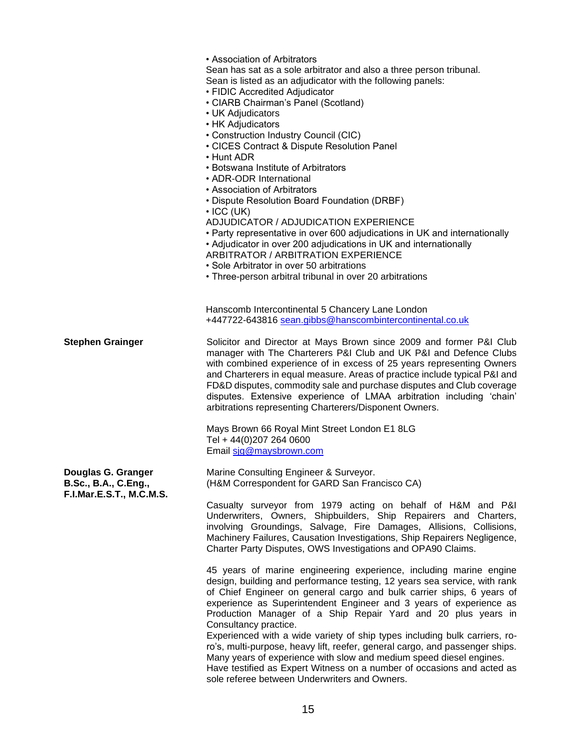|                                            | • Association of Arbitrators<br>Sean has sat as a sole arbitrator and also a three person tribunal.<br>Sean is listed as an adjudicator with the following panels:<br>• FIDIC Accredited Adjudicator<br>• CIARB Chairman's Panel (Scotland)<br>• UK Adjudicators<br>• HK Adjudicators<br>• Construction Industry Council (CIC)<br>• CICES Contract & Dispute Resolution Panel<br>$\cdot$ Hunt ADR<br>• Botswana Institute of Arbitrators<br>• ADR-ODR International<br>• Association of Arbitrators<br>• Dispute Resolution Board Foundation (DRBF)<br>$\cdot$ ICC (UK)<br>ADJUDICATOR / ADJUDICATION EXPERIENCE<br>• Party representative in over 600 adjudications in UK and internationally<br>• Adjudicator in over 200 adjudications in UK and internationally<br><b>ARBITRATOR / ARBITRATION EXPERIENCE</b><br>• Sole Arbitrator in over 50 arbitrations<br>• Three-person arbitral tribunal in over 20 arbitrations |
|--------------------------------------------|----------------------------------------------------------------------------------------------------------------------------------------------------------------------------------------------------------------------------------------------------------------------------------------------------------------------------------------------------------------------------------------------------------------------------------------------------------------------------------------------------------------------------------------------------------------------------------------------------------------------------------------------------------------------------------------------------------------------------------------------------------------------------------------------------------------------------------------------------------------------------------------------------------------------------|
|                                            | Hanscomb Intercontinental 5 Chancery Lane London<br>+447722-643816 sean.gibbs@hanscombintercontinental.co.uk                                                                                                                                                                                                                                                                                                                                                                                                                                                                                                                                                                                                                                                                                                                                                                                                               |
| <b>Stephen Grainger</b>                    | Solicitor and Director at Mays Brown since 2009 and former P&I Club<br>manager with The Charterers P&I Club and UK P&I and Defence Clubs<br>with combined experience of in excess of 25 years representing Owners<br>and Charterers in equal measure. Areas of practice include typical P&I and<br>FD&D disputes, commodity sale and purchase disputes and Club coverage<br>disputes. Extensive experience of LMAA arbitration including 'chain'<br>arbitrations representing Charterers/Disponent Owners.                                                                                                                                                                                                                                                                                                                                                                                                                 |
|                                            | Mays Brown 66 Royal Mint Street London E1 8LG<br>Tel + 44(0)207 264 0600<br>Email sig@maysbrown.com                                                                                                                                                                                                                                                                                                                                                                                                                                                                                                                                                                                                                                                                                                                                                                                                                        |
| Douglas G. Granger<br>B.Sc., B.A., C.Eng., | Marine Consulting Engineer & Surveyor.<br>(H&M Correspondent for GARD San Francisco CA)                                                                                                                                                                                                                                                                                                                                                                                                                                                                                                                                                                                                                                                                                                                                                                                                                                    |
| F.I.Mar.E.S.T., M.C.M.S.                   | Casualty surveyor from 1979 acting on behalf of H&M and P&I<br>Underwriters, Owners, Shipbuilders, Ship Repairers and Charters,<br>involving Groundings, Salvage, Fire Damages, Allisions, Collisions,<br>Machinery Failures, Causation Investigations, Ship Repairers Negligence,<br>Charter Party Disputes, OWS Investigations and OPA90 Claims.                                                                                                                                                                                                                                                                                                                                                                                                                                                                                                                                                                         |
|                                            | 45 years of marine engineering experience, including marine engine<br>design, building and performance testing, 12 years sea service, with rank<br>of Chief Engineer on general cargo and bulk carrier ships, 6 years of<br>experience as Superintendent Engineer and 3 years of experience as<br>Production Manager of a Ship Repair Yard and 20 plus years in<br>Consultancy practice.<br>Experienced with a wide variety of ship types including bulk carriers, ro-<br>ro's, multi-purpose, heavy lift, reefer, general cargo, and passenger ships.<br>Many years of experience with slow and medium speed diesel engines.<br>Have testified as Expert Witness on a number of occasions and acted as<br>sole referee between Underwriters and Owners.                                                                                                                                                                   |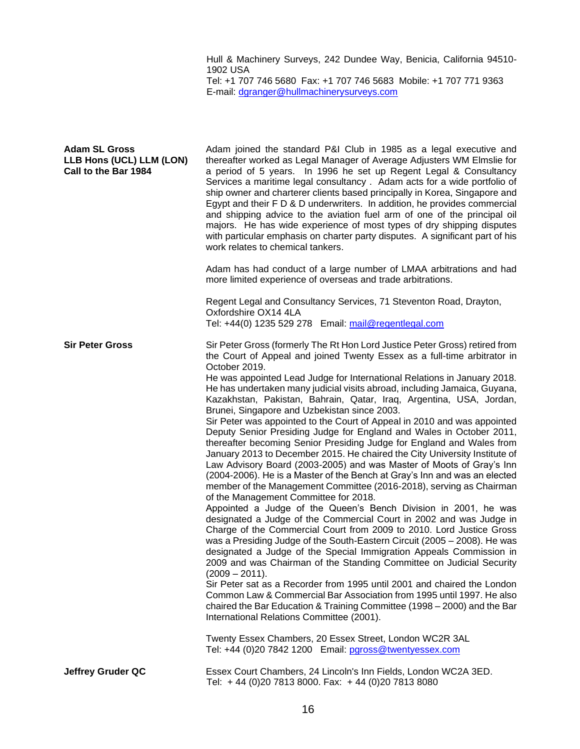Hull & Machinery Surveys, 242 Dundee Way, Benicia, California 94510- 1902 USA

Tel: +1 707 746 5680 Fax: +1 707 746 5683 Mobile: +1 707 771 9363 E-mail: [dgranger@hullmachinerysurveys.com](mailto:dgranger@hullmachinerysurveys.com)

| <b>Adam SL Gross</b><br>LLB Hons (UCL) LLM (LON)<br>Call to the Bar 1984 | Adam joined the standard P&I Club in 1985 as a legal executive and<br>thereafter worked as Legal Manager of Average Adjusters WM Elmslie for<br>a period of 5 years. In 1996 he set up Regent Legal & Consultancy<br>Services a maritime legal consultancy . Adam acts for a wide portfolio of<br>ship owner and charterer clients based principally in Korea, Singapore and<br>Egypt and their F D & D underwriters. In addition, he provides commercial<br>and shipping advice to the aviation fuel arm of one of the principal oil<br>majors. He has wide experience of most types of dry shipping disputes<br>with particular emphasis on charter party disputes. A significant part of his<br>work relates to chemical tankers.<br>Adam has had conduct of a large number of LMAA arbitrations and had<br>more limited experience of overseas and trade arbitrations.<br>Regent Legal and Consultancy Services, 71 Steventon Road, Drayton,<br>Oxfordshire OX14 4LA<br>Tel: +44(0) 1235 529 278 Email: mail@regentlegal.com                                                                                                                                                                                                                                                                                                                                                                                                                                                                                                                                                                                                                                                                                                                                                                                                                |
|--------------------------------------------------------------------------|-------------------------------------------------------------------------------------------------------------------------------------------------------------------------------------------------------------------------------------------------------------------------------------------------------------------------------------------------------------------------------------------------------------------------------------------------------------------------------------------------------------------------------------------------------------------------------------------------------------------------------------------------------------------------------------------------------------------------------------------------------------------------------------------------------------------------------------------------------------------------------------------------------------------------------------------------------------------------------------------------------------------------------------------------------------------------------------------------------------------------------------------------------------------------------------------------------------------------------------------------------------------------------------------------------------------------------------------------------------------------------------------------------------------------------------------------------------------------------------------------------------------------------------------------------------------------------------------------------------------------------------------------------------------------------------------------------------------------------------------------------------------------------------------------------------------------------------------------|
| <b>Sir Peter Gross</b>                                                   | Sir Peter Gross (formerly The Rt Hon Lord Justice Peter Gross) retired from<br>the Court of Appeal and joined Twenty Essex as a full-time arbitrator in<br>October 2019.<br>He was appointed Lead Judge for International Relations in January 2018.<br>He has undertaken many judicial visits abroad, including Jamaica, Guyana,<br>Kazakhstan, Pakistan, Bahrain, Qatar, Iraq, Argentina, USA, Jordan,<br>Brunei, Singapore and Uzbekistan since 2003.<br>Sir Peter was appointed to the Court of Appeal in 2010 and was appointed<br>Deputy Senior Presiding Judge for England and Wales in October 2011,<br>thereafter becoming Senior Presiding Judge for England and Wales from<br>January 2013 to December 2015. He chaired the City University Institute of<br>Law Advisory Board (2003-2005) and was Master of Moots of Gray's Inn<br>(2004-2006). He is a Master of the Bench at Gray's Inn and was an elected<br>member of the Management Committee (2016-2018), serving as Chairman<br>of the Management Committee for 2018.<br>Appointed a Judge of the Queen's Bench Division in 2001, he was<br>designated a Judge of the Commercial Court in 2002 and was Judge in<br>Charge of the Commercial Court from 2009 to 2010. Lord Justice Gross<br>was a Presiding Judge of the South-Eastern Circuit (2005 - 2008). He was<br>designated a Judge of the Special Immigration Appeals Commission in<br>2009 and was Chairman of the Standing Committee on Judicial Security<br>(2009 – 2011).<br>Sir Peter sat as a Recorder from 1995 until 2001 and chaired the London<br>Common Law & Commercial Bar Association from 1995 until 1997. He also<br>chaired the Bar Education & Training Committee (1998 - 2000) and the Bar<br>International Relations Committee (2001).<br>Twenty Essex Chambers, 20 Essex Street, London WC2R 3AL |
| <b>Jeffrey Gruder QC</b>                                                 | Tel: +44 (0)20 7842 1200 Email: pgross@twentyessex.com<br>Essex Court Chambers, 24 Lincoln's Inn Fields, London WC2A 3ED.<br>Tel: +44 (0)20 7813 8000. Fax: +44 (0)20 7813 8080                                                                                                                                                                                                                                                                                                                                                                                                                                                                                                                                                                                                                                                                                                                                                                                                                                                                                                                                                                                                                                                                                                                                                                                                                                                                                                                                                                                                                                                                                                                                                                                                                                                                 |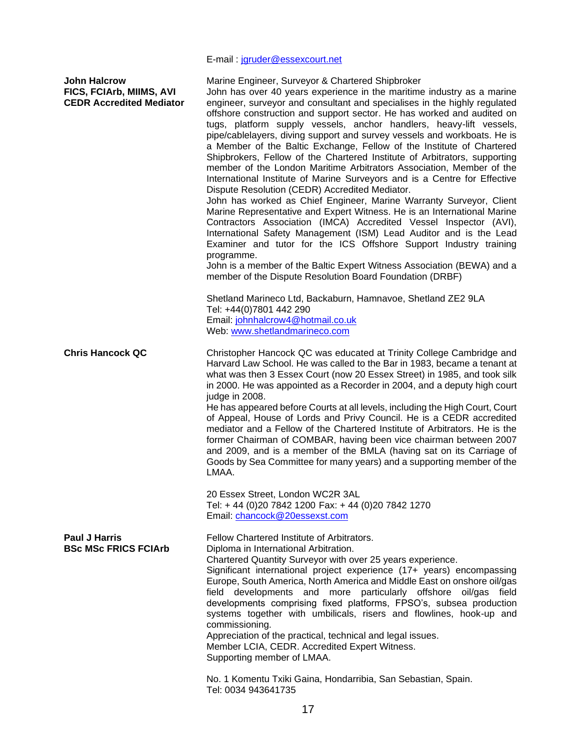## E-mail : [jgruder@essexcourt.net](mailto:jgruder@essexcourt.net)

| <b>John Halcrow</b><br>FICS, FCIArb, MIIMS, AVI<br><b>CEDR Accredited Mediator</b> | Marine Engineer, Surveyor & Chartered Shipbroker<br>John has over 40 years experience in the maritime industry as a marine<br>engineer, surveyor and consultant and specialises in the highly regulated<br>offshore construction and support sector. He has worked and audited on<br>tugs, platform supply vessels, anchor handlers, heavy-lift vessels,<br>pipe/cablelayers, diving support and survey vessels and workboats. He is<br>a Member of the Baltic Exchange, Fellow of the Institute of Chartered<br>Shipbrokers, Fellow of the Chartered Institute of Arbitrators, supporting<br>member of the London Maritime Arbitrators Association, Member of the<br>International Institute of Marine Surveyors and is a Centre for Effective<br>Dispute Resolution (CEDR) Accredited Mediator.<br>John has worked as Chief Engineer, Marine Warranty Surveyor, Client<br>Marine Representative and Expert Witness. He is an International Marine<br>Contractors Association (IMCA) Accredited Vessel Inspector (AVI),<br>International Safety Management (ISM) Lead Auditor and is the Lead<br>Examiner and tutor for the ICS Offshore Support Industry training<br>programme.<br>John is a member of the Baltic Expert Witness Association (BEWA) and a<br>member of the Dispute Resolution Board Foundation (DRBF)<br>Shetland Marineco Ltd, Backaburn, Hamnavoe, Shetland ZE2 9LA<br>Tel: +44(0)7801 442 290<br>Email: johnhalcrow4@hotmail.co.uk<br>Web: www.shetlandmarineco.com |
|------------------------------------------------------------------------------------|------------------------------------------------------------------------------------------------------------------------------------------------------------------------------------------------------------------------------------------------------------------------------------------------------------------------------------------------------------------------------------------------------------------------------------------------------------------------------------------------------------------------------------------------------------------------------------------------------------------------------------------------------------------------------------------------------------------------------------------------------------------------------------------------------------------------------------------------------------------------------------------------------------------------------------------------------------------------------------------------------------------------------------------------------------------------------------------------------------------------------------------------------------------------------------------------------------------------------------------------------------------------------------------------------------------------------------------------------------------------------------------------------------------------------------------------------------------------------------------|
| <b>Chris Hancock QC</b>                                                            | Christopher Hancock QC was educated at Trinity College Cambridge and<br>Harvard Law School. He was called to the Bar in 1983, became a tenant at<br>what was then 3 Essex Court (now 20 Essex Street) in 1985, and took silk<br>in 2000. He was appointed as a Recorder in 2004, and a deputy high court<br>judge in 2008.<br>He has appeared before Courts at all levels, including the High Court, Court<br>of Appeal, House of Lords and Privy Council. He is a CEDR accredited<br>mediator and a Fellow of the Chartered Institute of Arbitrators. He is the<br>former Chairman of COMBAR, having been vice chairman between 2007<br>and 2009, and is a member of the BMLA (having sat on its Carriage of<br>Goods by Sea Committee for many years) and a supporting member of the<br>LMAA.<br>20 Essex Street, London WC2R 3AL                                                                                                                                                                                                                                                                                                                                                                                                                                                                                                                                                                                                                                                      |
|                                                                                    | Tel: +44 (0)20 7842 1200 Fax: +44 (0)20 7842 1270<br>Email: chancock@20essexst.com                                                                                                                                                                                                                                                                                                                                                                                                                                                                                                                                                                                                                                                                                                                                                                                                                                                                                                                                                                                                                                                                                                                                                                                                                                                                                                                                                                                                       |
| <b>Paul J Harris</b><br><b>BSc MSc FRICS FCIArb</b>                                | Fellow Chartered Institute of Arbitrators.<br>Diploma in International Arbitration.<br>Chartered Quantity Surveyor with over 25 years experience.<br>Significant international project experience (17+ years) encompassing<br>Europe, South America, North America and Middle East on onshore oil/gas<br>field developments and more particularly offshore oil/gas field<br>developments comprising fixed platforms, FPSO's, subsea production<br>systems together with umbilicals, risers and flowlines, hook-up and<br>commissioning.<br>Appreciation of the practical, technical and legal issues.<br>Member LCIA, CEDR. Accredited Expert Witness.<br>Supporting member of LMAA.                                                                                                                                                                                                                                                                                                                                                                                                                                                                                                                                                                                                                                                                                                                                                                                                     |
|                                                                                    | No. 1 Komentu Txiki Gaina, Hondarribia, San Sebastian, Spain.<br>Tel: 0034 943641735                                                                                                                                                                                                                                                                                                                                                                                                                                                                                                                                                                                                                                                                                                                                                                                                                                                                                                                                                                                                                                                                                                                                                                                                                                                                                                                                                                                                     |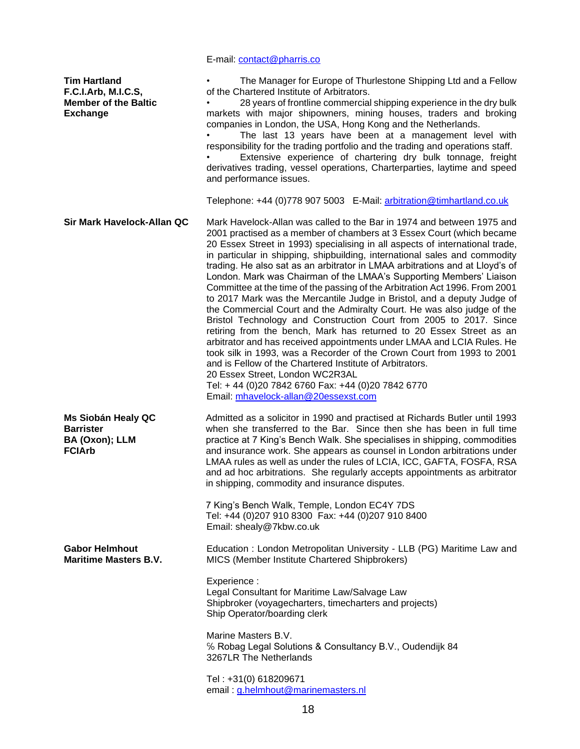|                                                                                              | E-mail: contact@pharris.co                                                                                                                                                                                                                                                                                                                                                                                                                                                                                                                                                                                                                                                                                                                                                                                                                                                                                                                                                                                                                                                                                                                                                                             |
|----------------------------------------------------------------------------------------------|--------------------------------------------------------------------------------------------------------------------------------------------------------------------------------------------------------------------------------------------------------------------------------------------------------------------------------------------------------------------------------------------------------------------------------------------------------------------------------------------------------------------------------------------------------------------------------------------------------------------------------------------------------------------------------------------------------------------------------------------------------------------------------------------------------------------------------------------------------------------------------------------------------------------------------------------------------------------------------------------------------------------------------------------------------------------------------------------------------------------------------------------------------------------------------------------------------|
| <b>Tim Hartland</b><br>F.C.I.Arb, M.I.C.S,<br><b>Member of the Baltic</b><br><b>Exchange</b> | The Manager for Europe of Thurlestone Shipping Ltd and a Fellow<br>of the Chartered Institute of Arbitrators.<br>28 years of frontline commercial shipping experience in the dry bulk<br>markets with major shipowners, mining houses, traders and broking<br>companies in London, the USA, Hong Kong and the Netherlands.<br>The last 13 years have been at a management level with<br>responsibility for the trading portfolio and the trading and operations staff.<br>Extensive experience of chartering dry bulk tonnage, freight<br>derivatives trading, vessel operations, Charterparties, laytime and speed<br>and performance issues.                                                                                                                                                                                                                                                                                                                                                                                                                                                                                                                                                         |
|                                                                                              | Telephone: +44 (0)778 907 5003 E-Mail: arbitration@timhartland.co.uk                                                                                                                                                                                                                                                                                                                                                                                                                                                                                                                                                                                                                                                                                                                                                                                                                                                                                                                                                                                                                                                                                                                                   |
| Sir Mark Havelock-Allan QC                                                                   | Mark Havelock-Allan was called to the Bar in 1974 and between 1975 and<br>2001 practised as a member of chambers at 3 Essex Court (which became<br>20 Essex Street in 1993) specialising in all aspects of international trade,<br>in particular in shipping, shipbuilding, international sales and commodity<br>trading. He also sat as an arbitrator in LMAA arbitrations and at Lloyd's of<br>London. Mark was Chairman of the LMAA's Supporting Members' Liaison<br>Committee at the time of the passing of the Arbitration Act 1996. From 2001<br>to 2017 Mark was the Mercantile Judge in Bristol, and a deputy Judge of<br>the Commercial Court and the Admiralty Court. He was also judge of the<br>Bristol Technology and Construction Court from 2005 to 2017. Since<br>retiring from the bench, Mark has returned to 20 Essex Street as an<br>arbitrator and has received appointments under LMAA and LCIA Rules. He<br>took silk in 1993, was a Recorder of the Crown Court from 1993 to 2001<br>and is Fellow of the Chartered Institute of Arbitrators.<br>20 Essex Street, London WC2R3AL<br>Tel: + 44 (0)20 7842 6760 Fax: +44 (0)20 7842 6770<br>Email: mhavelock-allan@20essexst.com |
| Ms Siobán Healy QC<br><b>Barrister</b><br>BA (Oxon); LLM<br><b>FCIArb</b>                    | Admitted as a solicitor in 1990 and practised at Richards Butler until 1993<br>when she transferred to the Bar. Since then she has been in full time<br>practice at 7 King's Bench Walk. She specialises in shipping, commodities<br>and insurance work. She appears as counsel in London arbitrations under<br>LMAA rules as well as under the rules of LCIA, ICC, GAFTA, FOSFA, RSA<br>and ad hoc arbitrations. She regularly accepts appointments as arbitrator<br>in shipping, commodity and insurance disputes.<br>7 King's Bench Walk, Temple, London EC4Y 7DS<br>Tel: +44 (0)207 910 8300 Fax: +44 (0)207 910 8400<br>Email: shealy@7kbw.co.uk                                                                                                                                                                                                                                                                                                                                                                                                                                                                                                                                                  |
| <b>Gabor Helmhout</b><br><b>Maritime Masters B.V.</b>                                        | Education: London Metropolitan University - LLB (PG) Maritime Law and<br>MICS (Member Institute Chartered Shipbrokers)                                                                                                                                                                                                                                                                                                                                                                                                                                                                                                                                                                                                                                                                                                                                                                                                                                                                                                                                                                                                                                                                                 |
|                                                                                              | Experience:<br>Legal Consultant for Maritime Law/Salvage Law<br>Shipbroker (voyagecharters, timecharters and projects)<br>Ship Operator/boarding clerk                                                                                                                                                                                                                                                                                                                                                                                                                                                                                                                                                                                                                                                                                                                                                                                                                                                                                                                                                                                                                                                 |
|                                                                                              | Marine Masters B.V.<br>% Robag Legal Solutions & Consultancy B.V., Oudendijk 84<br>3267LR The Netherlands                                                                                                                                                                                                                                                                                                                                                                                                                                                                                                                                                                                                                                                                                                                                                                                                                                                                                                                                                                                                                                                                                              |
|                                                                                              | Tel: +31(0) 618209671<br>email: g.helmhout@marinemasters.nl                                                                                                                                                                                                                                                                                                                                                                                                                                                                                                                                                                                                                                                                                                                                                                                                                                                                                                                                                                                                                                                                                                                                            |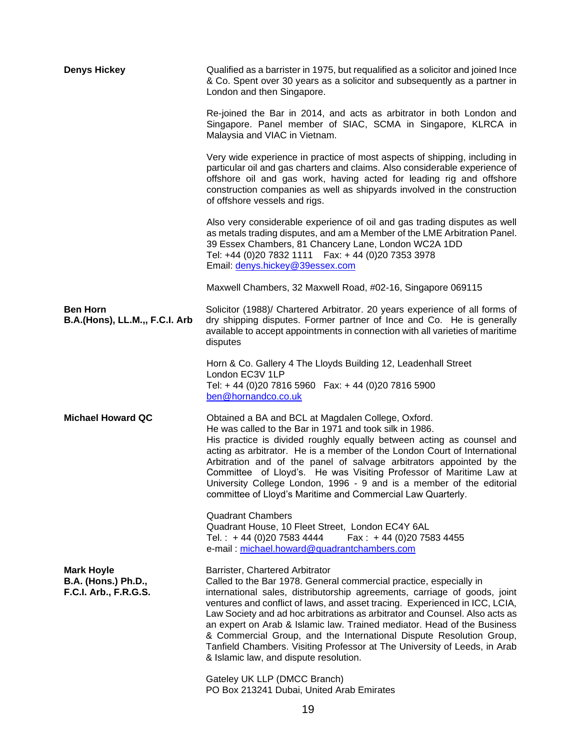| <b>Denys Hickey</b>                                                      | Qualified as a barrister in 1975, but requalified as a solicitor and joined Ince<br>& Co. Spent over 30 years as a solicitor and subsequently as a partner in<br>London and then Singapore.                                                                                                                                                                                                                                                                                                                                                                                                                               |
|--------------------------------------------------------------------------|---------------------------------------------------------------------------------------------------------------------------------------------------------------------------------------------------------------------------------------------------------------------------------------------------------------------------------------------------------------------------------------------------------------------------------------------------------------------------------------------------------------------------------------------------------------------------------------------------------------------------|
|                                                                          | Re-joined the Bar in 2014, and acts as arbitrator in both London and<br>Singapore. Panel member of SIAC, SCMA in Singapore, KLRCA in<br>Malaysia and VIAC in Vietnam.                                                                                                                                                                                                                                                                                                                                                                                                                                                     |
|                                                                          | Very wide experience in practice of most aspects of shipping, including in<br>particular oil and gas charters and claims. Also considerable experience of<br>offshore oil and gas work, having acted for leading rig and offshore<br>construction companies as well as shipyards involved in the construction<br>of offshore vessels and rigs.                                                                                                                                                                                                                                                                            |
|                                                                          | Also very considerable experience of oil and gas trading disputes as well<br>as metals trading disputes, and am a Member of the LME Arbitration Panel.<br>39 Essex Chambers, 81 Chancery Lane, London WC2A 1DD<br>Tel: +44 (0)20 7832 1111   Fax: +44 (0)20 7353 3978<br>Email: denys.hickey@39essex.com                                                                                                                                                                                                                                                                                                                  |
|                                                                          | Maxwell Chambers, 32 Maxwell Road, #02-16, Singapore 069115                                                                                                                                                                                                                                                                                                                                                                                                                                                                                                                                                               |
| <b>Ben Horn</b><br>B.A.(Hons), LL.M.,, F.C.I. Arb                        | Solicitor (1988)/ Chartered Arbitrator. 20 years experience of all forms of<br>dry shipping disputes. Former partner of Ince and Co. He is generally<br>available to accept appointments in connection with all varieties of maritime<br>disputes                                                                                                                                                                                                                                                                                                                                                                         |
|                                                                          | Horn & Co. Gallery 4 The Lloyds Building 12, Leadenhall Street<br>London EC3V 1LP<br>Tel: +44 (0)20 7816 5960  Fax: +44 (0)20 7816 5900<br>ben@hornandco.co.uk                                                                                                                                                                                                                                                                                                                                                                                                                                                            |
| <b>Michael Howard QC</b>                                                 | Obtained a BA and BCL at Magdalen College, Oxford.<br>He was called to the Bar in 1971 and took silk in 1986.<br>His practice is divided roughly equally between acting as counsel and<br>acting as arbitrator. He is a member of the London Court of International<br>Arbitration and of the panel of salvage arbitrators appointed by the<br>Committee of Lloyd's. He was Visiting Professor of Maritime Law at<br>University College London, 1996 - 9 and is a member of the editorial<br>committee of Lloyd's Maritime and Commercial Law Quarterly.                                                                  |
|                                                                          | <b>Quadrant Chambers</b><br>Quadrant House, 10 Fleet Street, London EC4Y 6AL<br>Tel.: $+44(0)2075834444$<br>Fax: $+44(0)2075834455$<br>e-mail: michael.howard@quadrantchambers.com                                                                                                                                                                                                                                                                                                                                                                                                                                        |
| <b>Mark Hoyle</b><br><b>B.A. (Hons.) Ph.D.,</b><br>F.C.I. Arb., F.R.G.S. | Barrister, Chartered Arbitrator<br>Called to the Bar 1978. General commercial practice, especially in<br>international sales, distributorship agreements, carriage of goods, joint<br>ventures and conflict of laws, and asset tracing. Experienced in ICC, LCIA,<br>Law Society and ad hoc arbitrations as arbitrator and Counsel. Also acts as<br>an expert on Arab & Islamic law. Trained mediator. Head of the Business<br>& Commercial Group, and the International Dispute Resolution Group,<br>Tanfield Chambers. Visiting Professor at The University of Leeds, in Arab<br>& Islamic law, and dispute resolution. |
|                                                                          | Gateley UK LLP (DMCC Branch)<br>PO Box 213241 Dubai, United Arab Emirates                                                                                                                                                                                                                                                                                                                                                                                                                                                                                                                                                 |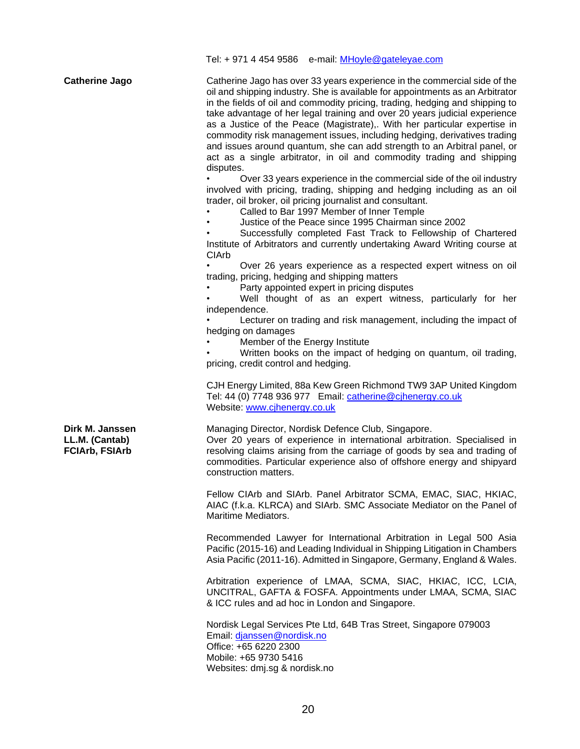Tel: + 971 4 454 9586 e-mail: [MHoyle@gateleyae.com](mailto:MHoyle@gateleyae.com)

**Catherine Jago** Catherine Jago has over 33 years experience in the commercial side of the oil and shipping industry. She is available for appointments as an Arbitrator in the fields of oil and commodity pricing, trading, hedging and shipping to take advantage of her legal training and over 20 years judicial experience as a Justice of the Peace (Magistrate),. With her particular expertise in commodity risk management issues, including hedging, derivatives trading and issues around quantum, she can add strength to an Arbitral panel, or act as a single arbitrator, in oil and commodity trading and shipping disputes.

• Over 33 years experience in the commercial side of the oil industry involved with pricing, trading, shipping and hedging including as an oil trader, oil broker, oil pricing journalist and consultant.

• Called to Bar 1997 Member of Inner Temple

• Justice of the Peace since 1995 Chairman since 2002

Successfully completed Fast Track to Fellowship of Chartered Institute of Arbitrators and currently undertaking Award Writing course at CIArb

• Over 26 years experience as a respected expert witness on oil trading, pricing, hedging and shipping matters

• Party appointed expert in pricing disputes

Well thought of as an expert witness, particularly for her independence.

Lecturer on trading and risk management, including the impact of hedging on damages

Member of the Energy Institute

• Written books on the impact of hedging on quantum, oil trading, pricing, credit control and hedging.

CJH Energy Limited, 88a Kew Green Richmond TW9 3AP United Kingdom Tel: 44 (0) 7748 936 977 Email: [catherine@cjhenergy.co.uk](mailto:catherine@cjhenergy.co.uk)  Website: www.cihenergy.co.uk

Managing Director, Nordisk Defence Club, Singapore. Over 20 years of experience in international arbitration. Specialised in resolving claims arising from the carriage of goods by sea and trading of commodities. Particular experience also of offshore energy and shipyard construction matters.

Fellow CIArb and SIArb. Panel Arbitrator SCMA, EMAC, SIAC, HKIAC, AIAC (f.k.a. KLRCA) and SIArb. SMC Associate Mediator on the Panel of Maritime Mediators.

Recommended Lawyer for International Arbitration in Legal 500 Asia Pacific (2015-16) and Leading Individual in Shipping Litigation in Chambers Asia Pacific (2011-16). Admitted in Singapore, Germany, England & Wales.

Arbitration experience of LMAA, SCMA, SIAC, HKIAC, ICC, LCIA, UNCITRAL, GAFTA & FOSFA. Appointments under LMAA, SCMA, SIAC & ICC rules and ad hoc in London and Singapore.

Nordisk Legal Services Pte Ltd, 64B Tras Street, Singapore 079003 Email: [djanssen@nordisk.no](mailto:djanssen@nordisk.no)  Office: +65 6220 2300 Mobile: +65 9730 5416 Websites: dmj.sg & nordisk.no

**Dirk M. Janssen LL.M. (Cantab) FCIArb, FSIArb**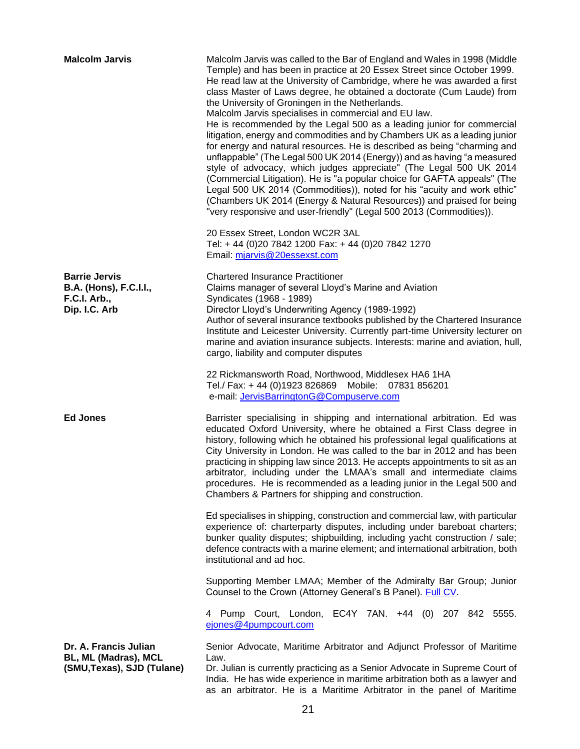| <b>Malcolm Jarvis</b>                                                                         | Malcolm Jarvis was called to the Bar of England and Wales in 1998 (Middle<br>Temple) and has been in practice at 20 Essex Street since October 1999.<br>He read law at the University of Cambridge, where he was awarded a first<br>class Master of Laws degree, he obtained a doctorate (Cum Laude) from<br>the University of Groningen in the Netherlands.<br>Malcolm Jarvis specialises in commercial and EU law.<br>He is recommended by the Legal 500 as a leading junior for commercial<br>litigation, energy and commodities and by Chambers UK as a leading junior<br>for energy and natural resources. He is described as being "charming and<br>unflappable" (The Legal 500 UK 2014 (Energy)) and as having "a measured<br>style of advocacy, which judges appreciate" (The Legal 500 UK 2014<br>(Commercial Litigation). He is "a popular choice for GAFTA appeals" (The<br>Legal 500 UK 2014 (Commodities)), noted for his "acuity and work ethic"<br>(Chambers UK 2014 (Energy & Natural Resources)) and praised for being<br>"very responsive and user-friendly" (Legal 500 2013 (Commodities)).<br>20 Essex Street, London WC2R 3AL<br>Tel: + 44 (0)20 7842 1200 Fax: + 44 (0)20 7842 1270 |
|-----------------------------------------------------------------------------------------------|-----------------------------------------------------------------------------------------------------------------------------------------------------------------------------------------------------------------------------------------------------------------------------------------------------------------------------------------------------------------------------------------------------------------------------------------------------------------------------------------------------------------------------------------------------------------------------------------------------------------------------------------------------------------------------------------------------------------------------------------------------------------------------------------------------------------------------------------------------------------------------------------------------------------------------------------------------------------------------------------------------------------------------------------------------------------------------------------------------------------------------------------------------------------------------------------------------------|
|                                                                                               | Email: mjarvis@20essexst.com                                                                                                                                                                                                                                                                                                                                                                                                                                                                                                                                                                                                                                                                                                                                                                                                                                                                                                                                                                                                                                                                                                                                                                              |
| <b>Barrie Jervis</b><br><b>B.A. (Hons), F.C.I.I.,</b><br><b>F.C.I. Arb.,</b><br>Dip. I.C. Arb | <b>Chartered Insurance Practitioner</b><br>Claims manager of several Lloyd's Marine and Aviation<br>Syndicates (1968 - 1989)<br>Director Lloyd's Underwriting Agency (1989-1992)<br>Author of several insurance textbooks published by the Chartered Insurance<br>Institute and Leicester University. Currently part-time University lecturer on<br>marine and aviation insurance subjects. Interests: marine and aviation, hull,<br>cargo, liability and computer disputes                                                                                                                                                                                                                                                                                                                                                                                                                                                                                                                                                                                                                                                                                                                               |
|                                                                                               | 22 Rickmansworth Road, Northwood, Middlesex HA6 1HA<br>Tel./ Fax: + 44 (0)1923 826869 Mobile: 07831 856201<br>e-mail: JervisBarringtonG@Compuserve.com                                                                                                                                                                                                                                                                                                                                                                                                                                                                                                                                                                                                                                                                                                                                                                                                                                                                                                                                                                                                                                                    |
| <b>Ed Jones</b>                                                                               | Barrister specialising in shipping and international arbitration. Ed was<br>educated Oxford University, where he obtained a First Class degree in<br>history, following which he obtained his professional legal qualifications at<br>City University in London. He was called to the bar in 2012 and has been<br>practicing in shipping law since 2013. He accepts appointments to sit as an<br>arbitrator, including under the LMAA's small and intermediate claims<br>procedures. He is recommended as a leading junior in the Legal 500 and<br>Chambers & Partners for shipping and construction.                                                                                                                                                                                                                                                                                                                                                                                                                                                                                                                                                                                                     |
|                                                                                               | Ed specialises in shipping, construction and commercial law, with particular<br>experience of: charterparty disputes, including under bareboat charters;<br>bunker quality disputes; shipbuilding, including yacht construction / sale;<br>defence contracts with a marine element; and international arbitration, both<br>institutional and ad hoc.                                                                                                                                                                                                                                                                                                                                                                                                                                                                                                                                                                                                                                                                                                                                                                                                                                                      |
|                                                                                               | Supporting Member LMAA; Member of the Admiralty Bar Group; Junior<br>Counsel to the Crown (Attorney General's B Panel). Full CV.                                                                                                                                                                                                                                                                                                                                                                                                                                                                                                                                                                                                                                                                                                                                                                                                                                                                                                                                                                                                                                                                          |
|                                                                                               | 4 Pump Court, London, EC4Y 7AN. +44 (0) 207 842 5555.<br>ejones@4pumpcourt.com                                                                                                                                                                                                                                                                                                                                                                                                                                                                                                                                                                                                                                                                                                                                                                                                                                                                                                                                                                                                                                                                                                                            |
| Dr. A. Francis Julian<br>BL, ML (Madras), MCL<br>(SMU, Texas), SJD (Tulane)                   | Senior Advocate, Maritime Arbitrator and Adjunct Professor of Maritime<br>Law.<br>Dr. Julian is currently practicing as a Senior Advocate in Supreme Court of<br>India. He has wide experience in maritime arbitration both as a lawyer and<br>as an arbitrator. He is a Maritime Arbitrator in the panel of Maritime                                                                                                                                                                                                                                                                                                                                                                                                                                                                                                                                                                                                                                                                                                                                                                                                                                                                                     |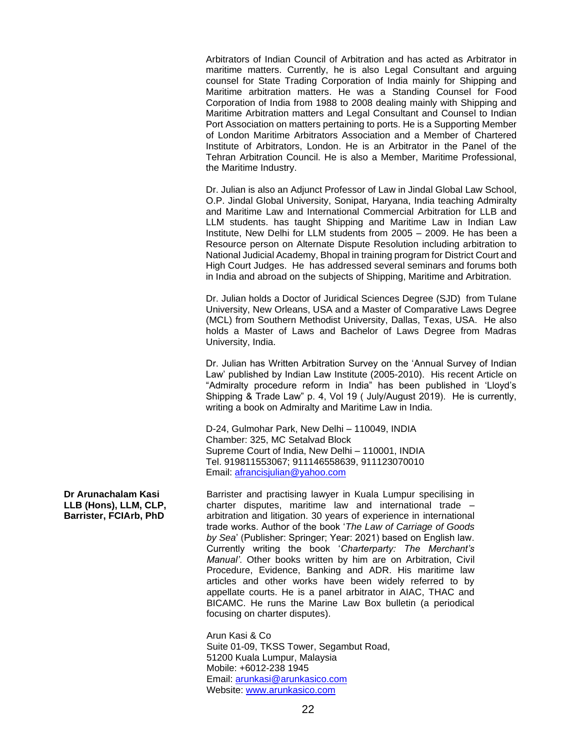Arbitrators of Indian Council of Arbitration and has acted as Arbitrator in maritime matters. Currently, he is also Legal Consultant and arguing counsel for State Trading Corporation of India mainly for Shipping and Maritime arbitration matters. He was a Standing Counsel for Food Corporation of India from 1988 to 2008 dealing mainly with Shipping and Maritime Arbitration matters and Legal Consultant and Counsel to Indian Port Association on matters pertaining to ports. He is a Supporting Member of London Maritime Arbitrators Association and a Member of Chartered Institute of Arbitrators, London. He is an Arbitrator in the Panel of the Tehran Arbitration Council. He is also a Member, Maritime Professional, the Maritime Industry.

Dr. Julian is also an Adjunct Professor of Law in Jindal Global Law School, O.P. Jindal Global University, Sonipat, Haryana, India teaching Admiralty and Maritime Law and International Commercial Arbitration for LLB and LLM students. has taught Shipping and Maritime Law in Indian Law Institute, New Delhi for LLM students from 2005 – 2009. He has been a Resource person on Alternate Dispute Resolution including arbitration to National Judicial Academy, Bhopal in training program for District Court and High Court Judges. He has addressed several seminars and forums both in India and abroad on the subjects of Shipping, Maritime and Arbitration.

Dr. Julian holds a Doctor of Juridical Sciences Degree (SJD) from Tulane University, New Orleans, USA and a Master of Comparative Laws Degree (MCL) from Southern Methodist University, Dallas, Texas, USA. He also holds a Master of Laws and Bachelor of Laws Degree from Madras University, India.

Dr. Julian has Written Arbitration Survey on the 'Annual Survey of Indian Law' published by Indian Law Institute (2005-2010). His recent Article on "Admiralty procedure reform in India" has been published in 'Lloyd's Shipping & Trade Law" p. 4, Vol 19 ( July/August 2019). He is currently, writing a book on Admiralty and Maritime Law in India.

D-24, Gulmohar Park, New Delhi – 110049, INDIA Chamber: 325, MC Setalvad Block Supreme Court of India, New Delhi – 110001, INDIA Tel. 919811553067; 911146558639, 911123070010 Email: [afrancisjulian@yahoo.com](mailto:afrancisjulian@yahoo.com)

Barrister and practising lawyer in Kuala Lumpur specilising in charter disputes, maritime law and international trade – arbitration and litigation. 30 years of experience in international trade works. Author of the book '*The Law of Carriage of Goods by Sea*' (Publisher: Springer; Year: 2021) based on English law. Currently writing the book '*Charterparty: The Merchant's Manual'*. Other books written by him are on Arbitration, Civil Procedure, Evidence, Banking and ADR. His maritime law articles and other works have been widely referred to by appellate courts. He is a panel arbitrator in AIAC, THAC and BICAMC. He runs the Marine Law Box bulletin (a periodical focusing on charter disputes).

Arun Kasi & Co Suite 01-09, TKSS Tower, Segambut Road, 51200 Kuala Lumpur, Malaysia Mobile: +6012-238 1945 Email: [arunkasi@arunkasico.com](mailto:arunkasi@arunkasico.com) Website: [www.arunkasico.com](http://www.arunkasico.com/)

**Dr Arunachalam Kasi LLB (Hons), LLM, CLP, Barrister, FCIArb, PhD**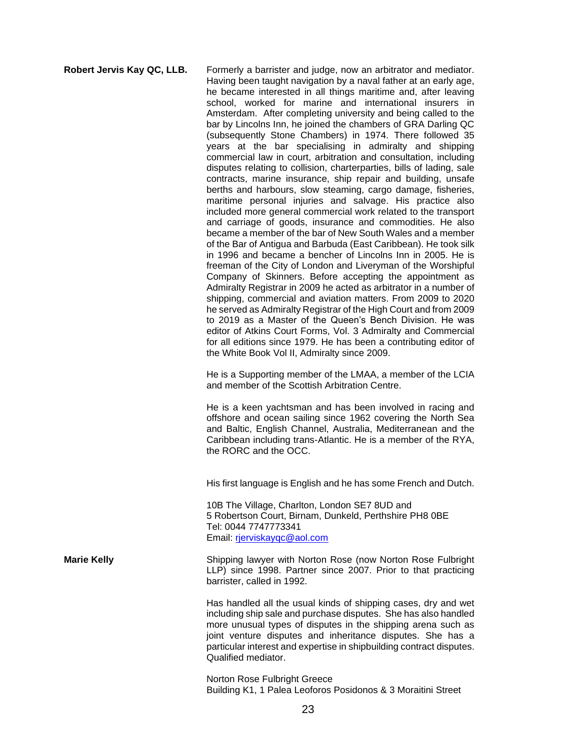**Robert Jervis Kay QC, LLB.** Formerly a barrister and judge, now an arbitrator and mediator. Having been taught navigation by a naval father at an early age, he became interested in all things maritime and, after leaving school, worked for marine and international insurers in Amsterdam. After completing university and being called to the bar by Lincolns Inn, he joined the chambers of GRA Darling QC (subsequently Stone Chambers) in 1974. There followed 35 years at the bar specialising in admiralty and shipping commercial law in court, arbitration and consultation, including disputes relating to collision, charterparties, bills of lading, sale contracts, marine insurance, ship repair and building, unsafe berths and harbours, slow steaming, cargo damage, fisheries, maritime personal injuries and salvage. His practice also included more general commercial work related to the transport and carriage of goods, insurance and commodities. He also became a member of the bar of New South Wales and a member of the Bar of Antigua and Barbuda (East Caribbean). He took silk in 1996 and became a bencher of Lincolns Inn in 2005. He is freeman of the City of London and Liveryman of the Worshipful Company of Skinners. Before accepting the appointment as Admiralty Registrar in 2009 he acted as arbitrator in a number of shipping, commercial and aviation matters. From 2009 to 2020 he served as Admiralty Registrar of the High Court and from 2009 to 2019 as a Master of the Queen's Bench Division. He was editor of Atkins Court Forms, Vol. 3 Admiralty and Commercial for all editions since 1979. He has been a contributing editor of the White Book Vol II, Admiralty since 2009. He is a Supporting member of the LMAA, a member of the LCIA and member of the Scottish Arbitration Centre. He is a keen yachtsman and has been involved in racing and offshore and ocean sailing since 1962 covering the North Sea and Baltic, English Channel, Australia, Mediterranean and the Caribbean including trans-Atlantic. He is a member of the RYA, the RORC and the OCC. His first language is English and he has some French and Dutch. 10B The Village, Charlton, London SE7 8UD and 5 Robertson Court, Birnam, Dunkeld, Perthshire PH8 0BE Tel: 0044 7747773341 Email: [rjerviskayqc@aol.com](mailto:rjerviskayqc@aol.com) **Marie Kelly** Shipping lawyer with Norton Rose (now Norton Rose Fulbright LLP) since 1998. Partner since 2007. Prior to that practicing barrister, called in 1992. Has handled all the usual kinds of shipping cases, dry and wet including ship sale and purchase disputes. She has also handled more unusual types of disputes in the shipping arena such as joint venture disputes and inheritance disputes. She has a particular interest and expertise in shipbuilding contract disputes. Qualified mediator. Norton Rose Fulbright Greece Building K1, 1 Palea Leoforos Posidonos & 3 Moraitini Street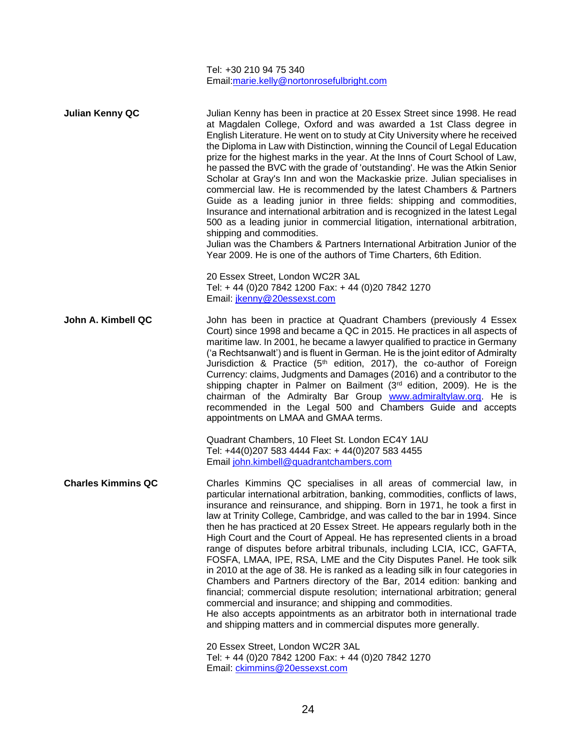Tel: +30 210 94 75 340 Email[:marie.kelly@nortonrosefulbright.com](mailto:marie.kelly@nortonrosefulbright.com) **Julian Kenny QC** Julian Kenny has been in practice at 20 Essex Street since 1998. He read at Magdalen College, Oxford and was awarded a 1st Class degree in English Literature. He went on to study at City University where he received the Diploma in Law with Distinction, winning the Council of Legal Education prize for the highest marks in the year. At the Inns of Court School of Law, he passed the BVC with the grade of 'outstanding'. He was the Atkin Senior Scholar at Gray's Inn and won the Mackaskie prize. Julian specialises in commercial law. He is recommended by the latest Chambers & Partners Guide as a leading junior in three fields: shipping and commodities, Insurance and international arbitration and is recognized in the latest Legal 500 as a leading junior in commercial litigation, international arbitration, shipping and commodities. Julian was the Chambers & Partners International Arbitration Junior of the Year 2009. He is one of the authors of Time Charters, 6th Edition. 20 Essex Street, London WC2R 3AL Tel: + 44 (0)20 7842 1200 Fax: + 44 (0)20 7842 1270 Email: [jkenny@20essexst.com](mailto:jkenny@20essexst.com) **John A. Kimbell QC** John has been in practice at Quadrant Chambers (previously 4 Essex Court) since 1998 and became a QC in 2015. He practices in all aspects of maritime law. In 2001, he became a lawyer qualified to practice in Germany ('a Rechtsanwalt') and is fluent in German. He is the joint editor of Admiralty Jurisdiction & Practice  $(5<sup>th</sup>$  edition, 2017), the co-author of Foreign Currency: claims, Judgments and Damages (2016) and a contributor to the shipping chapter in Palmer on Bailment (3rd edition, 2009). He is the chairman of the Admiralty Bar Group [www.admiraltylaw.org.](http://www.admiraltylaw.org/) He is recommended in the Legal 500 and Chambers Guide and accepts appointments on LMAA and GMAA terms. Quadrant Chambers, 10 Fleet St. London EC4Y 1AU Tel: +44(0)207 583 4444 Fax: + 44(0)207 583 4455 Email [john.kimbell@quadrantchambers.com](mailto:john.kimbell@quadrantchambers.com) **Charles Kimmins QC** Charles Kimmins QC specialises in all areas of commercial law, in particular international arbitration, banking, commodities, conflicts of laws, insurance and reinsurance, and shipping. Born in 1971, he took a first in law at Trinity College, Cambridge, and was called to the bar in 1994. Since then he has practiced at 20 Essex Street. He appears regularly both in the High Court and the Court of Appeal. He has represented clients in a broad range of disputes before arbitral tribunals, including LCIA, ICC, GAFTA, FOSFA, LMAA, IPE, RSA, LME and the City Disputes Panel. He took silk in 2010 at the age of 38. He is ranked as a leading silk in four categories in Chambers and Partners directory of the Bar, 2014 edition: banking and financial; commercial dispute resolution; international arbitration; general commercial and insurance; and shipping and commodities. He also accepts appointments as an arbitrator both in international trade and shipping matters and in commercial disputes more generally. 20 Essex Street, London WC2R 3AL Tel: + 44 (0)20 7842 1200 Fax: + 44 (0)20 7842 1270 Email: [ckimmins@20essexst.com](mailto:ckimmins@20essexst.com)

24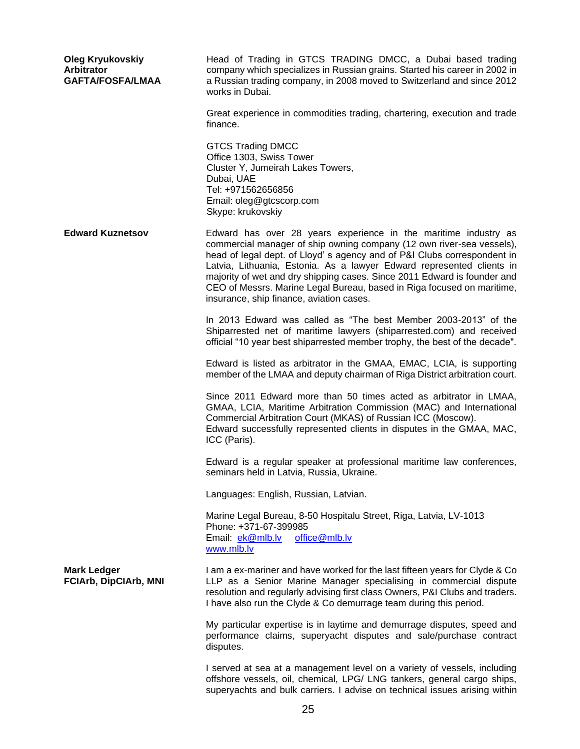| <b>Oleg Kryukovskiy</b><br>Arbitrator<br><b>GAFTA/FOSFA/LMAA</b> | Head of Trading in GTCS TRADING DMCC, a Dubai based trading<br>company which specializes in Russian grains. Started his career in 2002 in<br>a Russian trading company, in 2008 moved to Switzerland and since 2012<br>works in Dubai.                                                                                                                                                                                                                                                         |
|------------------------------------------------------------------|------------------------------------------------------------------------------------------------------------------------------------------------------------------------------------------------------------------------------------------------------------------------------------------------------------------------------------------------------------------------------------------------------------------------------------------------------------------------------------------------|
|                                                                  | Great experience in commodities trading, chartering, execution and trade<br>finance.                                                                                                                                                                                                                                                                                                                                                                                                           |
|                                                                  | <b>GTCS Trading DMCC</b><br>Office 1303, Swiss Tower<br>Cluster Y, Jumeirah Lakes Towers,<br>Dubai, UAE<br>Tel: +971562656856<br>Email: oleg@gtcscorp.com<br>Skype: krukovskiy                                                                                                                                                                                                                                                                                                                 |
| <b>Edward Kuznetsov</b>                                          | Edward has over 28 years experience in the maritime industry as<br>commercial manager of ship owning company (12 own river-sea vessels),<br>head of legal dept. of Lloyd's agency and of P&I Clubs correspondent in<br>Latvia, Lithuania, Estonia. As a lawyer Edward represented clients in<br>majority of wet and dry shipping cases. Since 2011 Edward is founder and<br>CEO of Messrs. Marine Legal Bureau, based in Riga focused on maritime,<br>insurance, ship finance, aviation cases. |
|                                                                  | In 2013 Edward was called as "The best Member 2003-2013" of the<br>Shiparrested net of maritime lawyers (shiparrested.com) and received<br>official "10 year best shiparrested member trophy, the best of the decade".                                                                                                                                                                                                                                                                         |
|                                                                  | Edward is listed as arbitrator in the GMAA, EMAC, LCIA, is supporting<br>member of the LMAA and deputy chairman of Riga District arbitration court.                                                                                                                                                                                                                                                                                                                                            |
|                                                                  | Since 2011 Edward more than 50 times acted as arbitrator in LMAA,<br>GMAA, LCIA, Maritime Arbitration Commission (MAC) and International<br>Commercial Arbitration Court (MKAS) of Russian ICC (Moscow).<br>Edward successfully represented clients in disputes in the GMAA, MAC,<br>ICC (Paris).                                                                                                                                                                                              |
|                                                                  | Edward is a regular speaker at professional maritime law conferences,<br>seminars held in Latvia, Russia, Ukraine.                                                                                                                                                                                                                                                                                                                                                                             |
|                                                                  | Languages: English, Russian, Latvian.                                                                                                                                                                                                                                                                                                                                                                                                                                                          |
|                                                                  | Marine Legal Bureau, 8-50 Hospitalu Street, Riga, Latvia, LV-1013<br>Phone: +371-67-399985<br>Email: ek@mlb.lv<br>office@mlb.lv<br>www.mlb.lv                                                                                                                                                                                                                                                                                                                                                  |
| <b>Mark Ledger</b><br><b>FCIArb, DipCIArb, MNI</b>               | I am a ex-mariner and have worked for the last fifteen years for Clyde & Co<br>LLP as a Senior Marine Manager specialising in commercial dispute<br>resolution and regularly advising first class Owners, P&I Clubs and traders.<br>I have also run the Clyde & Co demurrage team during this period.                                                                                                                                                                                          |
|                                                                  | My particular expertise is in laytime and demurrage disputes, speed and<br>performance claims, superyacht disputes and sale/purchase contract<br>disputes.                                                                                                                                                                                                                                                                                                                                     |
|                                                                  | I served at sea at a management level on a variety of vessels, including<br>offshore vessels, oil, chemical, LPG/ LNG tankers, general cargo ships,<br>superyachts and bulk carriers. I advise on technical issues arising within                                                                                                                                                                                                                                                              |
|                                                                  | つに                                                                                                                                                                                                                                                                                                                                                                                                                                                                                             |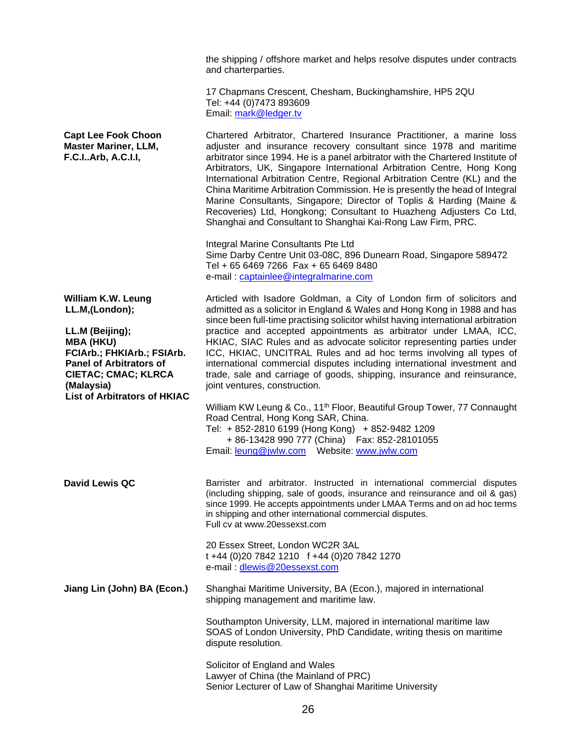|                                                                                                                                                                                        | the shipping / offshore market and helps resolve disputes under contracts<br>and charterparties.                                                                                                                                                                                                                                                                                                                                                                                                                                                                                                                                                                                    |
|----------------------------------------------------------------------------------------------------------------------------------------------------------------------------------------|-------------------------------------------------------------------------------------------------------------------------------------------------------------------------------------------------------------------------------------------------------------------------------------------------------------------------------------------------------------------------------------------------------------------------------------------------------------------------------------------------------------------------------------------------------------------------------------------------------------------------------------------------------------------------------------|
|                                                                                                                                                                                        | 17 Chapmans Crescent, Chesham, Buckinghamshire, HP5 2QU<br>Tel: +44 (0)7473 893609<br>Email: mark@ledger.tv                                                                                                                                                                                                                                                                                                                                                                                                                                                                                                                                                                         |
| <b>Capt Lee Fook Choon</b><br><b>Master Mariner, LLM,</b><br>F.C.IArb, A.C.I.I,                                                                                                        | Chartered Arbitrator, Chartered Insurance Practitioner, a marine loss<br>adjuster and insurance recovery consultant since 1978 and maritime<br>arbitrator since 1994. He is a panel arbitrator with the Chartered Institute of<br>Arbitrators, UK, Singapore International Arbitration Centre, Hong Kong<br>International Arbitration Centre, Regional Arbitration Centre (KL) and the<br>China Maritime Arbitration Commission. He is presently the head of Integral<br>Marine Consultants, Singapore; Director of Toplis & Harding (Maine &<br>Recoveries) Ltd, Hongkong; Consultant to Huazheng Adjusters Co Ltd,<br>Shanghai and Consultant to Shanghai Kai-Rong Law Firm, PRC. |
|                                                                                                                                                                                        | Integral Marine Consultants Pte Ltd<br>Sime Darby Centre Unit 03-08C, 896 Dunearn Road, Singapore 589472<br>Tel + 65 6469 7266 Fax + 65 6469 8480<br>e-mail: captainlee@integralmarine.com                                                                                                                                                                                                                                                                                                                                                                                                                                                                                          |
| William K.W. Leung<br>LL.M,(London);                                                                                                                                                   | Articled with Isadore Goldman, a City of London firm of solicitors and<br>admitted as a solicitor in England & Wales and Hong Kong in 1988 and has<br>since been full-time practising solicitor whilst having international arbitration                                                                                                                                                                                                                                                                                                                                                                                                                                             |
| LL.M (Beijing);<br><b>MBA (HKU)</b><br>FCIArb.; FHKIArb.; FSIArb.<br><b>Panel of Arbitrators of</b><br><b>CIETAC; CMAC; KLRCA</b><br>(Malaysia)<br><b>List of Arbitrators of HKIAC</b> | practice and accepted appointments as arbitrator under LMAA, ICC,<br>HKIAC, SIAC Rules and as advocate solicitor representing parties under<br>ICC, HKIAC, UNCITRAL Rules and ad hoc terms involving all types of<br>international commercial disputes including international investment and<br>trade, sale and carriage of goods, shipping, insurance and reinsurance,<br>joint ventures, construction.                                                                                                                                                                                                                                                                           |
|                                                                                                                                                                                        | William KW Leung & Co., 11 <sup>th</sup> Floor, Beautiful Group Tower, 77 Connaught<br>Road Central, Hong Kong SAR, China.<br>Tel: + 852-2810 6199 (Hong Kong) + 852-9482 1209<br>+ 86-13428 990 777 (China) Fax: 852-28101055                                                                                                                                                                                                                                                                                                                                                                                                                                                      |
| <b>David Lewis QC</b>                                                                                                                                                                  | Barrister and arbitrator. Instructed in international commercial disputes<br>(including shipping, sale of goods, insurance and reinsurance and oil & gas)<br>since 1999. He accepts appointments under LMAA Terms and on ad hoc terms<br>in shipping and other international commercial disputes.<br>Full cv at www.20essexst.com                                                                                                                                                                                                                                                                                                                                                   |
|                                                                                                                                                                                        | 20 Essex Street, London WC2R 3AL<br>t +44 (0)20 7842 1210 f +44 (0)20 7842 1270<br>e-mail: dlewis@20essexst.com                                                                                                                                                                                                                                                                                                                                                                                                                                                                                                                                                                     |
| Jiang Lin (John) BA (Econ.)                                                                                                                                                            | Shanghai Maritime University, BA (Econ.), majored in international<br>shipping management and maritime law.                                                                                                                                                                                                                                                                                                                                                                                                                                                                                                                                                                         |
|                                                                                                                                                                                        | Southampton University, LLM, majored in international maritime law<br>SOAS of London University, PhD Candidate, writing thesis on maritime<br>dispute resolution.                                                                                                                                                                                                                                                                                                                                                                                                                                                                                                                   |
|                                                                                                                                                                                        | Solicitor of England and Wales<br>Lawyer of China (the Mainland of PRC)<br>Senior Lecturer of Law of Shanghai Maritime University                                                                                                                                                                                                                                                                                                                                                                                                                                                                                                                                                   |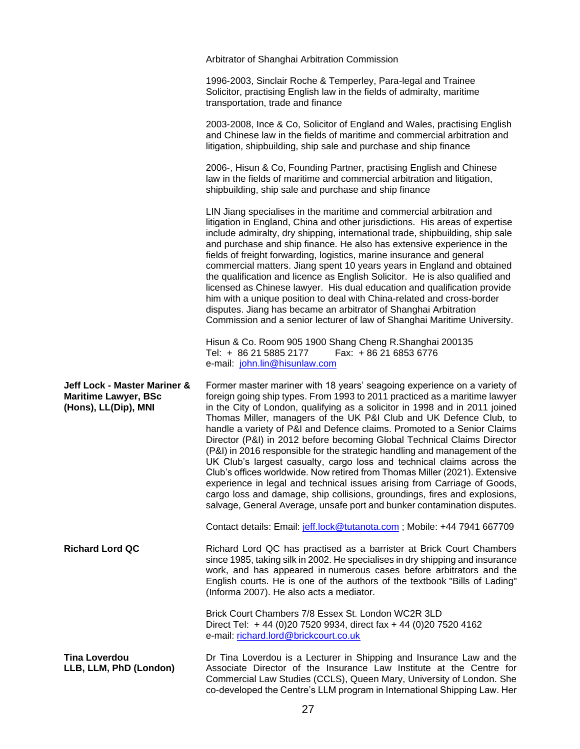|                                                                                     | Arbitrator of Shanghai Arbitration Commission                                                                                                                                                                                                                                                                                                                                                                                                                                                                                                                                                                                                                                                                                                                                                                                                                                                                                                |
|-------------------------------------------------------------------------------------|----------------------------------------------------------------------------------------------------------------------------------------------------------------------------------------------------------------------------------------------------------------------------------------------------------------------------------------------------------------------------------------------------------------------------------------------------------------------------------------------------------------------------------------------------------------------------------------------------------------------------------------------------------------------------------------------------------------------------------------------------------------------------------------------------------------------------------------------------------------------------------------------------------------------------------------------|
|                                                                                     | 1996-2003, Sinclair Roche & Temperley, Para-legal and Trainee<br>Solicitor, practising English law in the fields of admiralty, maritime<br>transportation, trade and finance                                                                                                                                                                                                                                                                                                                                                                                                                                                                                                                                                                                                                                                                                                                                                                 |
|                                                                                     | 2003-2008, Ince & Co, Solicitor of England and Wales, practising English<br>and Chinese law in the fields of maritime and commercial arbitration and<br>litigation, shipbuilding, ship sale and purchase and ship finance                                                                                                                                                                                                                                                                                                                                                                                                                                                                                                                                                                                                                                                                                                                    |
|                                                                                     | 2006-, Hisun & Co, Founding Partner, practising English and Chinese<br>law in the fields of maritime and commercial arbitration and litigation,<br>shipbuilding, ship sale and purchase and ship finance                                                                                                                                                                                                                                                                                                                                                                                                                                                                                                                                                                                                                                                                                                                                     |
|                                                                                     | LIN Jiang specialises in the maritime and commercial arbitration and<br>litigation in England, China and other jurisdictions. His areas of expertise<br>include admiralty, dry shipping, international trade, shipbuilding, ship sale<br>and purchase and ship finance. He also has extensive experience in the<br>fields of freight forwarding, logistics, marine insurance and general<br>commercial matters. Jiang spent 10 years years in England and obtained<br>the qualification and licence as English Solicitor. He is also qualified and<br>licensed as Chinese lawyer. His dual education and qualification provide<br>him with a unique position to deal with China-related and cross-border<br>disputes. Jiang has became an arbitrator of Shanghai Arbitration<br>Commission and a senior lecturer of law of Shanghai Maritime University.                                                                                     |
|                                                                                     | Hisun & Co. Room 905 1900 Shang Cheng R. Shanghai 200135<br>Tel: + 86 21 5885 2177<br>Fax: +86 21 6853 6776<br>e-mail: john.lin@hisunlaw.com                                                                                                                                                                                                                                                                                                                                                                                                                                                                                                                                                                                                                                                                                                                                                                                                 |
|                                                                                     |                                                                                                                                                                                                                                                                                                                                                                                                                                                                                                                                                                                                                                                                                                                                                                                                                                                                                                                                              |
| Jeff Lock - Master Mariner &<br><b>Maritime Lawyer, BSc</b><br>(Hons), LL(Dip), MNI | Former master mariner with 18 years' seagoing experience on a variety of<br>foreign going ship types. From 1993 to 2011 practiced as a maritime lawyer<br>in the City of London, qualifying as a solicitor in 1998 and in 2011 joined<br>Thomas Miller, managers of the UK P&I Club and UK Defence Club, to<br>handle a variety of P&I and Defence claims. Promoted to a Senior Claims<br>Director (P&I) in 2012 before becoming Global Technical Claims Director<br>(P&I) in 2016 responsible for the strategic handling and management of the<br>UK Club's largest casualty, cargo loss and technical claims across the<br>Club's offices worldwide. Now retired from Thomas Miller (2021). Extensive<br>experience in legal and technical issues arising from Carriage of Goods,<br>cargo loss and damage, ship collisions, groundings, fires and explosions,<br>salvage, General Average, unsafe port and bunker contamination disputes. |
|                                                                                     | Contact details: Email: jeff.lock@tutanota.com; Mobile: +44 7941 667709                                                                                                                                                                                                                                                                                                                                                                                                                                                                                                                                                                                                                                                                                                                                                                                                                                                                      |
| <b>Richard Lord QC</b>                                                              | Richard Lord QC has practised as a barrister at Brick Court Chambers<br>since 1985, taking silk in 2002. He specialises in dry shipping and insurance<br>work, and has appeared in numerous cases before arbitrators and the<br>English courts. He is one of the authors of the textbook "Bills of Lading"<br>(Informa 2007). He also acts a mediator.                                                                                                                                                                                                                                                                                                                                                                                                                                                                                                                                                                                       |
|                                                                                     | Brick Court Chambers 7/8 Essex St. London WC2R 3LD<br>Direct Tel: +44 (0)20 7520 9934, direct fax +44 (0)20 7520 4162<br>e-mail: richard.lord@brickcourt.co.uk                                                                                                                                                                                                                                                                                                                                                                                                                                                                                                                                                                                                                                                                                                                                                                               |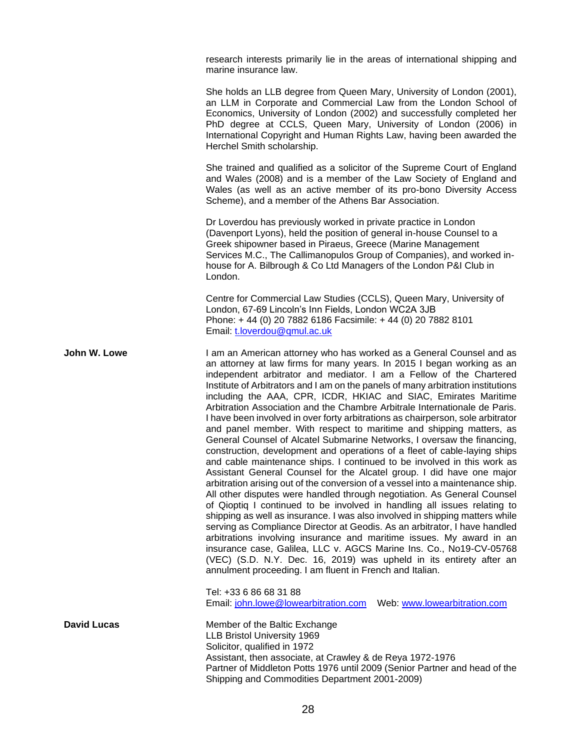research interests primarily lie in the areas of international shipping and marine insurance law.

She holds an LLB degree from Queen Mary, University of London (2001), an LLM in Corporate and Commercial Law from the London School of Economics, University of London (2002) and successfully completed her PhD degree at CCLS, Queen Mary, University of London (2006) in International Copyright and Human Rights Law, having been awarded the Herchel Smith scholarship.

She trained and qualified as a solicitor of the Supreme Court of England and Wales (2008) and is a member of the Law Society of England and Wales (as well as an active member of its pro-bono Diversity Access Scheme), and a member of the Athens Bar Association.

Dr Loverdou has previously worked in private practice in London (Davenport Lyons), held the position of general in-house Counsel to a Greek shipowner based in Piraeus, Greece (Marine Management Services M.C., The Callimanopulos Group of Companies), and worked inhouse for A. Bilbrough & Co Ltd Managers of the London P&I Club in London.

Centre for Commercial Law Studies (CCLS), Queen Mary, University of London, 67-69 Lincoln's Inn Fields, London WC2A 3JB Phone: + 44 (0) 20 7882 6186 Facsimile: + 44 (0) 20 7882 8101 Email: [t.loverdou@qmul.ac.uk](mailto:t.loverdou@qmul.ac.uk)

**John W. Lowe** I am an American attorney who has worked as a General Counsel and as an attorney at law firms for many years. In 2015 I began working as an independent arbitrator and mediator. I am a Fellow of the Chartered Institute of Arbitrators and I am on the panels of many arbitration institutions including the AAA, CPR, ICDR, HKIAC and SIAC, Emirates Maritime Arbitration Association and the Chambre Arbitrale Internationale de Paris. I have been involved in over forty arbitrations as chairperson, sole arbitrator and panel member. With respect to maritime and shipping matters, as General Counsel of Alcatel Submarine Networks, I oversaw the financing, construction, development and operations of a fleet of cable-laying ships and cable maintenance ships. I continued to be involved in this work as Assistant General Counsel for the Alcatel group. I did have one major arbitration arising out of the conversion of a vessel into a maintenance ship. All other disputes were handled through negotiation. As General Counsel of Qioptiq I continued to be involved in handling all issues relating to shipping as well as insurance. I was also involved in shipping matters while serving as Compliance Director at Geodis. As an arbitrator, I have handled arbitrations involving insurance and maritime issues. My award in an insurance case, Galilea, LLC v. AGCS Marine Ins. Co., No19-CV-05768 (VEC) (S.D. N.Y. Dec. 16, 2019) was upheld in its entirety after an annulment proceeding. I am fluent in French and Italian.

> Tel: +33 6 86 68 31 88 Email: [john.lowe@lowearbitration.com](mailto:john.lowe@lowearbitration.com) Web: [www.lowearbitration.com](http://www.lowearbitration.com/)

**David Lucas** Member of the Baltic Exchange LLB Bristol University 1969 Solicitor, qualified in 1972 Assistant, then associate, at Crawley & de Reya 1972-1976 Partner of Middleton Potts 1976 until 2009 (Senior Partner and head of the Shipping and Commodities Department 2001-2009)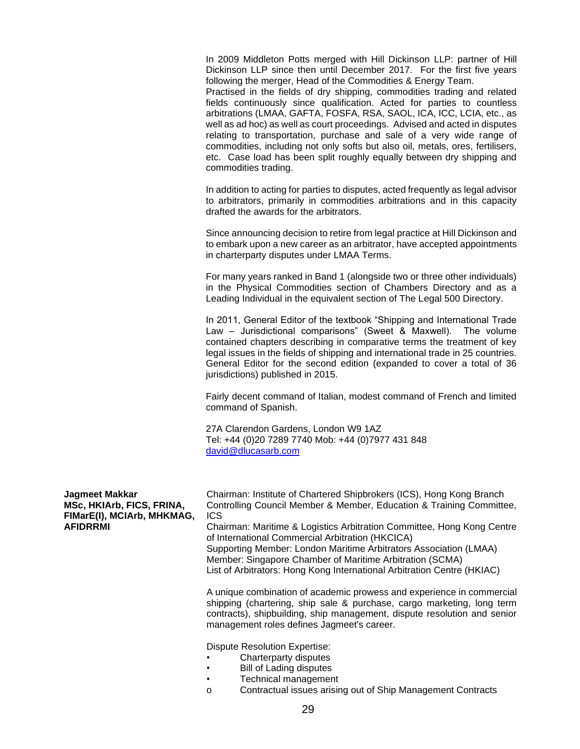In 2009 Middleton Potts merged with Hill Dickinson LLP: partner of Hill Dickinson LLP since then until December 2017. For the first five years following the merger, Head of the Commodities & Energy Team.

Practised in the fields of dry shipping, commodities trading and related fields continuously since qualification. Acted for parties to countless arbitrations (LMAA, GAFTA, FOSFA, RSA, SAOL, ICA, ICC, LCIA, etc., as well as ad hoc) as well as court proceedings. Advised and acted in disputes relating to transportation, purchase and sale of a very wide range of commodities, including not only softs but also oil, metals, ores, fertilisers, etc. Case load has been split roughly equally between dry shipping and commodities trading.

In addition to acting for parties to disputes, acted frequently as legal advisor to arbitrators, primarily in commodities arbitrations and in this capacity drafted the awards for the arbitrators.

Since announcing decision to retire from legal practice at Hill Dickinson and to embark upon a new career as an arbitrator, have accepted appointments in charterparty disputes under LMAA Terms.

For many years ranked in Band 1 (alongside two or three other individuals) in the Physical Commodities section of Chambers Directory and as a Leading Individual in the equivalent section of The Legal 500 Directory.

In 2011, General Editor of the textbook "Shipping and International Trade Law – Jurisdictional comparisons" (Sweet & Maxwell). The volume contained chapters describing in comparative terms the treatment of key legal issues in the fields of shipping and international trade in 25 countries. General Editor for the second edition (expanded to cover a total of 36 jurisdictions) published in 2015.

Fairly decent command of Italian, modest command of French and limited command of Spanish.

27A Clarendon Gardens, London W9 1AZ Tel: +44 (0)20 7289 7740 Mob: +44 (0)7977 431 848 [david@dlucasarb.com](mailto:david@dlucasarb.com)

| Jagmeet Makkar             | Chairman: Institute of Chartered Shipbrokers (ICS), Hong Kong Branch                                                                                                                                                                                                                                                                                                             |
|----------------------------|----------------------------------------------------------------------------------------------------------------------------------------------------------------------------------------------------------------------------------------------------------------------------------------------------------------------------------------------------------------------------------|
| MSc, HKIArb, FICS, FRINA,  | Controlling Council Member & Member, Education & Training Committee,                                                                                                                                                                                                                                                                                                             |
| FIMarE(I), MCIArb, MHKMAG, | <b>ICS</b>                                                                                                                                                                                                                                                                                                                                                                       |
| <b>AFIDRRMI</b>            | Chairman: Maritime & Logistics Arbitration Committee, Hong Kong Centre<br>of International Commercial Arbitration (HKCICA)                                                                                                                                                                                                                                                       |
|                            | Supporting Member: London Maritime Arbitrators Association (LMAA)                                                                                                                                                                                                                                                                                                                |
|                            | Member: Singapore Chamber of Maritime Arbitration (SCMA)                                                                                                                                                                                                                                                                                                                         |
|                            | List of Arbitrators: Hong Kong International Arbitration Centre (HKIAC)                                                                                                                                                                                                                                                                                                          |
|                            | A unique combination of academic prowess and experience in commercial<br>shipping (chartering, ship sale & purchase, cargo marketing, long term<br>. The contract of the contract of the contract of the contract of the contract of the contract of the contract of the contract of the contract of the contract of the contract of the contract of the contract of the contrac |

contracts), shipbuilding, ship management, dispute resolution and senior management roles defines Jagmeet's career.

Dispute Resolution Expertise:

- Charterparty disputes
- **Bill of Lading disputes**
- Technical management
- o Contractual issues arising out of Ship Management Contracts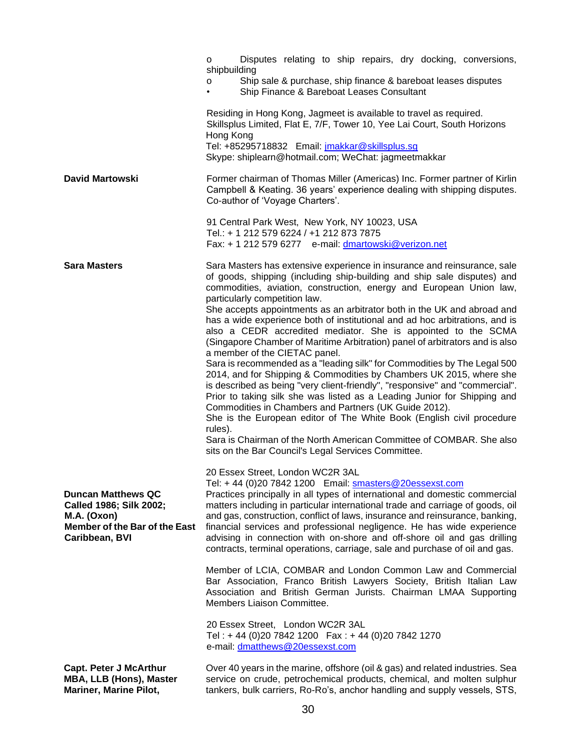|                                                                                                                        | Disputes relating to ship repairs, dry docking, conversions,<br>0<br>shipbuilding<br>Ship sale & purchase, ship finance & bareboat leases disputes<br>O<br>Ship Finance & Bareboat Leases Consultant<br>$\bullet$<br>Residing in Hong Kong, Jagmeet is available to travel as required.<br>Skillsplus Limited, Flat E, 7/F, Tower 10, Yee Lai Court, South Horizons<br>Hong Kong<br>Tel: +85295718832 Email: jmakkar@skillsplus.sg                                                                                                                                                                                                                                                                                                                                                                                                                                                                                                                                                                                                                                                                                                                                                                 |
|------------------------------------------------------------------------------------------------------------------------|----------------------------------------------------------------------------------------------------------------------------------------------------------------------------------------------------------------------------------------------------------------------------------------------------------------------------------------------------------------------------------------------------------------------------------------------------------------------------------------------------------------------------------------------------------------------------------------------------------------------------------------------------------------------------------------------------------------------------------------------------------------------------------------------------------------------------------------------------------------------------------------------------------------------------------------------------------------------------------------------------------------------------------------------------------------------------------------------------------------------------------------------------------------------------------------------------|
| <b>David Martowski</b>                                                                                                 | Skype: shiplearn@hotmail.com; WeChat: jagmeetmakkar<br>Former chairman of Thomas Miller (Americas) Inc. Former partner of Kirlin<br>Campbell & Keating. 36 years' experience dealing with shipping disputes.<br>Co-author of 'Voyage Charters'.                                                                                                                                                                                                                                                                                                                                                                                                                                                                                                                                                                                                                                                                                                                                                                                                                                                                                                                                                    |
|                                                                                                                        | 91 Central Park West, New York, NY 10023, USA<br>Tel.: + 1 212 579 6224 / +1 212 873 7875<br>Fax: + 1 212 579 6277 e-mail: dmartowski@verizon.net                                                                                                                                                                                                                                                                                                                                                                                                                                                                                                                                                                                                                                                                                                                                                                                                                                                                                                                                                                                                                                                  |
| <b>Sara Masters</b>                                                                                                    | Sara Masters has extensive experience in insurance and reinsurance, sale<br>of goods, shipping (including ship-building and ship sale disputes) and<br>commodities, aviation, construction, energy and European Union law,<br>particularly competition law.<br>She accepts appointments as an arbitrator both in the UK and abroad and<br>has a wide experience both of institutional and ad hoc arbitrations, and is<br>also a CEDR accredited mediator. She is appointed to the SCMA<br>(Singapore Chamber of Maritime Arbitration) panel of arbitrators and is also<br>a member of the CIETAC panel.<br>Sara is recommended as a "leading silk" for Commodities by The Legal 500<br>2014, and for Shipping & Commodities by Chambers UK 2015, where she<br>is described as being "very client-friendly", "responsive" and "commercial".<br>Prior to taking silk she was listed as a Leading Junior for Shipping and<br>Commodities in Chambers and Partners (UK Guide 2012).<br>She is the European editor of The White Book (English civil procedure<br>rules).<br>Sara is Chairman of the North American Committee of COMBAR. She also<br>sits on the Bar Council's Legal Services Committee. |
| <b>Duncan Matthews QC</b><br>Called 1986; Silk 2002;<br>M.A. (Oxon)<br>Member of the Bar of the East<br>Caribbean, BVI | 20 Essex Street, London WC2R 3AL<br>Tel: +44 (0)20 7842 1200    Email: smasters@20essexst.com<br>Practices principally in all types of international and domestic commercial<br>matters including in particular international trade and carriage of goods, oil<br>and gas, construction, conflict of laws, insurance and reinsurance, banking,<br>financial services and professional negligence. He has wide experience<br>advising in connection with on-shore and off-shore oil and gas drilling<br>contracts, terminal operations, carriage, sale and purchase of oil and gas.                                                                                                                                                                                                                                                                                                                                                                                                                                                                                                                                                                                                                 |
|                                                                                                                        | Member of LCIA, COMBAR and London Common Law and Commercial<br>Bar Association, Franco British Lawyers Society, British Italian Law<br>Association and British German Jurists. Chairman LMAA Supporting<br>Members Liaison Committee.                                                                                                                                                                                                                                                                                                                                                                                                                                                                                                                                                                                                                                                                                                                                                                                                                                                                                                                                                              |
|                                                                                                                        | 20 Essex Street, London WC2R 3AL<br>Tel: +44 (0)20 7842 1200  Fax: +44 (0)20 7842 1270<br>e-mail: dmatthews@20essexst.com                                                                                                                                                                                                                                                                                                                                                                                                                                                                                                                                                                                                                                                                                                                                                                                                                                                                                                                                                                                                                                                                          |
| <b>Capt. Peter J McArthur</b><br><b>MBA, LLB (Hons), Master</b><br><b>Mariner, Marine Pilot,</b>                       | Over 40 years in the marine, offshore (oil & gas) and related industries. Sea<br>service on crude, petrochemical products, chemical, and molten sulphur<br>tankers, bulk carriers, Ro-Ro's, anchor handling and supply vessels, STS,                                                                                                                                                                                                                                                                                                                                                                                                                                                                                                                                                                                                                                                                                                                                                                                                                                                                                                                                                               |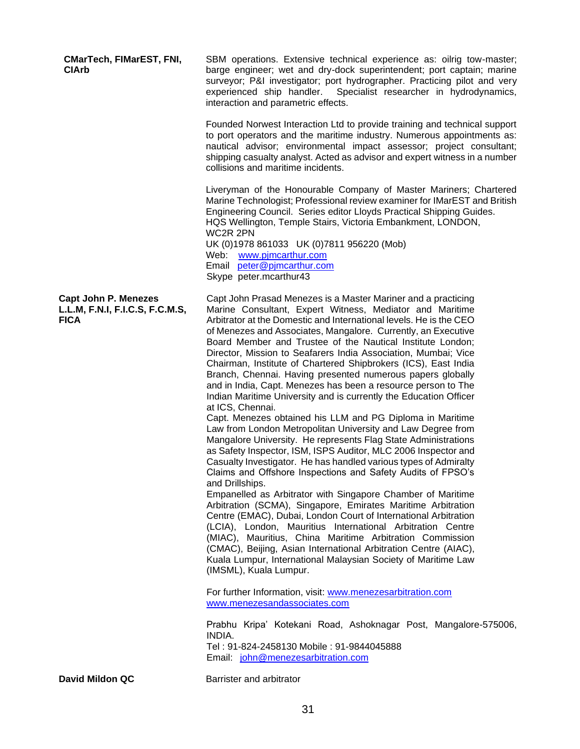**CMarTech, FIMarEST, FNI, CIArb** SBM operations. Extensive technical experience as: oilrig tow-master; barge engineer; wet and dry-dock superintendent; port captain; marine surveyor; P&I investigator; port hydrographer. Practicing pilot and very experienced ship handler. Specialist researcher in hydrodynamics, interaction and parametric effects. Founded Norwest Interaction Ltd to provide training and technical support to port operators and the maritime industry. Numerous appointments as: nautical advisor; environmental impact assessor; project consultant; shipping casualty analyst. Acted as advisor and expert witness in a number collisions and maritime incidents. Liveryman of the Honourable Company of Master Mariners; Chartered Marine Technologist; Professional review examiner for IMarEST and British Engineering Council. Series editor Lloyds Practical Shipping Guides. HQS Wellington, Temple Stairs, Victoria Embankment, LONDON, WC2R 2PN UK (0)1978 861033 UK (0)7811 956220 (Mob) Web: [www.pjmcarthur.com](http://www.pjmcarthur.com/) Email [peter@pjmcarthur.com](mailto:peter@pjmcarthur.com) Skype peter.mcarthur43 **Capt John P. Menezes L.L.M, F.N.I, F.I.C.S, F.C.M.S, FICA** Capt John Prasad Menezes is a Master Mariner and a practicing Marine Consultant, Expert Witness, Mediator and Maritime Arbitrator at the Domestic and International levels. He is the CEO of Menezes and Associates, Mangalore. Currently, an Executive Board Member and Trustee of the Nautical Institute London; Director, Mission to Seafarers India Association, Mumbai; Vice Chairman, Institute of Chartered Shipbrokers (ICS), East India Branch, Chennai. Having presented numerous papers globally and in India, Capt. Menezes has been a resource person to The Indian Maritime University and is currently the Education Officer at ICS, Chennai. Capt. Menezes obtained his LLM and PG Diploma in Maritime Law from London Metropolitan University and Law Degree from Mangalore University. He represents Flag State Administrations as Safety Inspector, ISM, ISPS Auditor, MLC 2006 Inspector and Casualty Investigator. He has handled various types of Admiralty Claims and Offshore Inspections and Safety Audits of FPSO's and Drillships. Empanelled as Arbitrator with Singapore Chamber of Maritime Arbitration (SCMA), Singapore, Emirates Maritime Arbitration Centre (EMAC), Dubai, London Court of International Arbitration (LCIA), London, Mauritius International Arbitration Centre (MIAC), Mauritius, China Maritime Arbitration Commission (CMAC), Beijing, Asian International Arbitration Centre (AIAC), Kuala Lumpur, International Malaysian Society of Maritime Law (IMSML), Kuala Lumpur. For further Information, visit: [www.menezesarbitration.com](http://www.menezesarbitration.com/) [www.menezesandassociates.com](http://www.menezesandassociates.com/) Prabhu Kripa' Kotekani Road, Ashoknagar Post, Mangalore-575006, INDIA. Tel : 91-824-2458130 Mobile : 91-9844045888 Email: [john@menezesarbitration.com](mailto:john@menezesarbitration.com) **David Mildon QC** Barrister and arbitrator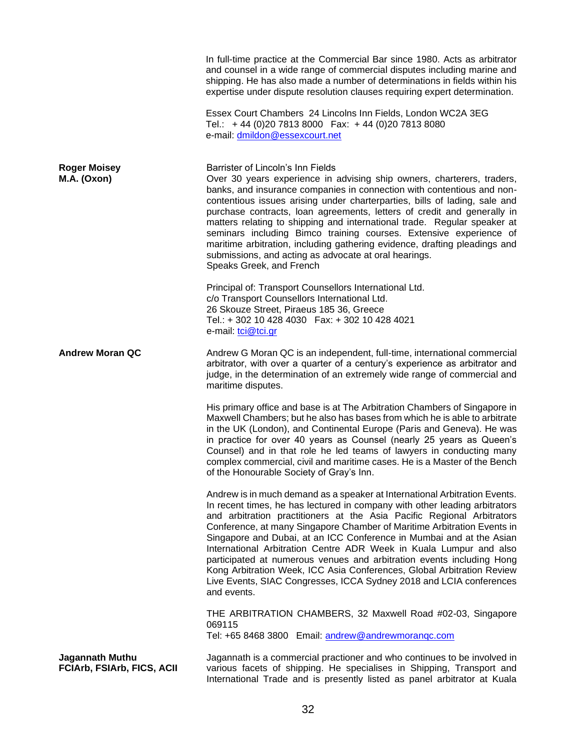|                                                             | In full-time practice at the Commercial Bar since 1980. Acts as arbitrator<br>and counsel in a wide range of commercial disputes including marine and<br>shipping. He has also made a number of determinations in fields within his<br>expertise under dispute resolution clauses requiring expert determination.                                                                                                                                                                                                                                                                                                                                                                                    |
|-------------------------------------------------------------|------------------------------------------------------------------------------------------------------------------------------------------------------------------------------------------------------------------------------------------------------------------------------------------------------------------------------------------------------------------------------------------------------------------------------------------------------------------------------------------------------------------------------------------------------------------------------------------------------------------------------------------------------------------------------------------------------|
|                                                             | Essex Court Chambers 24 Lincolns Inn Fields, London WC2A 3EG<br>Tel.: +44 (0)20 7813 8000  Fax: +44 (0)20 7813 8080<br>e-mail: dmildon@essexcourt.net                                                                                                                                                                                                                                                                                                                                                                                                                                                                                                                                                |
| <b>Roger Moisey</b><br>M.A. (Oxon)                          | Barrister of Lincoln's Inn Fields<br>Over 30 years experience in advising ship owners, charterers, traders,<br>banks, and insurance companies in connection with contentious and non-<br>contentious issues arising under charterparties, bills of lading, sale and<br>purchase contracts, loan agreements, letters of credit and generally in<br>matters relating to shipping and international trade. Regular speaker at<br>seminars including Bimco training courses. Extensive experience of<br>maritime arbitration, including gathering evidence, drafting pleadings and<br>submissions, and acting as advocate at oral hearings.<br>Speaks Greek, and French                                  |
|                                                             | Principal of: Transport Counsellors International Ltd.<br>c/o Transport Counsellors International Ltd.<br>26 Skouze Street, Piraeus 185 36, Greece<br>Tel.: +302 10 428 4030  Fax: +302 10 428 4021<br>e-mail: tci@tci.gr                                                                                                                                                                                                                                                                                                                                                                                                                                                                            |
| <b>Andrew Moran QC</b>                                      | Andrew G Moran QC is an independent, full-time, international commercial<br>arbitrator, with over a quarter of a century's experience as arbitrator and<br>judge, in the determination of an extremely wide range of commercial and<br>maritime disputes.                                                                                                                                                                                                                                                                                                                                                                                                                                            |
|                                                             | His primary office and base is at The Arbitration Chambers of Singapore in<br>Maxwell Chambers; but he also has bases from which he is able to arbitrate<br>in the UK (London), and Continental Europe (Paris and Geneva). He was<br>in practice for over 40 years as Counsel (nearly 25 years as Queen's<br>Counsel) and in that role he led teams of lawyers in conducting many<br>complex commercial, civil and maritime cases. He is a Master of the Bench<br>of the Honourable Society of Gray's Inn.                                                                                                                                                                                           |
|                                                             | Andrew is in much demand as a speaker at International Arbitration Events.<br>In recent times, he has lectured in company with other leading arbitrators<br>and arbitration practitioners at the Asia Pacific Regional Arbitrators<br>Conference, at many Singapore Chamber of Maritime Arbitration Events in<br>Singapore and Dubai, at an ICC Conference in Mumbai and at the Asian<br>International Arbitration Centre ADR Week in Kuala Lumpur and also<br>participated at numerous venues and arbitration events including Hong<br>Kong Arbitration Week, ICC Asia Conferences, Global Arbitration Review<br>Live Events, SIAC Congresses, ICCA Sydney 2018 and LCIA conferences<br>and events. |
|                                                             | THE ARBITRATION CHAMBERS, 32 Maxwell Road #02-03, Singapore<br>069115<br>Tel: +65 8468 3800 Email: andrew@andrewmorangc.com                                                                                                                                                                                                                                                                                                                                                                                                                                                                                                                                                                          |
| <b>Jagannath Muthu</b><br><b>FCIArb, FSIArb, FICS, ACII</b> | Jagannath is a commercial practioner and who continues to be involved in<br>various facets of shipping. He specialises in Shipping, Transport and<br>International Trade and is presently listed as panel arbitrator at Kuala                                                                                                                                                                                                                                                                                                                                                                                                                                                                        |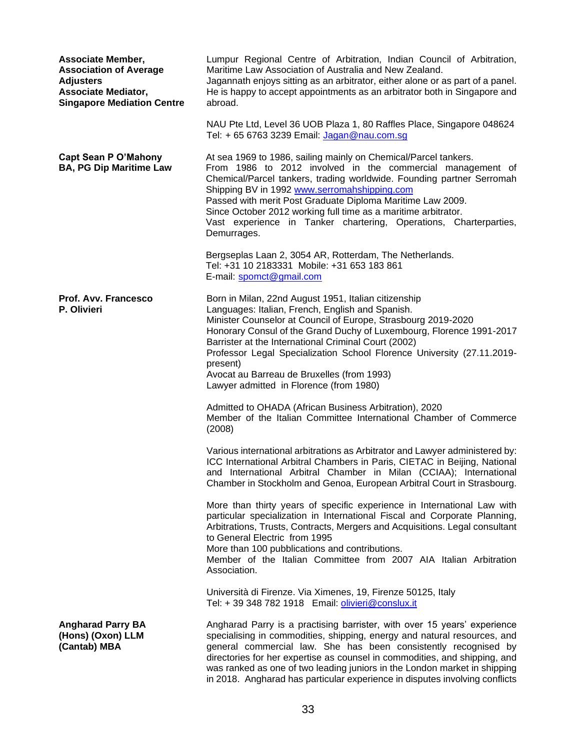| <b>Associate Member,</b><br><b>Association of Average</b><br><b>Adjusters</b><br><b>Associate Mediator,</b><br><b>Singapore Mediation Centre</b> | Lumpur Regional Centre of Arbitration, Indian Council of Arbitration,<br>Maritime Law Association of Australia and New Zealand.<br>Jagannath enjoys sitting as an arbitrator, either alone or as part of a panel.<br>He is happy to accept appointments as an arbitrator both in Singapore and<br>abroad.                                                                                                                                                                                |
|--------------------------------------------------------------------------------------------------------------------------------------------------|------------------------------------------------------------------------------------------------------------------------------------------------------------------------------------------------------------------------------------------------------------------------------------------------------------------------------------------------------------------------------------------------------------------------------------------------------------------------------------------|
|                                                                                                                                                  | NAU Pte Ltd, Level 36 UOB Plaza 1, 80 Raffles Place, Singapore 048624<br>Tel: + 65 6763 3239 Email: Jagan@nau.com.sg                                                                                                                                                                                                                                                                                                                                                                     |
| <b>Capt Sean P O'Mahony</b><br><b>BA, PG Dip Maritime Law</b>                                                                                    | At sea 1969 to 1986, sailing mainly on Chemical/Parcel tankers.<br>From 1986 to 2012 involved in the commercial management of<br>Chemical/Parcel tankers, trading worldwide. Founding partner Serromah<br>Shipping BV in 1992 www.serromahshipping.com<br>Passed with merit Post Graduate Diploma Maritime Law 2009.<br>Since October 2012 working full time as a maritime arbitrator.<br>Vast experience in Tanker chartering, Operations, Charterparties,<br>Demurrages.               |
|                                                                                                                                                  | Bergseplas Laan 2, 3054 AR, Rotterdam, The Netherlands.<br>Tel: +31 10 2183331 Mobile: +31 653 183 861<br>E-mail: spomct@gmail.com                                                                                                                                                                                                                                                                                                                                                       |
| <b>Prof. Avv. Francesco</b><br>P. Olivieri                                                                                                       | Born in Milan, 22nd August 1951, Italian citizenship<br>Languages: Italian, French, English and Spanish.<br>Minister Counselor at Council of Europe, Strasbourg 2019-2020<br>Honorary Consul of the Grand Duchy of Luxembourg, Florence 1991-2017<br>Barrister at the International Criminal Court (2002)<br>Professor Legal Specialization School Florence University (27.11.2019-<br>present)<br>Avocat au Barreau de Bruxelles (from 1993)<br>Lawyer admitted in Florence (from 1980) |
|                                                                                                                                                  | Admitted to OHADA (African Business Arbitration), 2020<br>Member of the Italian Committee International Chamber of Commerce<br>(2008)                                                                                                                                                                                                                                                                                                                                                    |
|                                                                                                                                                  | Various international arbitrations as Arbitrator and Lawyer administered by:<br>ICC International Arbitral Chambers in Paris, CIETAC in Beijing, National<br>and International Arbitral Chamber in Milan (CCIAA); International<br>Chamber in Stockholm and Genoa, European Arbitral Court in Strasbourg.                                                                                                                                                                                |
|                                                                                                                                                  | More than thirty years of specific experience in International Law with<br>particular specialization in International Fiscal and Corporate Planning,<br>Arbitrations, Trusts, Contracts, Mergers and Acquisitions. Legal consultant<br>to General Electric from 1995<br>More than 100 pubblications and contributions.<br>Member of the Italian Committee from 2007 AIA Italian Arbitration<br>Association.                                                                              |
|                                                                                                                                                  | Università di Firenze. Via Ximenes, 19, Firenze 50125, Italy<br>Tel: + 39 348 782 1918    Email: olivieri@conslux.it                                                                                                                                                                                                                                                                                                                                                                     |
| <b>Angharad Parry BA</b><br>(Hons) (Oxon) LLM<br>(Cantab) MBA                                                                                    | Angharad Parry is a practising barrister, with over 15 years' experience<br>specialising in commodities, shipping, energy and natural resources, and<br>general commercial law. She has been consistently recognised by<br>directories for her expertise as counsel in commodities, and shipping, and<br>was ranked as one of two leading juniors in the London market in shipping<br>in 2018. Angharad has particular experience in disputes involving conflicts                        |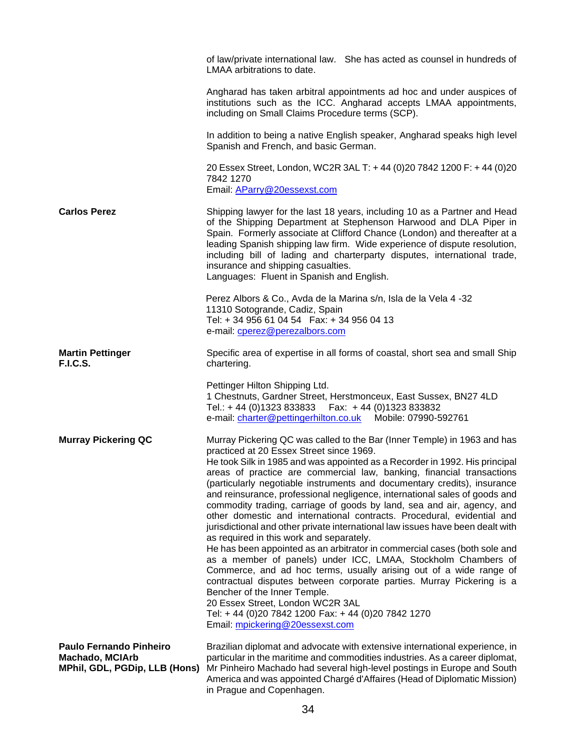|                                                                                    | LMAA arbitrations to date.                                                                                                                                                                                                                       | of law/private international law. She has acted as counsel in hundreds of                                                                                                                                                                                                                                                                                                                                                                                                                                                                                                                                                                                                                                                                                                                                                                                                                                                     |
|------------------------------------------------------------------------------------|--------------------------------------------------------------------------------------------------------------------------------------------------------------------------------------------------------------------------------------------------|-------------------------------------------------------------------------------------------------------------------------------------------------------------------------------------------------------------------------------------------------------------------------------------------------------------------------------------------------------------------------------------------------------------------------------------------------------------------------------------------------------------------------------------------------------------------------------------------------------------------------------------------------------------------------------------------------------------------------------------------------------------------------------------------------------------------------------------------------------------------------------------------------------------------------------|
|                                                                                    | including on Small Claims Procedure terms (SCP).                                                                                                                                                                                                 | Angharad has taken arbitral appointments ad hoc and under auspices of<br>institutions such as the ICC. Angharad accepts LMAA appointments,                                                                                                                                                                                                                                                                                                                                                                                                                                                                                                                                                                                                                                                                                                                                                                                    |
|                                                                                    | Spanish and French, and basic German.                                                                                                                                                                                                            | In addition to being a native English speaker, Angharad speaks high level                                                                                                                                                                                                                                                                                                                                                                                                                                                                                                                                                                                                                                                                                                                                                                                                                                                     |
|                                                                                    | 7842 1270<br>Email: AParry@20essexst.com                                                                                                                                                                                                         | 20 Essex Street, London, WC2R 3AL T: +44 (0)20 7842 1200 F: +44 (0)20                                                                                                                                                                                                                                                                                                                                                                                                                                                                                                                                                                                                                                                                                                                                                                                                                                                         |
| <b>Carlos Perez</b>                                                                | insurance and shipping casualties.<br>Languages: Fluent in Spanish and English.                                                                                                                                                                  | Shipping lawyer for the last 18 years, including 10 as a Partner and Head<br>of the Shipping Department at Stephenson Harwood and DLA Piper in<br>Spain. Formerly associate at Clifford Chance (London) and thereafter at a<br>leading Spanish shipping law firm. Wide experience of dispute resolution,<br>including bill of lading and charterparty disputes, international trade,                                                                                                                                                                                                                                                                                                                                                                                                                                                                                                                                          |
|                                                                                    | Perez Albors & Co., Avda de la Marina s/n, Isla de la Vela 4 -32<br>11310 Sotogrande, Cadiz, Spain<br>Tel: +34 956 61 04 54  Fax: +34 956 04 13<br>e-mail: cperez@perezalbors.com                                                                |                                                                                                                                                                                                                                                                                                                                                                                                                                                                                                                                                                                                                                                                                                                                                                                                                                                                                                                               |
| <b>Martin Pettinger</b><br><b>F.I.C.S.</b>                                         | chartering.                                                                                                                                                                                                                                      | Specific area of expertise in all forms of coastal, short sea and small Ship                                                                                                                                                                                                                                                                                                                                                                                                                                                                                                                                                                                                                                                                                                                                                                                                                                                  |
|                                                                                    | Pettinger Hilton Shipping Ltd.<br>Tel.: +44 (0)1323 833833   Fax: +44 (0)1323 833832<br>e-mail: charter@pettingerhilton.co.uk Mobile: 07990-592761                                                                                               | 1 Chestnuts, Gardner Street, Herstmonceux, East Sussex, BN27 4LD                                                                                                                                                                                                                                                                                                                                                                                                                                                                                                                                                                                                                                                                                                                                                                                                                                                              |
| <b>Murray Pickering QC</b>                                                         | practiced at 20 Essex Street since 1969.<br>as required in this work and separately.<br>Bencher of the Inner Temple.<br>20 Essex Street, London WC2R 3AL<br>Tel: +44 (0)20 7842 1200 Fax: +44 (0)20 7842 1270<br>Email: mpickering@20essexst.com | Murray Pickering QC was called to the Bar (Inner Temple) in 1963 and has<br>He took Silk in 1985 and was appointed as a Recorder in 1992. His principal<br>areas of practice are commercial law, banking, financial transactions<br>(particularly negotiable instruments and documentary credits), insurance<br>and reinsurance, professional negligence, international sales of goods and<br>commodity trading, carriage of goods by land, sea and air, agency, and<br>other domestic and international contracts. Procedural, evidential and<br>jurisdictional and other private international law issues have been dealt with<br>He has been appointed as an arbitrator in commercial cases (both sole and<br>as a member of panels) under ICC, LMAA, Stockholm Chambers of<br>Commerce, and ad hoc terms, usually arising out of a wide range of<br>contractual disputes between corporate parties. Murray Pickering is a |
| <b>Paulo Fernando Pinheiro</b><br>Machado, MCIArb<br>MPhil, GDL, PGDip, LLB (Hons) |                                                                                                                                                                                                                                                  | Brazilian diplomat and advocate with extensive international experience, in<br>particular in the maritime and commodities industries. As a career diplomat,<br>Mr Pinheiro Machado had several high-level postings in Europe and South<br>America and was appointed Chargé d'Affaires (Head of Diplomatic Mission)                                                                                                                                                                                                                                                                                                                                                                                                                                                                                                                                                                                                            |

in Prague and Copenhagen.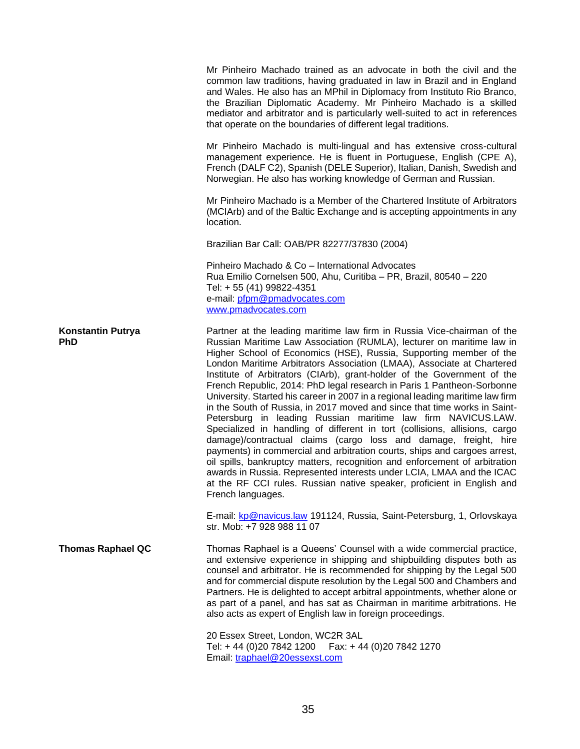|                                        | Mr Pinheiro Machado trained as an advocate in both the civil and the<br>common law traditions, having graduated in law in Brazil and in England<br>and Wales. He also has an MPhil in Diplomacy from Instituto Rio Branco,<br>the Brazilian Diplomatic Academy. Mr Pinheiro Machado is a skilled<br>mediator and arbitrator and is particularly well-suited to act in references<br>that operate on the boundaries of different legal traditions.                                                                                                                                                                                                                                                                                                                                                                                                                                                                                                                                                                                                                                                                                                                         |
|----------------------------------------|---------------------------------------------------------------------------------------------------------------------------------------------------------------------------------------------------------------------------------------------------------------------------------------------------------------------------------------------------------------------------------------------------------------------------------------------------------------------------------------------------------------------------------------------------------------------------------------------------------------------------------------------------------------------------------------------------------------------------------------------------------------------------------------------------------------------------------------------------------------------------------------------------------------------------------------------------------------------------------------------------------------------------------------------------------------------------------------------------------------------------------------------------------------------------|
|                                        | Mr Pinheiro Machado is multi-lingual and has extensive cross-cultural<br>management experience. He is fluent in Portuguese, English (CPE A),<br>French (DALF C2), Spanish (DELE Superior), Italian, Danish, Swedish and<br>Norwegian. He also has working knowledge of German and Russian.                                                                                                                                                                                                                                                                                                                                                                                                                                                                                                                                                                                                                                                                                                                                                                                                                                                                                |
|                                        | Mr Pinheiro Machado is a Member of the Chartered Institute of Arbitrators<br>(MCIArb) and of the Baltic Exchange and is accepting appointments in any<br>location.                                                                                                                                                                                                                                                                                                                                                                                                                                                                                                                                                                                                                                                                                                                                                                                                                                                                                                                                                                                                        |
|                                        | Brazilian Bar Call: OAB/PR 82277/37830 (2004)                                                                                                                                                                                                                                                                                                                                                                                                                                                                                                                                                                                                                                                                                                                                                                                                                                                                                                                                                                                                                                                                                                                             |
|                                        | Pinheiro Machado & Co - International Advocates<br>Rua Emilio Cornelsen 500, Ahu, Curitiba - PR, Brazil, 80540 - 220<br>Tel: + 55 (41) 99822-4351<br>e-mail: pfpm@pmadvocates.com<br>www.pmadvocates.com                                                                                                                                                                                                                                                                                                                                                                                                                                                                                                                                                                                                                                                                                                                                                                                                                                                                                                                                                                  |
| <b>Konstantin Putrya</b><br><b>PhD</b> | Partner at the leading maritime law firm in Russia Vice-chairman of the<br>Russian Maritime Law Association (RUMLA), lecturer on maritime law in<br>Higher School of Economics (HSE), Russia, Supporting member of the<br>London Maritime Arbitrators Association (LMAA), Associate at Chartered<br>Institute of Arbitrators (CIArb), grant-holder of the Government of the<br>French Republic, 2014: PhD legal research in Paris 1 Pantheon-Sorbonne<br>University. Started his career in 2007 in a regional leading maritime law firm<br>in the South of Russia, in 2017 moved and since that time works in Saint-<br>Petersburg in leading Russian maritime law firm NAVICUS.LAW.<br>Specialized in handling of different in tort (collisions, allisions, cargo<br>damage)/contractual claims (cargo loss and damage, freight, hire<br>payments) in commercial and arbitration courts, ships and cargoes arrest,<br>oil spills, bankruptcy matters, recognition and enforcement of arbitration<br>awards in Russia. Represented interests under LCIA, LMAA and the ICAC<br>at the RF CCI rules. Russian native speaker, proficient in English and<br>French languages. |
|                                        | E-mail: kp@navicus.law 191124, Russia, Saint-Petersburg, 1, Orlovskaya<br>str. Mob: +7 928 988 11 07                                                                                                                                                                                                                                                                                                                                                                                                                                                                                                                                                                                                                                                                                                                                                                                                                                                                                                                                                                                                                                                                      |
| <b>Thomas Raphael QC</b>               | Thomas Raphael is a Queens' Counsel with a wide commercial practice,<br>and extensive experience in shipping and shipbuilding disputes both as<br>counsel and arbitrator. He is recommended for shipping by the Legal 500<br>and for commercial dispute resolution by the Legal 500 and Chambers and<br>Partners. He is delighted to accept arbitral appointments, whether alone or<br>as part of a panel, and has sat as Chairman in maritime arbitrations. He<br>also acts as expert of English law in foreign proceedings.                                                                                                                                                                                                                                                                                                                                                                                                                                                                                                                                                                                                                                             |
|                                        | 20 Essex Street, London, WC2R 3AL<br>Tel: +44 (0)20 7842 1200   Fax: +44 (0)20 7842 1270<br>Email: traphael@20essexst.com                                                                                                                                                                                                                                                                                                                                                                                                                                                                                                                                                                                                                                                                                                                                                                                                                                                                                                                                                                                                                                                 |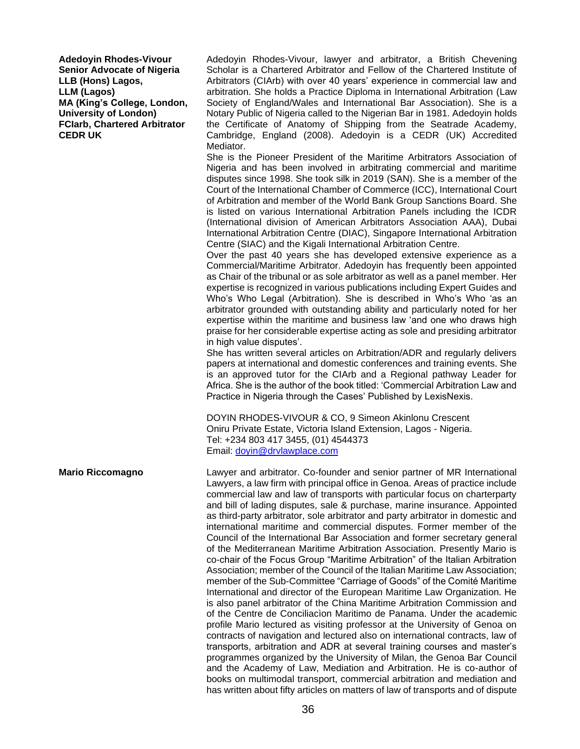**Adedoyin Rhodes-Vivour Senior Advocate of Nigeria LLB (Hons) Lagos, LLM (Lagos) MA (King's College, London, University of London) FCIarb, Chartered Arbitrator CEDR UK** 

Adedoyin Rhodes-Vivour, lawyer and arbitrator, a British Chevening Scholar is a Chartered Arbitrator and Fellow of the Chartered Institute of Arbitrators (CIArb) with over 40 years' experience in commercial law and arbitration. She holds a Practice Diploma in International Arbitration (Law Society of England/Wales and International Bar Association). She is a Notary Public of Nigeria called to the Nigerian Bar in 1981. Adedoyin holds the Certificate of Anatomy of Shipping from the Seatrade Academy, Cambridge, England (2008). Adedoyin is a CEDR (UK) Accredited Mediator.

She is the Pioneer President of the Maritime Arbitrators Association of Nigeria and has been involved in arbitrating commercial and maritime disputes since 1998. She took silk in 2019 (SAN). She is a member of the Court of the International Chamber of Commerce (ICC), International Court of Arbitration and member of the World Bank Group Sanctions Board. She is listed on various International Arbitration Panels including the ICDR (International division of American Arbitrators Association AAA), Dubai International Arbitration Centre (DIAC), Singapore International Arbitration Centre (SIAC) and the Kigali International Arbitration Centre.

Over the past 40 years she has developed extensive experience as a Commercial/Maritime Arbitrator. Adedoyin has frequently been appointed as Chair of the tribunal or as sole arbitrator as well as a panel member. Her expertise is recognized in various publications including Expert Guides and Who's Who Legal (Arbitration). She is described in Who's Who 'as an arbitrator grounded with outstanding ability and particularly noted for her expertise within the maritime and business law 'and one who draws high praise for her considerable expertise acting as sole and presiding arbitrator in high value disputes'.

She has written several articles on Arbitration/ADR and regularly delivers papers at international and domestic conferences and training events. She is an approved tutor for the CIArb and a Regional pathway Leader for Africa. She is the author of the book titled: 'Commercial Arbitration Law and Practice in Nigeria through the Cases' Published by LexisNexis.

DOYIN RHODES-VIVOUR & CO, 9 Simeon Akinlonu Crescent Oniru Private Estate, Victoria Island Extension, Lagos - Nigeria. Tel: +234 803 417 3455, (01) 4544373 Email: [doyin@drvlawplace.com](mailto:doyin@drvlawplace.com)

**Mario Riccomagno** Lawyer and arbitrator. Co-founder and senior partner of MR International Lawyers, a law firm with principal office in Genoa. Areas of practice include commercial law and law of transports with particular focus on charterparty and bill of lading disputes, sale & purchase, marine insurance. Appointed as third-party arbitrator, sole arbitrator and party arbitrator in domestic and international maritime and commercial disputes. Former member of the Council of the International Bar Association and former secretary general of the Mediterranean Maritime Arbitration Association. Presently Mario is co-chair of the Focus Group "Maritime Arbitration" of the Italian Arbitration Association; member of the Council of the Italian Maritime Law Association; member of the Sub-Committee "Carriage of Goods" of the Comité Maritime International and director of the European Maritime Law Organization. He is also panel arbitrator of the China Maritime Arbitration Commission and of the Centre de Conciliacìon Maritimo de Panama. Under the academic profile Mario lectured as visiting professor at the University of Genoa on contracts of navigation and lectured also on international contracts, law of transports, arbitration and ADR at several training courses and master's programmes organized by the University of Milan, the Genoa Bar Council and the Academy of Law, Mediation and Arbitration. He is co-author of books on multimodal transport, commercial arbitration and mediation and has written about fifty articles on matters of law of transports and of dispute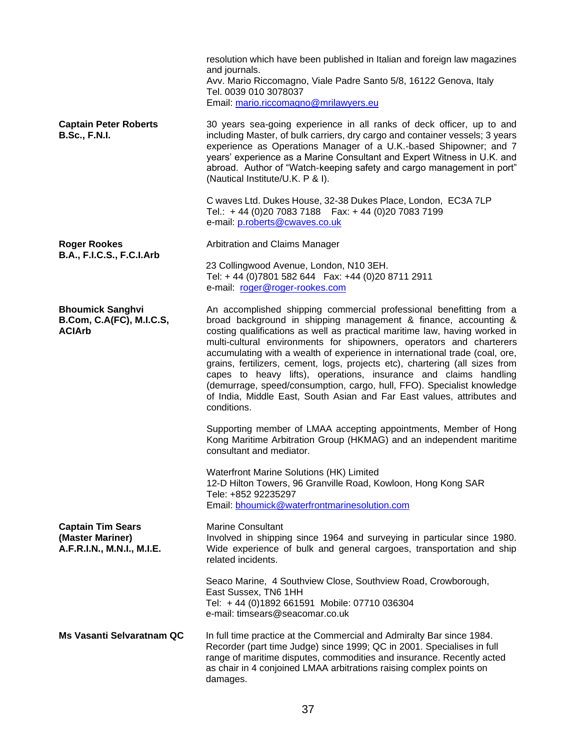|                                                                            | resolution which have been published in Italian and foreign law magazines<br>and journals.<br>Avv. Mario Riccomagno, Viale Padre Santo 5/8, 16122 Genova, Italy<br>Tel. 0039 010 3078037<br>Email: mario.riccomagno@mrilawyers.eu                                                                                                                                                                                                                                                                                                                                                                                                                                                                  |
|----------------------------------------------------------------------------|----------------------------------------------------------------------------------------------------------------------------------------------------------------------------------------------------------------------------------------------------------------------------------------------------------------------------------------------------------------------------------------------------------------------------------------------------------------------------------------------------------------------------------------------------------------------------------------------------------------------------------------------------------------------------------------------------|
| <b>Captain Peter Roberts</b><br><b>B.Sc., F.N.I.</b>                       | 30 years sea-going experience in all ranks of deck officer, up to and<br>including Master, of bulk carriers, dry cargo and container vessels; 3 years<br>experience as Operations Manager of a U.K.-based Shipowner; and 7<br>years' experience as a Marine Consultant and Expert Witness in U.K. and<br>abroad. Author of "Watch-keeping safety and cargo management in port"<br>(Nautical Institute/U.K. P & I).                                                                                                                                                                                                                                                                                 |
|                                                                            | C waves Ltd. Dukes House, 32-38 Dukes Place, London, EC3A 7LP<br>Tel.: +44 (0)20 7083 7188   Fax: +44 (0)20 7083 7199<br>e-mail: p.roberts@cwaves.co.uk                                                                                                                                                                                                                                                                                                                                                                                                                                                                                                                                            |
| <b>Roger Rookes</b>                                                        | Arbitration and Claims Manager                                                                                                                                                                                                                                                                                                                                                                                                                                                                                                                                                                                                                                                                     |
| <b>B.A., F.I.C.S., F.C.I.Arb</b>                                           | 23 Collingwood Avenue, London, N10 3EH.<br>Tel: +44 (0)7801 582 644  Fax: +44 (0)20 8711 2911<br>e-mail: roger@roger-rookes.com                                                                                                                                                                                                                                                                                                                                                                                                                                                                                                                                                                    |
| <b>Bhoumick Sanghvi</b><br>B.Com, C.A(FC), M.I.C.S,<br><b>ACIArb</b>       | An accomplished shipping commercial professional benefitting from a<br>broad background in shipping management & finance, accounting &<br>costing qualifications as well as practical maritime law, having worked in<br>multi-cultural environments for shipowners, operators and charterers<br>accumulating with a wealth of experience in international trade (coal, ore,<br>grains, fertilizers, cement, logs, projects etc), chartering (all sizes from<br>capes to heavy lifts), operations, insurance and claims handling<br>(demurrage, speed/consumption, cargo, hull, FFO). Specialist knowledge<br>of India, Middle East, South Asian and Far East values, attributes and<br>conditions. |
|                                                                            | Supporting member of LMAA accepting appointments, Member of Hong<br>Kong Maritime Arbitration Group (HKMAG) and an independent maritime<br>consultant and mediator.                                                                                                                                                                                                                                                                                                                                                                                                                                                                                                                                |
|                                                                            | Waterfront Marine Solutions (HK) Limited<br>12-D Hilton Towers, 96 Granville Road, Kowloon, Hong Kong SAR<br>Tele: +852 92235297<br>Email: bhoumick@waterfrontmarinesolution.com                                                                                                                                                                                                                                                                                                                                                                                                                                                                                                                   |
| <b>Captain Tim Sears</b><br>(Master Mariner)<br>A.F.R.I.N., M.N.I., M.I.E. | <b>Marine Consultant</b><br>Involved in shipping since 1964 and surveying in particular since 1980.<br>Wide experience of bulk and general cargoes, transportation and ship<br>related incidents.                                                                                                                                                                                                                                                                                                                                                                                                                                                                                                  |
|                                                                            | Seaco Marine, 4 Southview Close, Southview Road, Crowborough,<br>East Sussex, TN6 1HH<br>Tel: +44 (0)1892 661591 Mobile: 07710 036304<br>e-mail: timsears@seacomar.co.uk                                                                                                                                                                                                                                                                                                                                                                                                                                                                                                                           |
| <b>Ms Vasanti Selvaratnam QC</b>                                           | In full time practice at the Commercial and Admiralty Bar since 1984.<br>Recorder (part time Judge) since 1999; QC in 2001. Specialises in full<br>range of maritime disputes, commodities and insurance. Recently acted<br>as chair in 4 conjoined LMAA arbitrations raising complex points on<br>damages.                                                                                                                                                                                                                                                                                                                                                                                        |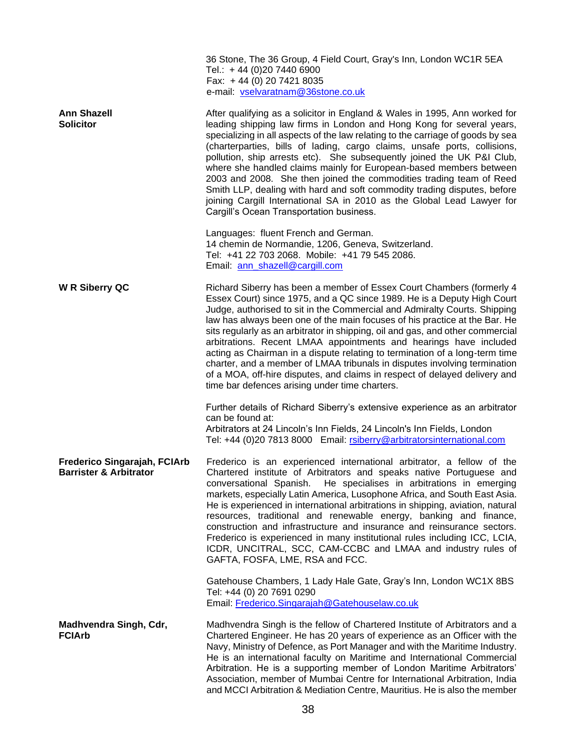|                                                                   | 36 Stone, The 36 Group, 4 Field Court, Gray's Inn, London WC1R 5EA<br>Tel.: +44 (0)20 7440 6900<br>Fax: +44 (0) 20 7421 8035<br>e-mail: vselvaratnam@36stone.co.uk                                                                                                                                                                                                                                                                                                                                                                                                                                                                                                                                                                                             |
|-------------------------------------------------------------------|----------------------------------------------------------------------------------------------------------------------------------------------------------------------------------------------------------------------------------------------------------------------------------------------------------------------------------------------------------------------------------------------------------------------------------------------------------------------------------------------------------------------------------------------------------------------------------------------------------------------------------------------------------------------------------------------------------------------------------------------------------------|
| <b>Ann Shazell</b><br><b>Solicitor</b>                            | After qualifying as a solicitor in England & Wales in 1995, Ann worked for<br>leading shipping law firms in London and Hong Kong for several years,<br>specializing in all aspects of the law relating to the carriage of goods by sea<br>(charterparties, bills of lading, cargo claims, unsafe ports, collisions,<br>pollution, ship arrests etc). She subsequently joined the UK P&I Club,<br>where she handled claims mainly for European-based members between<br>2003 and 2008. She then joined the commodities trading team of Reed<br>Smith LLP, dealing with hard and soft commodity trading disputes, before<br>joining Cargill International SA in 2010 as the Global Lead Lawyer for<br>Cargill's Ocean Transportation business.                   |
|                                                                   | Languages: fluent French and German.<br>14 chemin de Normandie, 1206, Geneva, Switzerland.<br>Tel: +41 22 703 2068. Mobile: +41 79 545 2086.<br>Email: ann_shazell@cargill.com                                                                                                                                                                                                                                                                                                                                                                                                                                                                                                                                                                                 |
| W R Siberry QC                                                    | Richard Siberry has been a member of Essex Court Chambers (formerly 4<br>Essex Court) since 1975, and a QC since 1989. He is a Deputy High Court<br>Judge, authorised to sit in the Commercial and Admiralty Courts. Shipping<br>law has always been one of the main focuses of his practice at the Bar. He<br>sits regularly as an arbitrator in shipping, oil and gas, and other commercial<br>arbitrations. Recent LMAA appointments and hearings have included<br>acting as Chairman in a dispute relating to termination of a long-term time<br>charter, and a member of LMAA tribunals in disputes involving termination<br>of a MOA, off-hire disputes, and claims in respect of delayed delivery and<br>time bar defences arising under time charters. |
|                                                                   | Further details of Richard Siberry's extensive experience as an arbitrator<br>can be found at:<br>Arbitrators at 24 Lincoln's Inn Fields, 24 Lincoln's Inn Fields, London<br>Tel: +44 (0)20 7813 8000 Email: rsiberry@arbitratorsinternational.com                                                                                                                                                                                                                                                                                                                                                                                                                                                                                                             |
| Frederico Singarajah, FCIArb<br><b>Barrister &amp; Arbitrator</b> | Frederico is an experienced international arbitrator, a fellow of the<br>Chartered institute of Arbitrators and speaks native Portuguese and<br>conversational Spanish. He specialises in arbitrations in emerging<br>markets, especially Latin America, Lusophone Africa, and South East Asia.<br>He is experienced in international arbitrations in shipping, aviation, natural<br>resources, traditional and renewable energy, banking and finance,<br>construction and infrastructure and insurance and reinsurance sectors.<br>Frederico is experienced in many institutional rules including ICC, LCIA,<br>ICDR, UNCITRAL, SCC, CAM-CCBC and LMAA and industry rules of<br>GAFTA, FOSFA, LME, RSA and FCC.                                               |
|                                                                   | Gatehouse Chambers, 1 Lady Hale Gate, Gray's Inn, London WC1X 8BS<br>Tel: +44 (0) 20 7691 0290<br>Email: Frederico.Singarajah@Gatehouselaw.co.uk                                                                                                                                                                                                                                                                                                                                                                                                                                                                                                                                                                                                               |
| Madhvendra Singh, Cdr,<br><b>FCIArb</b>                           | Madhvendra Singh is the fellow of Chartered Institute of Arbitrators and a<br>Chartered Engineer. He has 20 years of experience as an Officer with the<br>Navy, Ministry of Defence, as Port Manager and with the Maritime Industry.<br>He is an international faculty on Maritime and International Commercial<br>Arbitration. He is a supporting member of London Maritime Arbitrators'<br>Association, member of Mumbai Centre for International Arbitration, India<br>and MCCI Arbitration & Mediation Centre, Mauritius. He is also the member                                                                                                                                                                                                            |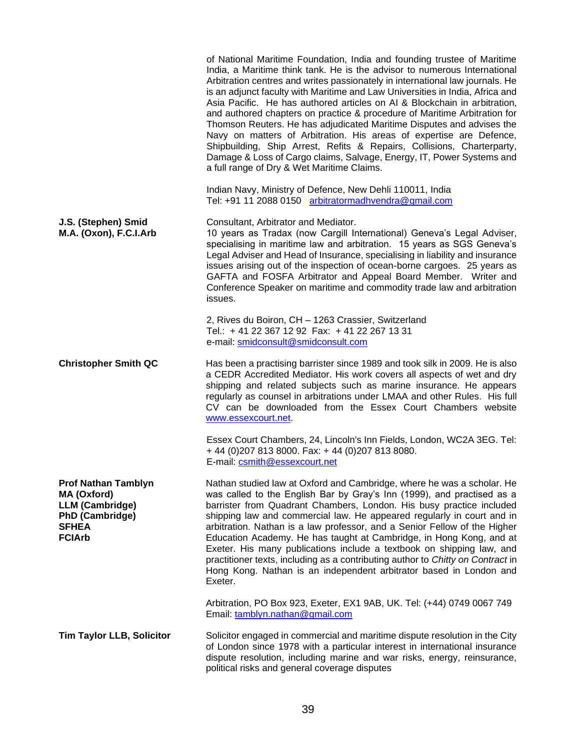|                                                                                                                                | of National Maritime Foundation, India and founding trustee of Maritime<br>India, a Maritime think tank. He is the advisor to numerous International<br>Arbitration centres and writes passionately in international law journals. He<br>is an adjunct faculty with Maritime and Law Universities in India, Africa and<br>Asia Pacific. He has authored articles on AI & Blockchain in arbitration,<br>and authored chapters on practice & procedure of Maritime Arbitration for<br>Thomson Reuters. He has adjudicated Maritime Disputes and advises the<br>Navy on matters of Arbitration. His areas of expertise are Defence,<br>Shipbuilding, Ship Arrest, Refits & Repairs, Collisions, Charterparty,<br>Damage & Loss of Cargo claims, Salvage, Energy, IT, Power Systems and<br>a full range of Dry & Wet Maritime Claims. |
|--------------------------------------------------------------------------------------------------------------------------------|-----------------------------------------------------------------------------------------------------------------------------------------------------------------------------------------------------------------------------------------------------------------------------------------------------------------------------------------------------------------------------------------------------------------------------------------------------------------------------------------------------------------------------------------------------------------------------------------------------------------------------------------------------------------------------------------------------------------------------------------------------------------------------------------------------------------------------------|
|                                                                                                                                | Indian Navy, Ministry of Defence, New Dehli 110011, India<br>Tel: +91 11 2088 0150 arbitratormadhvendra@gmail.com                                                                                                                                                                                                                                                                                                                                                                                                                                                                                                                                                                                                                                                                                                                 |
| J.S. (Stephen) Smid<br>M.A. (Oxon), F.C.I.Arb                                                                                  | Consultant, Arbitrator and Mediator.<br>10 years as Tradax (now Cargill International) Geneva's Legal Adviser,<br>specialising in maritime law and arbitration. 15 years as SGS Geneva's<br>Legal Adviser and Head of Insurance, specialising in liability and insurance<br>issues arising out of the inspection of ocean-borne cargoes. 25 years as<br>GAFTA and FOSFA Arbitrator and Appeal Board Member. Writer and<br>Conference Speaker on maritime and commodity trade law and arbitration<br>issues.                                                                                                                                                                                                                                                                                                                       |
|                                                                                                                                | 2, Rives du Boiron, CH - 1263 Crassier, Switzerland<br>Tel.: +41 22 367 12 92 Fax: +41 22 267 13 31<br>e-mail: smidconsult@smidconsult.com                                                                                                                                                                                                                                                                                                                                                                                                                                                                                                                                                                                                                                                                                        |
| <b>Christopher Smith QC</b>                                                                                                    | Has been a practising barrister since 1989 and took silk in 2009. He is also<br>a CEDR Accredited Mediator. His work covers all aspects of wet and dry<br>shipping and related subjects such as marine insurance. He appears<br>regularly as counsel in arbitrations under LMAA and other Rules. His full<br>CV can be downloaded from the Essex Court Chambers website<br>www.essexcourt.net.                                                                                                                                                                                                                                                                                                                                                                                                                                    |
|                                                                                                                                | Essex Court Chambers, 24, Lincoln's Inn Fields, London, WC2A 3EG. Tel:<br>+44 (0) 207 813 8000. Fax: +44 (0) 207 813 8080.<br>E-mail: csmith@essexcourt.net                                                                                                                                                                                                                                                                                                                                                                                                                                                                                                                                                                                                                                                                       |
| <b>Prof Nathan Tamblyn</b><br>MA (Oxford)<br><b>LLM (Cambridge)</b><br><b>PhD (Cambridge)</b><br><b>SFHEA</b><br><b>FCIArb</b> | Nathan studied law at Oxford and Cambridge, where he was a scholar. He<br>was called to the English Bar by Gray's Inn (1999), and practised as a<br>barrister from Quadrant Chambers, London. His busy practice included<br>shipping law and commercial law. He appeared regularly in court and in<br>arbitration. Nathan is a law professor, and a Senior Fellow of the Higher<br>Education Academy. He has taught at Cambridge, in Hong Kong, and at<br>Exeter. His many publications include a textbook on shipping law, and<br>practitioner texts, including as a contributing author to Chitty on Contract in<br>Hong Kong. Nathan is an independent arbitrator based in London and<br>Exeter.                                                                                                                               |
|                                                                                                                                | Arbitration, PO Box 923, Exeter, EX1 9AB, UK. Tel: (+44) 0749 0067 749<br>Email: tamblyn.nathan@gmail.com                                                                                                                                                                                                                                                                                                                                                                                                                                                                                                                                                                                                                                                                                                                         |
| <b>Tim Taylor LLB, Solicitor</b>                                                                                               | Solicitor engaged in commercial and maritime dispute resolution in the City<br>of London since 1978 with a particular interest in international insurance<br>dispute resolution, including marine and war risks, energy, reinsurance,<br>political risks and general coverage disputes                                                                                                                                                                                                                                                                                                                                                                                                                                                                                                                                            |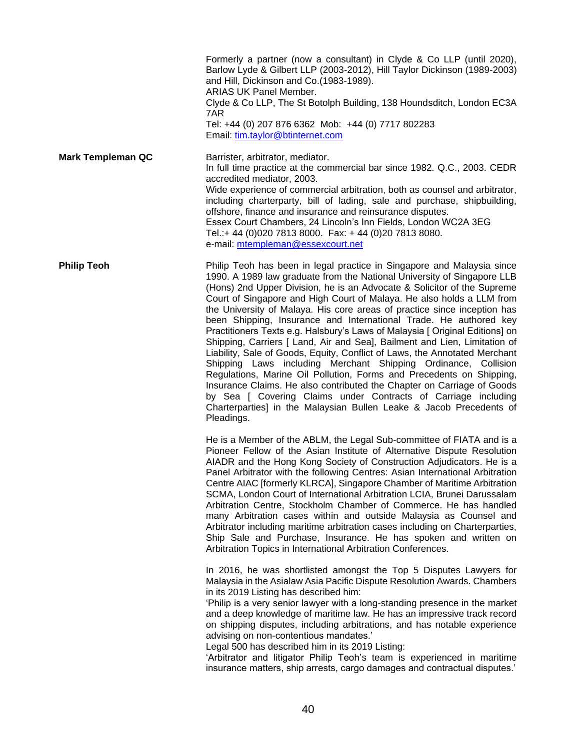|                          | Formerly a partner (now a consultant) in Clyde & Co LLP (until 2020),<br>Barlow Lyde & Gilbert LLP (2003-2012), Hill Taylor Dickinson (1989-2003)<br>and Hill, Dickinson and Co.(1983-1989).<br>ARIAS UK Panel Member.<br>Clyde & Co LLP, The St Botolph Building, 138 Houndsditch, London EC3A<br>7AR<br>Tel: +44 (0) 207 876 6362 Mob: +44 (0) 7717 802283<br>Email: tim.taylor@btinternet.com                                                                                                                                                                                                                                                                                                                                                                                                                                                                                                                                                                                                                                                                             |
|--------------------------|------------------------------------------------------------------------------------------------------------------------------------------------------------------------------------------------------------------------------------------------------------------------------------------------------------------------------------------------------------------------------------------------------------------------------------------------------------------------------------------------------------------------------------------------------------------------------------------------------------------------------------------------------------------------------------------------------------------------------------------------------------------------------------------------------------------------------------------------------------------------------------------------------------------------------------------------------------------------------------------------------------------------------------------------------------------------------|
| <b>Mark Templeman QC</b> | Barrister, arbitrator, mediator.<br>In full time practice at the commercial bar since 1982. Q.C., 2003. CEDR<br>accredited mediator, 2003.<br>Wide experience of commercial arbitration, both as counsel and arbitrator,<br>including charterparty, bill of lading, sale and purchase, shipbuilding,<br>offshore, finance and insurance and reinsurance disputes.<br>Essex Court Chambers, 24 Lincoln's Inn Fields, London WC2A 3EG<br>Tel.:+ 44 (0)020 7813 8000. Fax: + 44 (0)20 7813 8080.<br>e-mail: mtempleman@essexcourt.net                                                                                                                                                                                                                                                                                                                                                                                                                                                                                                                                           |
| <b>Philip Teoh</b>       | Philip Teoh has been in legal practice in Singapore and Malaysia since<br>1990. A 1989 law graduate from the National University of Singapore LLB<br>(Hons) 2nd Upper Division, he is an Advocate & Solicitor of the Supreme<br>Court of Singapore and High Court of Malaya. He also holds a LLM from<br>the University of Malaya. His core areas of practice since inception has<br>been Shipping, Insurance and International Trade. He authored key<br>Practitioners Texts e.g. Halsbury's Laws of Malaysia [ Original Editions] on<br>Shipping, Carriers [ Land, Air and Sea], Bailment and Lien, Limitation of<br>Liability, Sale of Goods, Equity, Conflict of Laws, the Annotated Merchant<br>Shipping Laws including Merchant Shipping Ordinance, Collision<br>Regulations, Marine Oil Pollution, Forms and Precedents on Shipping,<br>Insurance Claims. He also contributed the Chapter on Carriage of Goods<br>by Sea [ Covering Claims under Contracts of Carriage including<br>Charterparties] in the Malaysian Bullen Leake & Jacob Precedents of<br>Pleadings. |
|                          | He is a Member of the ABLM, the Legal Sub-committee of FIATA and is a<br>Pioneer Fellow of the Asian Institute of Alternative Dispute Resolution<br>AIADR and the Hong Kong Society of Construction Adjudicators. He is a<br>Panel Arbitrator with the following Centres: Asian International Arbitration<br>Centre AIAC [formerly KLRCA], Singapore Chamber of Maritime Arbitration<br>SCMA, London Court of International Arbitration LCIA, Brunei Darussalam<br>Arbitration Centre, Stockholm Chamber of Commerce. He has handled<br>many Arbitration cases within and outside Malaysia as Counsel and<br>Arbitrator including maritime arbitration cases including on Charterparties,<br>Ship Sale and Purchase, Insurance. He has spoken and written on<br>Arbitration Topics in International Arbitration Conferences.                                                                                                                                                                                                                                                 |
|                          | In 2016, he was shortlisted amongst the Top 5 Disputes Lawyers for<br>Malaysia in the Asialaw Asia Pacific Dispute Resolution Awards. Chambers<br>in its 2019 Listing has described him:<br>'Philip is a very senior lawyer with a long-standing presence in the market<br>and a deep knowledge of maritime law. He has an impressive track record<br>on shipping disputes, including arbitrations, and has notable experience<br>advising on non-contentious mandates.'<br>Legal 500 has described him in its 2019 Listing:<br>'Arbitrator and litigator Philip Teoh's team is experienced in maritime<br>insurance matters, ship arrests, cargo damages and contractual disputes.'                                                                                                                                                                                                                                                                                                                                                                                         |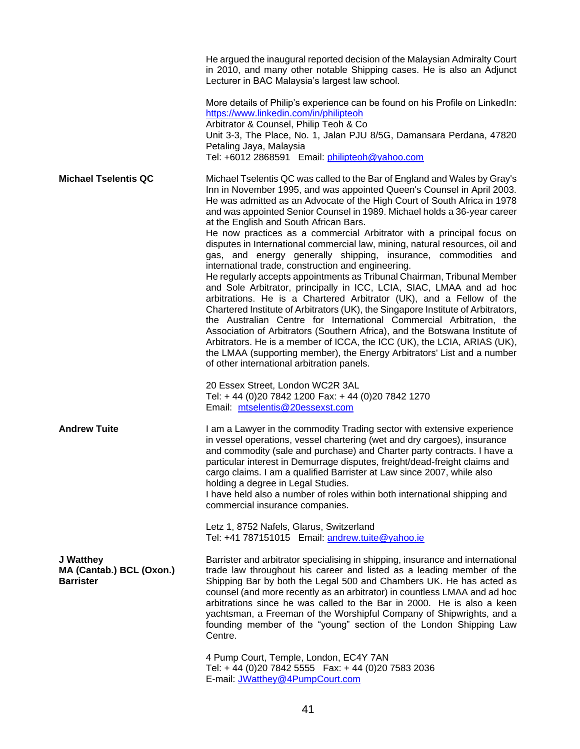|                                                           | He argued the inaugural reported decision of the Malaysian Admiralty Court<br>in 2010, and many other notable Shipping cases. He is also an Adjunct<br>Lecturer in BAC Malaysia's largest law school.                                                                                                                                                                                                                                                                                                                                                                                                                                                                                                                                                                                                                                                                                                                                                                                                                                                                                                                                                                                                                                                                                                                                                |
|-----------------------------------------------------------|------------------------------------------------------------------------------------------------------------------------------------------------------------------------------------------------------------------------------------------------------------------------------------------------------------------------------------------------------------------------------------------------------------------------------------------------------------------------------------------------------------------------------------------------------------------------------------------------------------------------------------------------------------------------------------------------------------------------------------------------------------------------------------------------------------------------------------------------------------------------------------------------------------------------------------------------------------------------------------------------------------------------------------------------------------------------------------------------------------------------------------------------------------------------------------------------------------------------------------------------------------------------------------------------------------------------------------------------------|
|                                                           | More details of Philip's experience can be found on his Profile on LinkedIn:<br>https://www.linkedin.com/in/philipteoh<br>Arbitrator & Counsel, Philip Teoh & Co<br>Unit 3-3, The Place, No. 1, Jalan PJU 8/5G, Damansara Perdana, 47820<br>Petaling Jaya, Malaysia<br>Tel: +6012 2868591 Email: philipteoh@yahoo.com                                                                                                                                                                                                                                                                                                                                                                                                                                                                                                                                                                                                                                                                                                                                                                                                                                                                                                                                                                                                                                |
| <b>Michael Tselentis QC</b>                               | Michael Tselentis QC was called to the Bar of England and Wales by Gray's<br>Inn in November 1995, and was appointed Queen's Counsel in April 2003.<br>He was admitted as an Advocate of the High Court of South Africa in 1978<br>and was appointed Senior Counsel in 1989. Michael holds a 36-year career<br>at the English and South African Bars.<br>He now practices as a commercial Arbitrator with a principal focus on<br>disputes in International commercial law, mining, natural resources, oil and<br>gas, and energy generally shipping, insurance, commodities and<br>international trade, construction and engineering.<br>He regularly accepts appointments as Tribunal Chairman, Tribunal Member<br>and Sole Arbitrator, principally in ICC, LCIA, SIAC, LMAA and ad hoc<br>arbitrations. He is a Chartered Arbitrator (UK), and a Fellow of the<br>Chartered Institute of Arbitrators (UK), the Singapore Institute of Arbitrators,<br>the Australian Centre for International Commercial Arbitration, the<br>Association of Arbitrators (Southern Africa), and the Botswana Institute of<br>Arbitrators. He is a member of ICCA, the ICC (UK), the LCIA, ARIAS (UK),<br>the LMAA (supporting member), the Energy Arbitrators' List and a number<br>of other international arbitration panels.<br>20 Essex Street, London WC2R 3AL |
|                                                           | Tel: +44 (0)20 7842 1200 Fax: +44 (0)20 7842 1270<br>Email: mtselentis@20essexst.com                                                                                                                                                                                                                                                                                                                                                                                                                                                                                                                                                                                                                                                                                                                                                                                                                                                                                                                                                                                                                                                                                                                                                                                                                                                                 |
| <b>Andrew Tuite</b>                                       | I am a Lawyer in the commodity Trading sector with extensive experience<br>in vessel operations, vessel chartering (wet and dry cargoes), insurance<br>and commodity (sale and purchase) and Charter party contracts. I have a<br>particular interest in Demurrage disputes, freight/dead-freight claims and<br>cargo claims. I am a qualified Barrister at Law since 2007, while also<br>holding a degree in Legal Studies.<br>I have held also a number of roles within both international shipping and<br>commercial insurance companies.                                                                                                                                                                                                                                                                                                                                                                                                                                                                                                                                                                                                                                                                                                                                                                                                         |
|                                                           | Letz 1, 8752 Nafels, Glarus, Switzerland<br>Tel: +41 787151015 Email: andrew.tuite@yahoo.ie                                                                                                                                                                                                                                                                                                                                                                                                                                                                                                                                                                                                                                                                                                                                                                                                                                                                                                                                                                                                                                                                                                                                                                                                                                                          |
| J Watthey<br>MA (Cantab.) BCL (Oxon.)<br><b>Barrister</b> | Barrister and arbitrator specialising in shipping, insurance and international<br>trade law throughout his career and listed as a leading member of the<br>Shipping Bar by both the Legal 500 and Chambers UK. He has acted as<br>counsel (and more recently as an arbitrator) in countless LMAA and ad hoc<br>arbitrations since he was called to the Bar in 2000. He is also a keen<br>yachtsman, a Freeman of the Worshipful Company of Shipwrights, and a<br>founding member of the "young" section of the London Shipping Law<br>Centre.                                                                                                                                                                                                                                                                                                                                                                                                                                                                                                                                                                                                                                                                                                                                                                                                        |
|                                                           | 4 Pump Court, Temple, London, EC4Y 7AN<br>Tel: +44 (0)20 7842 5555  Fax: +44 (0)20 7583 2036<br>E-mail: JWatthey@4PumpCourt.com                                                                                                                                                                                                                                                                                                                                                                                                                                                                                                                                                                                                                                                                                                                                                                                                                                                                                                                                                                                                                                                                                                                                                                                                                      |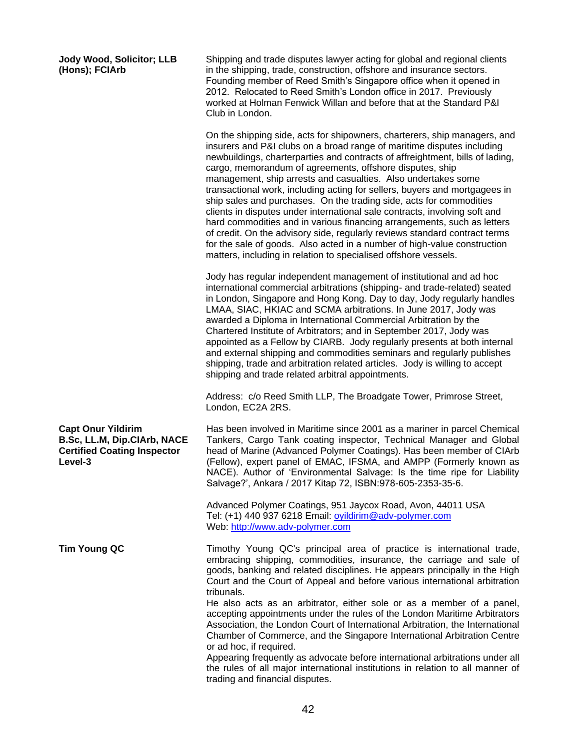## **Jody Wood, Solicitor; LLB (Hons); FCIArb**

Shipping and trade disputes lawyer acting for global and regional clients in the shipping, trade, construction, offshore and insurance sectors. Founding member of Reed Smith's Singapore office when it opened in 2012. Relocated to Reed Smith's London office in 2017. Previously worked at Holman Fenwick Willan and before that at the Standard P&I Club in London.

On the shipping side, acts for shipowners, charterers, ship managers, and insurers and P&I clubs on a broad range of maritime disputes including newbuildings, charterparties and contracts of affreightment, bills of lading, cargo, memorandum of agreements, offshore disputes, ship management, ship arrests and casualties. Also undertakes some transactional work, including acting for sellers, buyers and mortgagees in ship sales and purchases. On the trading side, acts for commodities clients in disputes under international sale contracts, involving soft and hard commodities and in various financing arrangements, such as letters of credit. On the advisory side, regularly reviews standard contract terms for the sale of goods. Also acted in a number of high-value construction matters, including in relation to specialised offshore vessels.

Jody has regular independent management of institutional and ad hoc international commercial arbitrations (shipping- and trade-related) seated in London, Singapore and Hong Kong. Day to day, Jody regularly handles LMAA, SIAC, HKIAC and SCMA arbitrations. In June 2017, Jody was awarded a Diploma in International Commercial Arbitration by the Chartered Institute of Arbitrators; and in September 2017, Jody was appointed as a Fellow by CIARB. Jody regularly presents at both internal and external shipping and commodities seminars and regularly publishes shipping, trade and arbitration related articles. Jody is willing to accept shipping and trade related arbitral appointments.

Address: c/o Reed Smith LLP, The Broadgate Tower, Primrose Street, London, EC2A 2RS.

**Capt Onur Yildirim B.Sc, LL.M, Dip.CIArb, NACE Certified Coating Inspector Level-3**

Has been involved in Maritime since 2001 as a mariner in parcel Chemical Tankers, Cargo Tank coating inspector, Technical Manager and Global head of Marine (Advanced Polymer Coatings). Has been member of CIArb (Fellow), expert panel of EMAC, IFSMA, and AMPP (Formerly known as NACE). Author of 'Environmental Salvage: Is the time ripe for Liability Salvage?', Ankara / 2017 Kitap 72, ISBN:978-605-2353-35-6.

Advanced Polymer Coatings, 951 Jaycox Road, Avon, 44011 USA Tel: (+1) 440 937 6218 Email: [oyildirim@adv-polymer.com](mailto:oyildirim@adv-polymer.com) Web: [http://www.adv-polymer.com](http://www.adv-polymer.com/)

**Tim Young QC** Timothy Young QC's principal area of practice is international trade, embracing shipping, commodities, insurance, the carriage and sale of goods, banking and related disciplines. He appears principally in the High Court and the Court of Appeal and before various international arbitration tribunals.

> He also acts as an arbitrator, either sole or as a member of a panel, accepting appointments under the rules of the London Maritime Arbitrators Association, the London Court of International Arbitration, the International Chamber of Commerce, and the Singapore International Arbitration Centre or ad hoc, if required.

> Appearing frequently as advocate before international arbitrations under all the rules of all major international institutions in relation to all manner of trading and financial disputes.